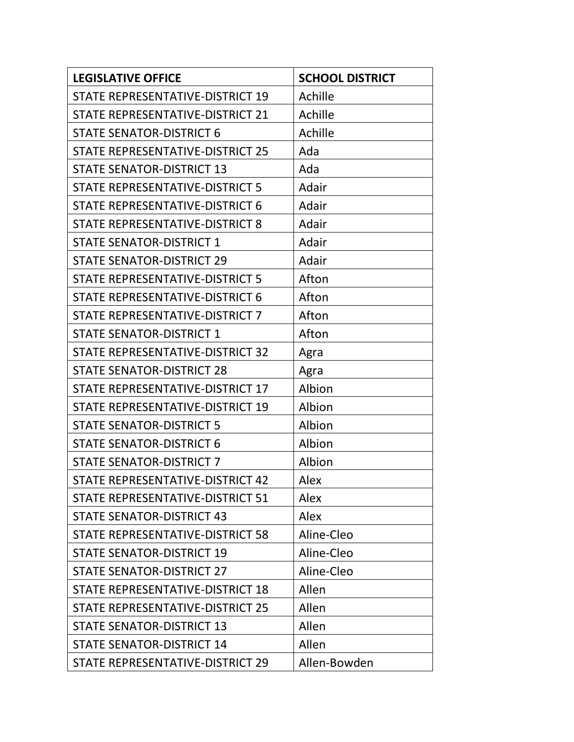| <b>LEGISLATIVE OFFICE</b>              | <b>SCHOOL DISTRICT</b> |
|----------------------------------------|------------------------|
| STATE REPRESENTATIVE-DISTRICT 19       | Achille                |
| STATE REPRESENTATIVE-DISTRICT 21       | Achille                |
| <b>STATE SENATOR-DISTRICT 6</b>        | Achille                |
| STATE REPRESENTATIVE-DISTRICT 25       | Ada                    |
| <b>STATE SENATOR-DISTRICT 13</b>       | Ada                    |
| STATE REPRESENTATIVE-DISTRICT 5        | Adair                  |
| STATE REPRESENTATIVE-DISTRICT 6        | Adair                  |
| STATE REPRESENTATIVE-DISTRICT 8        | Adair                  |
| <b>STATE SENATOR-DISTRICT 1</b>        | Adair                  |
| <b>STATE SENATOR-DISTRICT 29</b>       | Adair                  |
| <b>STATE REPRESENTATIVE-DISTRICT 5</b> | Afton                  |
| STATE REPRESENTATIVE-DISTRICT 6        | Afton                  |
| STATE REPRESENTATIVE-DISTRICT 7        | Afton                  |
| <b>STATE SENATOR-DISTRICT 1</b>        | Afton                  |
| STATE REPRESENTATIVE-DISTRICT 32       | Agra                   |
| <b>STATE SENATOR-DISTRICT 28</b>       | Agra                   |
| STATE REPRESENTATIVE-DISTRICT 17       | Albion                 |
| STATE REPRESENTATIVE-DISTRICT 19       | Albion                 |
| <b>STATE SENATOR-DISTRICT 5</b>        | Albion                 |
| <b>STATE SENATOR-DISTRICT 6</b>        | Albion                 |
| <b>STATE SENATOR-DISTRICT 7</b>        | Albion                 |
| STATE REPRESENTATIVE-DISTRICT 42       | Alex                   |
| STATE REPRESENTATIVE-DISTRICT 51       | Alex                   |
| <b>STATE SENATOR-DISTRICT 43</b>       | Alex                   |
| STATE REPRESENTATIVE-DISTRICT 58       | Aline-Cleo             |
| <b>STATE SENATOR-DISTRICT 19</b>       | Aline-Cleo             |
| <b>STATE SENATOR-DISTRICT 27</b>       | Aline-Cleo             |
| STATE REPRESENTATIVE-DISTRICT 18       | Allen                  |
| STATE REPRESENTATIVE-DISTRICT 25       | Allen                  |
| <b>STATE SENATOR-DISTRICT 13</b>       | Allen                  |
| <b>STATE SENATOR-DISTRICT 14</b>       | Allen                  |
| STATE REPRESENTATIVE-DISTRICT 29       | Allen-Bowden           |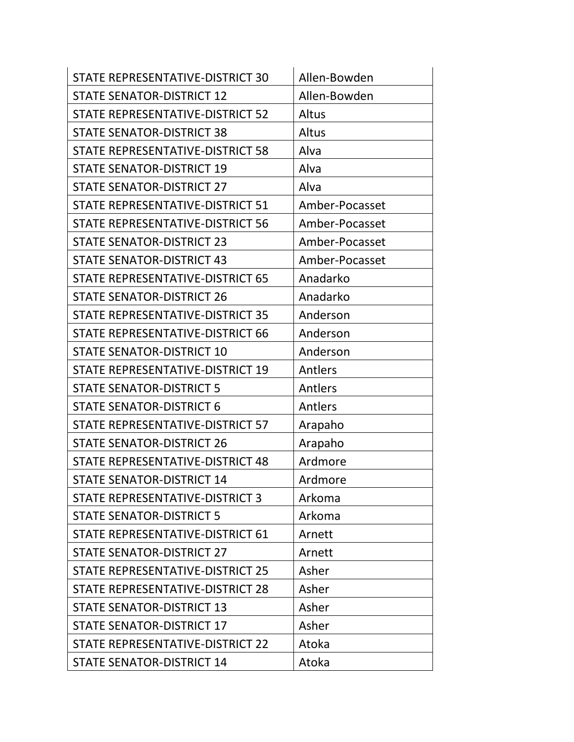| STATE REPRESENTATIVE-DISTRICT 30        | Allen-Bowden   |
|-----------------------------------------|----------------|
| <b>STATE SENATOR-DISTRICT 12</b>        | Allen-Bowden   |
| STATE REPRESENTATIVE-DISTRICT 52        | Altus          |
| <b>STATE SENATOR-DISTRICT 38</b>        | Altus          |
| STATE REPRESENTATIVE-DISTRICT 58        | Alva           |
| <b>STATE SENATOR-DISTRICT 19</b>        | Alva           |
| <b>STATE SENATOR-DISTRICT 27</b>        | Alva           |
| STATE REPRESENTATIVE-DISTRICT 51        | Amber-Pocasset |
| <b>STATE REPRESENTATIVE-DISTRICT 56</b> | Amber-Pocasset |
| <b>STATE SENATOR-DISTRICT 23</b>        | Amber-Pocasset |
| <b>STATE SENATOR-DISTRICT 43</b>        | Amber-Pocasset |
| STATE REPRESENTATIVE-DISTRICT 65        | Anadarko       |
| <b>STATE SENATOR-DISTRICT 26</b>        | Anadarko       |
| STATE REPRESENTATIVE-DISTRICT 35        | Anderson       |
| STATE REPRESENTATIVE-DISTRICT 66        | Anderson       |
| <b>STATE SENATOR-DISTRICT 10</b>        | Anderson       |
| STATE REPRESENTATIVE-DISTRICT 19        | Antlers        |
| <b>STATE SENATOR-DISTRICT 5</b>         | Antlers        |
| <b>STATE SENATOR-DISTRICT 6</b>         | Antlers        |
| STATE REPRESENTATIVE-DISTRICT 57        | Arapaho        |
| <b>STATE SENATOR-DISTRICT 26</b>        | Arapaho        |
| STATE REPRESENTATIVE-DISTRICT 48        | Ardmore        |
| <b>STATE SENATOR-DISTRICT 14</b>        | Ardmore        |
| STATE REPRESENTATIVE-DISTRICT 3         | Arkoma         |
| <b>STATE SENATOR-DISTRICT 5</b>         | Arkoma         |
| STATE REPRESENTATIVE-DISTRICT 61        | Arnett         |
| <b>STATE SENATOR-DISTRICT 27</b>        | Arnett         |
| STATE REPRESENTATIVE-DISTRICT 25        | Asher          |
| STATE REPRESENTATIVE-DISTRICT 28        | Asher          |
| <b>STATE SENATOR-DISTRICT 13</b>        | Asher          |
| <b>STATE SENATOR-DISTRICT 17</b>        | Asher          |
| STATE REPRESENTATIVE-DISTRICT 22        | Atoka          |
| <b>STATE SENATOR-DISTRICT 14</b>        | Atoka          |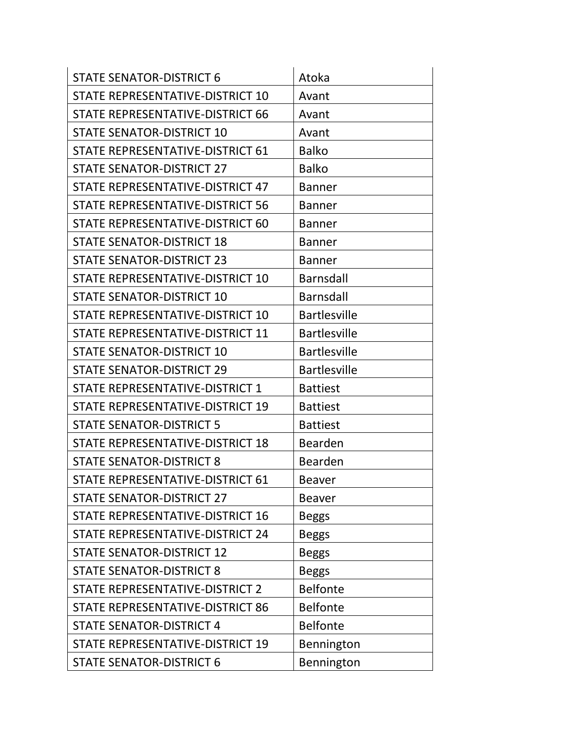| <b>STATE SENATOR-DISTRICT 6</b>  | Atoka               |
|----------------------------------|---------------------|
| STATE REPRESENTATIVE-DISTRICT 10 | Avant               |
| STATE REPRESENTATIVE-DISTRICT 66 | Avant               |
| <b>STATE SENATOR-DISTRICT 10</b> | Avant               |
| STATE REPRESENTATIVE-DISTRICT 61 | <b>Balko</b>        |
| STATE SENATOR-DISTRICT 27        | <b>Balko</b>        |
| STATE REPRESENTATIVE-DISTRICT 47 | <b>Banner</b>       |
| STATE REPRESENTATIVE-DISTRICT 56 | <b>Banner</b>       |
| STATE REPRESENTATIVE-DISTRICT 60 | <b>Banner</b>       |
| <b>STATE SENATOR-DISTRICT 18</b> | <b>Banner</b>       |
| <b>STATE SENATOR-DISTRICT 23</b> | <b>Banner</b>       |
| STATE REPRESENTATIVE-DISTRICT 10 | Barnsdall           |
| <b>STATE SENATOR-DISTRICT 10</b> | <b>Barnsdall</b>    |
| STATE REPRESENTATIVE-DISTRICT 10 | <b>Bartlesville</b> |
| STATE REPRESENTATIVE-DISTRICT 11 | <b>Bartlesville</b> |
| <b>STATE SENATOR-DISTRICT 10</b> | <b>Bartlesville</b> |
| <b>STATE SENATOR-DISTRICT 29</b> | <b>Bartlesville</b> |
| STATE REPRESENTATIVE-DISTRICT 1  | <b>Battiest</b>     |
| STATE REPRESENTATIVE-DISTRICT 19 | <b>Battiest</b>     |
| <b>STATE SENATOR-DISTRICT 5</b>  | <b>Battiest</b>     |
| STATE REPRESENTATIVE-DISTRICT 18 | <b>Bearden</b>      |
| <b>STATE SENATOR-DISTRICT 8</b>  | <b>Bearden</b>      |
| STATE REPRESENTATIVE-DISTRICT 61 | <b>Beaver</b>       |
| <b>STATE SENATOR-DISTRICT 27</b> | <b>Beaver</b>       |
| STATE REPRESENTATIVE-DISTRICT 16 | <b>Beggs</b>        |
| STATE REPRESENTATIVE-DISTRICT 24 | <b>Beggs</b>        |
| <b>STATE SENATOR-DISTRICT 12</b> | <b>Beggs</b>        |
| <b>STATE SENATOR-DISTRICT 8</b>  | <b>Beggs</b>        |
| STATE REPRESENTATIVE-DISTRICT 2  | <b>Belfonte</b>     |
| STATE REPRESENTATIVE-DISTRICT 86 | <b>Belfonte</b>     |
| <b>STATE SENATOR-DISTRICT 4</b>  | <b>Belfonte</b>     |
| STATE REPRESENTATIVE-DISTRICT 19 | Bennington          |
| <b>STATE SENATOR-DISTRICT 6</b>  | Bennington          |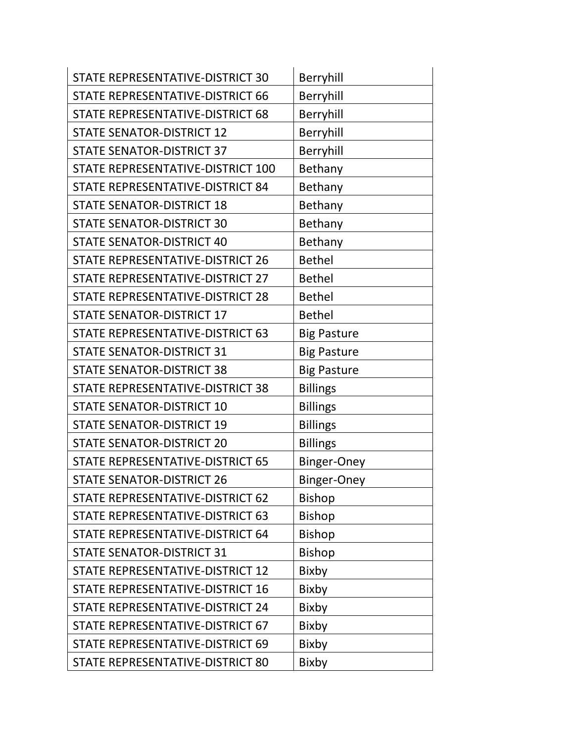| STATE REPRESENTATIVE-DISTRICT 30        | Berryhill          |
|-----------------------------------------|--------------------|
| <b>STATE REPRESENTATIVE-DISTRICT 66</b> | Berryhill          |
| STATE REPRESENTATIVE-DISTRICT 68        | Berryhill          |
| <b>STATE SENATOR-DISTRICT 12</b>        | Berryhill          |
| <b>STATE SENATOR-DISTRICT 37</b>        | Berryhill          |
| STATE REPRESENTATIVE-DISTRICT 100       | Bethany            |
| STATE REPRESENTATIVE-DISTRICT 84        | Bethany            |
| <b>STATE SENATOR-DISTRICT 18</b>        | Bethany            |
| <b>STATE SENATOR-DISTRICT 30</b>        | Bethany            |
| <b>STATE SENATOR-DISTRICT 40</b>        | Bethany            |
| <b>STATE REPRESENTATIVE-DISTRICT 26</b> | <b>Bethel</b>      |
| STATE REPRESENTATIVE-DISTRICT 27        | <b>Bethel</b>      |
| <b>STATE REPRESENTATIVE-DISTRICT 28</b> | <b>Bethel</b>      |
| <b>STATE SENATOR-DISTRICT 17</b>        | <b>Bethel</b>      |
| STATE REPRESENTATIVE-DISTRICT 63        | <b>Big Pasture</b> |
| <b>STATE SENATOR-DISTRICT 31</b>        | <b>Big Pasture</b> |
| <b>STATE SENATOR-DISTRICT 38</b>        | <b>Big Pasture</b> |
| STATE REPRESENTATIVE-DISTRICT 38        | <b>Billings</b>    |
| <b>STATE SENATOR-DISTRICT 10</b>        | <b>Billings</b>    |
| <b>STATE SENATOR-DISTRICT 19</b>        | <b>Billings</b>    |
| <b>STATE SENATOR-DISTRICT 20</b>        | <b>Billings</b>    |
| STATE REPRESENTATIVE-DISTRICT 65        | Binger-Oney        |
| <b>STATE SENATOR-DISTRICT 26</b>        | <b>Binger-Oney</b> |
| STATE REPRESENTATIVE-DISTRICT 62        | <b>Bishop</b>      |
| STATE REPRESENTATIVE-DISTRICT 63        | <b>Bishop</b>      |
| STATE REPRESENTATIVE-DISTRICT 64        | <b>Bishop</b>      |
| <b>STATE SENATOR-DISTRICT 31</b>        | <b>Bishop</b>      |
| STATE REPRESENTATIVE-DISTRICT 12        | <b>Bixby</b>       |
| STATE REPRESENTATIVE-DISTRICT 16        | Bixby              |
| STATE REPRESENTATIVE-DISTRICT 24        | Bixby              |
| STATE REPRESENTATIVE-DISTRICT 67        | <b>Bixby</b>       |
| STATE REPRESENTATIVE-DISTRICT 69        | Bixby              |
| STATE REPRESENTATIVE-DISTRICT 80        | Bixby              |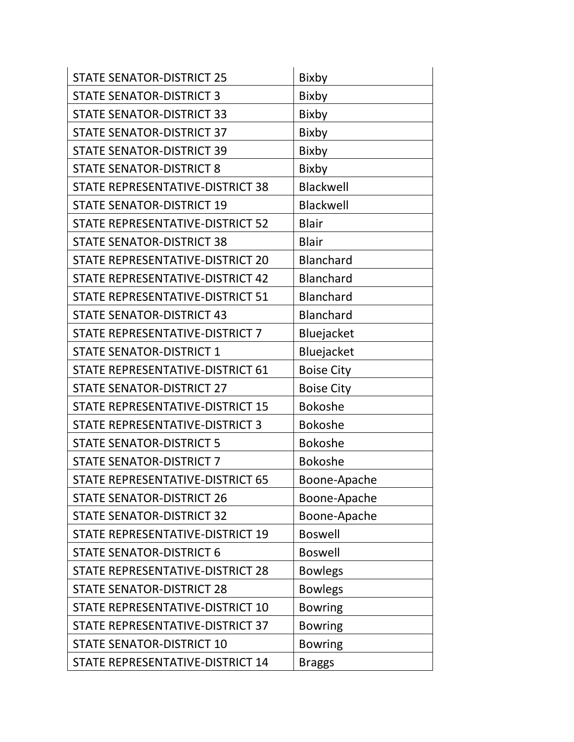| <b>STATE SENATOR-DISTRICT 25</b>        | <b>Bixby</b>      |
|-----------------------------------------|-------------------|
| <b>STATE SENATOR-DISTRICT 3</b>         | Bixby             |
| <b>STATE SENATOR-DISTRICT 33</b>        | Bixby             |
| <b>STATE SENATOR-DISTRICT 37</b>        | Bixby             |
| <b>STATE SENATOR-DISTRICT 39</b>        | <b>Bixby</b>      |
| <b>STATE SENATOR-DISTRICT 8</b>         | Bixby             |
| STATE REPRESENTATIVE-DISTRICT 38        | Blackwell         |
| <b>STATE SENATOR-DISTRICT 19</b>        | Blackwell         |
| STATE REPRESENTATIVE-DISTRICT 52        | <b>Blair</b>      |
| <b>STATE SENATOR-DISTRICT 38</b>        | <b>Blair</b>      |
| STATE REPRESENTATIVE-DISTRICT 20        | <b>Blanchard</b>  |
| STATE REPRESENTATIVE-DISTRICT 42        | <b>Blanchard</b>  |
| <b>STATE REPRESENTATIVE-DISTRICT 51</b> | <b>Blanchard</b>  |
| <b>STATE SENATOR-DISTRICT 43</b>        | Blanchard         |
| STATE REPRESENTATIVE-DISTRICT 7         | Bluejacket        |
| <b>STATE SENATOR-DISTRICT 1</b>         | Bluejacket        |
| STATE REPRESENTATIVE-DISTRICT 61        | <b>Boise City</b> |
| <b>STATE SENATOR-DISTRICT 27</b>        | <b>Boise City</b> |
| STATE REPRESENTATIVE-DISTRICT 15        | <b>Bokoshe</b>    |
| STATE REPRESENTATIVE-DISTRICT 3         | <b>Bokoshe</b>    |
| <b>STATE SENATOR-DISTRICT 5</b>         | <b>Bokoshe</b>    |
| <b>STATE SENATOR-DISTRICT 7</b>         | <b>Bokoshe</b>    |
| STATE REPRESENTATIVE-DISTRICT 65        | Boone-Apache      |
| <b>STATE SENATOR-DISTRICT 26</b>        | Boone-Apache      |
| <b>STATE SENATOR-DISTRICT 32</b>        | Boone-Apache      |
| STATE REPRESENTATIVE-DISTRICT 19        | <b>Boswell</b>    |
| <b>STATE SENATOR-DISTRICT 6</b>         | <b>Boswell</b>    |
| STATE REPRESENTATIVE-DISTRICT 28        | <b>Bowlegs</b>    |
| <b>STATE SENATOR-DISTRICT 28</b>        | <b>Bowlegs</b>    |
| STATE REPRESENTATIVE-DISTRICT 10        | <b>Bowring</b>    |
| STATE REPRESENTATIVE-DISTRICT 37        | <b>Bowring</b>    |
| <b>STATE SENATOR-DISTRICT 10</b>        | <b>Bowring</b>    |
| STATE REPRESENTATIVE-DISTRICT 14        | <b>Braggs</b>     |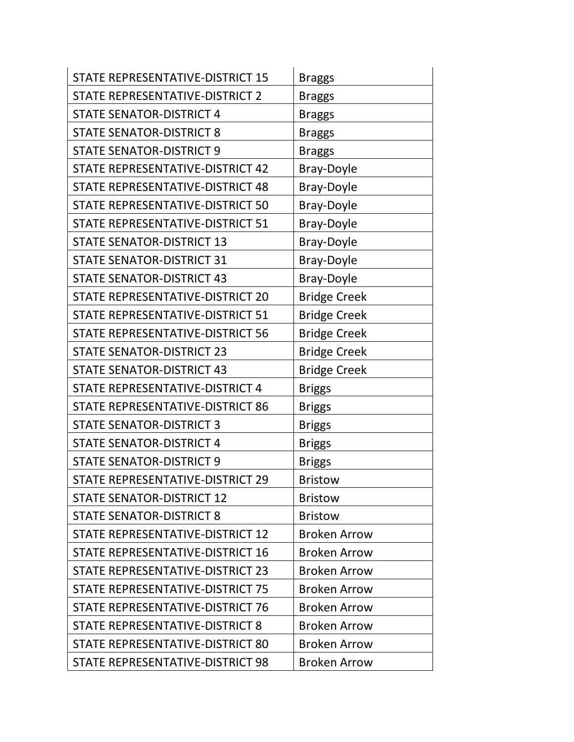| STATE REPRESENTATIVE-DISTRICT 15        | <b>Braggs</b>       |
|-----------------------------------------|---------------------|
| STATE REPRESENTATIVE-DISTRICT 2         | <b>Braggs</b>       |
| <b>STATE SENATOR-DISTRICT 4</b>         | <b>Braggs</b>       |
| <b>STATE SENATOR-DISTRICT 8</b>         | <b>Braggs</b>       |
| <b>STATE SENATOR-DISTRICT 9</b>         | <b>Braggs</b>       |
| STATE REPRESENTATIVE-DISTRICT 42        | Bray-Doyle          |
| STATE REPRESENTATIVE-DISTRICT 48        | <b>Bray-Doyle</b>   |
| STATE REPRESENTATIVE-DISTRICT 50        | Bray-Doyle          |
| STATE REPRESENTATIVE-DISTRICT 51        | <b>Bray-Doyle</b>   |
| <b>STATE SENATOR-DISTRICT 13</b>        | <b>Bray-Doyle</b>   |
| <b>STATE SENATOR-DISTRICT 31</b>        | <b>Bray-Doyle</b>   |
| <b>STATE SENATOR-DISTRICT 43</b>        | <b>Bray-Doyle</b>   |
| STATE REPRESENTATIVE-DISTRICT 20        | <b>Bridge Creek</b> |
| STATE REPRESENTATIVE-DISTRICT 51        | <b>Bridge Creek</b> |
| <b>STATE REPRESENTATIVE-DISTRICT 56</b> | <b>Bridge Creek</b> |
| <b>STATE SENATOR-DISTRICT 23</b>        | <b>Bridge Creek</b> |
| <b>STATE SENATOR-DISTRICT 43</b>        | <b>Bridge Creek</b> |
| STATE REPRESENTATIVE-DISTRICT 4         | <b>Briggs</b>       |
| STATE REPRESENTATIVE-DISTRICT 86        | <b>Briggs</b>       |
| <b>STATE SENATOR-DISTRICT 3</b>         | <b>Briggs</b>       |
| <b>STATE SENATOR-DISTRICT 4</b>         | <b>Briggs</b>       |
| <b>STATE SENATOR-DISTRICT 9</b>         | <b>Briggs</b>       |
| STATE REPRESENTATIVE-DISTRICT 29        | <b>Bristow</b>      |
| <b>STATE SENATOR-DISTRICT 12</b>        | <b>Bristow</b>      |
| <b>STATE SENATOR-DISTRICT 8</b>         | <b>Bristow</b>      |
| STATE REPRESENTATIVE-DISTRICT 12        | <b>Broken Arrow</b> |
| STATE REPRESENTATIVE-DISTRICT 16        | <b>Broken Arrow</b> |
| STATE REPRESENTATIVE-DISTRICT 23        | <b>Broken Arrow</b> |
| STATE REPRESENTATIVE-DISTRICT 75        | <b>Broken Arrow</b> |
| STATE REPRESENTATIVE-DISTRICT 76        | <b>Broken Arrow</b> |
| STATE REPRESENTATIVE-DISTRICT 8         | <b>Broken Arrow</b> |
| STATE REPRESENTATIVE-DISTRICT 80        | <b>Broken Arrow</b> |
| STATE REPRESENTATIVE-DISTRICT 98        | <b>Broken Arrow</b> |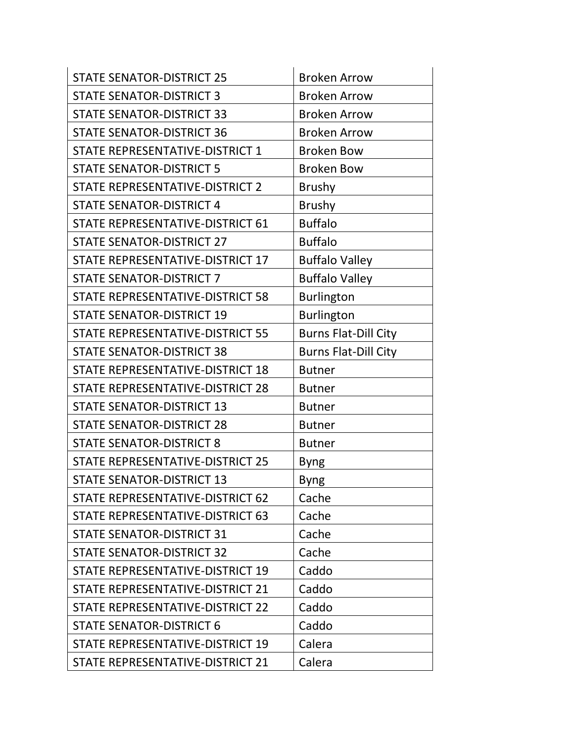| <b>STATE SENATOR-DISTRICT 25</b>        | <b>Broken Arrow</b>         |
|-----------------------------------------|-----------------------------|
| <b>STATE SENATOR-DISTRICT 3</b>         | <b>Broken Arrow</b>         |
| <b>STATE SENATOR-DISTRICT 33</b>        | <b>Broken Arrow</b>         |
| <b>STATE SENATOR-DISTRICT 36</b>        | <b>Broken Arrow</b>         |
| STATE REPRESENTATIVE-DISTRICT 1         | <b>Broken Bow</b>           |
| <b>STATE SENATOR-DISTRICT 5</b>         | <b>Broken Bow</b>           |
| STATE REPRESENTATIVE-DISTRICT 2         | <b>Brushy</b>               |
| <b>STATE SENATOR-DISTRICT 4</b>         | <b>Brushy</b>               |
| STATE REPRESENTATIVE-DISTRICT 61        | <b>Buffalo</b>              |
| <b>STATE SENATOR-DISTRICT 27</b>        | <b>Buffalo</b>              |
| STATE REPRESENTATIVE-DISTRICT 17        | <b>Buffalo Valley</b>       |
| <b>STATE SENATOR-DISTRICT 7</b>         | <b>Buffalo Valley</b>       |
| STATE REPRESENTATIVE-DISTRICT 58        | <b>Burlington</b>           |
| <b>STATE SENATOR-DISTRICT 19</b>        | <b>Burlington</b>           |
| <b>STATE REPRESENTATIVE-DISTRICT 55</b> | <b>Burns Flat-Dill City</b> |
| <b>STATE SENATOR-DISTRICT 38</b>        | <b>Burns Flat-Dill City</b> |
| STATE REPRESENTATIVE-DISTRICT 18        | <b>Butner</b>               |
| STATE REPRESENTATIVE-DISTRICT 28        | <b>Butner</b>               |
| <b>STATE SENATOR-DISTRICT 13</b>        | <b>Butner</b>               |
| <b>STATE SENATOR-DISTRICT 28</b>        | <b>Butner</b>               |
| <b>STATE SENATOR-DISTRICT 8</b>         | <b>Butner</b>               |
| STATE REPRESENTATIVE-DISTRICT 25        | <b>Byng</b>                 |
| <b>STATE SENATOR-DISTRICT 13</b>        | <b>Byng</b>                 |
| STATE REPRESENTATIVE-DISTRICT 62        | Cache                       |
| STATE REPRESENTATIVE-DISTRICT 63        | Cache                       |
| <b>STATE SENATOR-DISTRICT 31</b>        | Cache                       |
| <b>STATE SENATOR-DISTRICT 32</b>        | Cache                       |
| STATE REPRESENTATIVE-DISTRICT 19        | Caddo                       |
| STATE REPRESENTATIVE-DISTRICT 21        | Caddo                       |
| STATE REPRESENTATIVE-DISTRICT 22        | Caddo                       |
| <b>STATE SENATOR-DISTRICT 6</b>         | Caddo                       |
| STATE REPRESENTATIVE-DISTRICT 19        | Calera                      |
| STATE REPRESENTATIVE-DISTRICT 21        | Calera                      |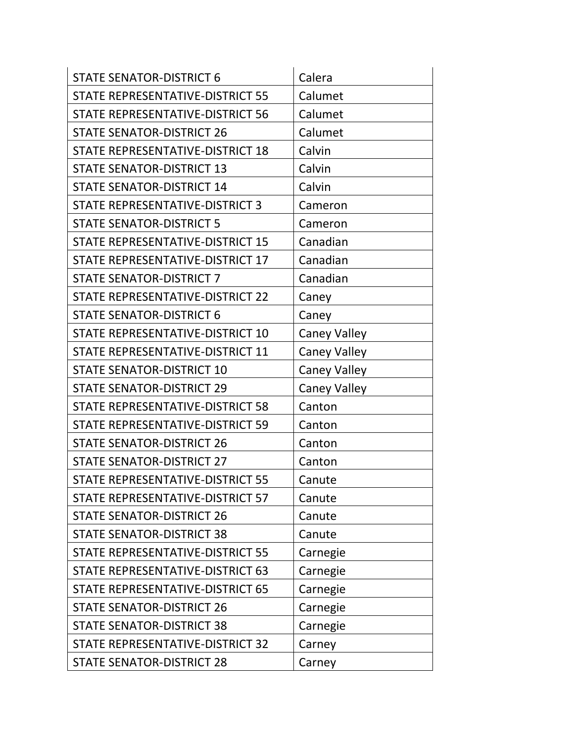| <b>STATE SENATOR-DISTRICT 6</b>  | Calera              |
|----------------------------------|---------------------|
| STATE REPRESENTATIVE-DISTRICT 55 | Calumet             |
| STATE REPRESENTATIVE-DISTRICT 56 | Calumet             |
| <b>STATE SENATOR-DISTRICT 26</b> | Calumet             |
| STATE REPRESENTATIVE-DISTRICT 18 | Calvin              |
| <b>STATE SENATOR-DISTRICT 13</b> | Calvin              |
| <b>STATE SENATOR-DISTRICT 14</b> | Calvin              |
| STATE REPRESENTATIVE-DISTRICT 3  | Cameron             |
| <b>STATE SENATOR-DISTRICT 5</b>  | Cameron             |
| STATE REPRESENTATIVE-DISTRICT 15 | Canadian            |
| STATE REPRESENTATIVE-DISTRICT 17 | Canadian            |
| <b>STATE SENATOR-DISTRICT 7</b>  | Canadian            |
| STATE REPRESENTATIVE-DISTRICT 22 | Caney               |
| <b>STATE SENATOR-DISTRICT 6</b>  | Caney               |
| STATE REPRESENTATIVE-DISTRICT 10 | <b>Caney Valley</b> |
| STATE REPRESENTATIVE-DISTRICT 11 | <b>Caney Valley</b> |
| <b>STATE SENATOR-DISTRICT 10</b> | <b>Caney Valley</b> |
| <b>STATE SENATOR-DISTRICT 29</b> | <b>Caney Valley</b> |
| STATE REPRESENTATIVE-DISTRICT 58 | Canton              |
| STATE REPRESENTATIVE-DISTRICT 59 | Canton              |
| <b>STATE SENATOR-DISTRICT 26</b> | Canton              |
| <b>STATE SENATOR-DISTRICT 27</b> | Canton              |
| STATE REPRESENTATIVE-DISTRICT 55 | Canute              |
| STATE REPRESENTATIVE-DISTRICT 57 | Canute              |
| <b>STATE SENATOR-DISTRICT 26</b> | Canute              |
| <b>STATE SENATOR-DISTRICT 38</b> | Canute              |
| STATE REPRESENTATIVE-DISTRICT 55 | Carnegie            |
| STATE REPRESENTATIVE-DISTRICT 63 | Carnegie            |
| STATE REPRESENTATIVE-DISTRICT 65 | Carnegie            |
| <b>STATE SENATOR-DISTRICT 26</b> | Carnegie            |
| <b>STATE SENATOR-DISTRICT 38</b> | Carnegie            |
| STATE REPRESENTATIVE-DISTRICT 32 | Carney              |
| <b>STATE SENATOR-DISTRICT 28</b> | Carney              |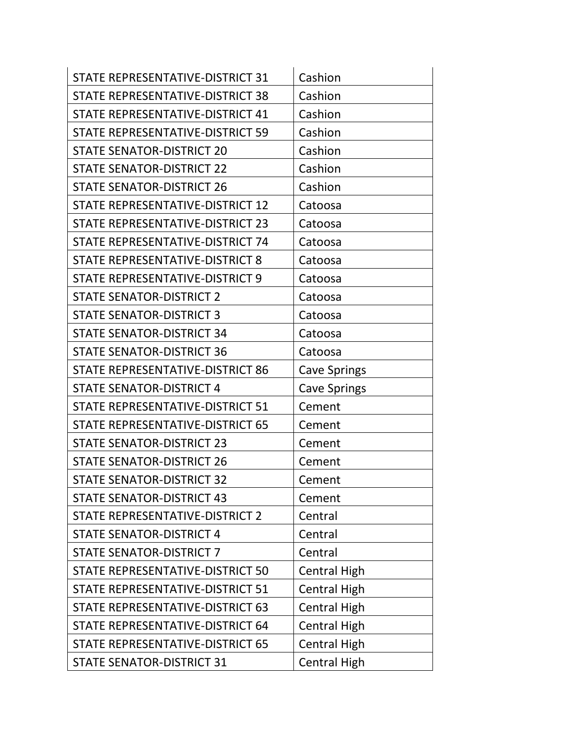| STATE REPRESENTATIVE-DISTRICT 31 | Cashion             |
|----------------------------------|---------------------|
| STATE REPRESENTATIVE-DISTRICT 38 | Cashion             |
| STATE REPRESENTATIVE-DISTRICT 41 | Cashion             |
| STATE REPRESENTATIVE-DISTRICT 59 | Cashion             |
| <b>STATE SENATOR-DISTRICT 20</b> | Cashion             |
| <b>STATE SENATOR-DISTRICT 22</b> | Cashion             |
| <b>STATE SENATOR-DISTRICT 26</b> | Cashion             |
| STATE REPRESENTATIVE-DISTRICT 12 | Catoosa             |
| STATE REPRESENTATIVE-DISTRICT 23 | Catoosa             |
| STATE REPRESENTATIVE-DISTRICT 74 | Catoosa             |
| STATE REPRESENTATIVE-DISTRICT 8  | Catoosa             |
| STATE REPRESENTATIVE-DISTRICT 9  | Catoosa             |
| <b>STATE SENATOR-DISTRICT 2</b>  | Catoosa             |
| <b>STATE SENATOR-DISTRICT 3</b>  | Catoosa             |
| <b>STATE SENATOR-DISTRICT 34</b> | Catoosa             |
| <b>STATE SENATOR-DISTRICT 36</b> | Catoosa             |
| STATE REPRESENTATIVE-DISTRICT 86 | <b>Cave Springs</b> |
| <b>STATE SENATOR-DISTRICT 4</b>  | <b>Cave Springs</b> |
| STATE REPRESENTATIVE-DISTRICT 51 | Cement              |
| STATE REPRESENTATIVE-DISTRICT 65 | Cement              |
| <b>STATE SENATOR-DISTRICT 23</b> | Cement              |
| <b>STATE SENATOR-DISTRICT 26</b> | Cement              |
| <b>STATE SENATOR-DISTRICT 32</b> | Cement              |
| <b>STATE SENATOR-DISTRICT 43</b> | Cement              |
| STATE REPRESENTATIVE-DISTRICT 2  | Central             |
| <b>STATE SENATOR-DISTRICT 4</b>  | Central             |
| <b>STATE SENATOR-DISTRICT 7</b>  | Central             |
| STATE REPRESENTATIVE-DISTRICT 50 | <b>Central High</b> |
| STATE REPRESENTATIVE-DISTRICT 51 | <b>Central High</b> |
| STATE REPRESENTATIVE-DISTRICT 63 | <b>Central High</b> |
| STATE REPRESENTATIVE-DISTRICT 64 | <b>Central High</b> |
| STATE REPRESENTATIVE-DISTRICT 65 | <b>Central High</b> |
| <b>STATE SENATOR-DISTRICT 31</b> | <b>Central High</b> |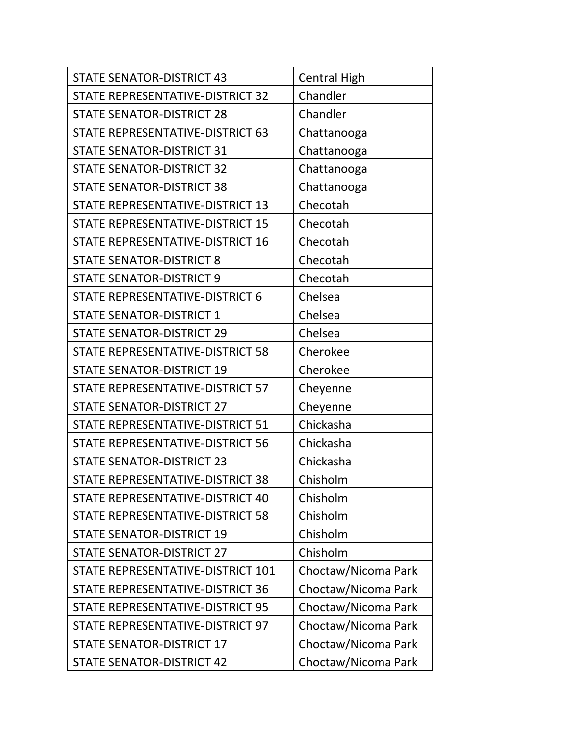| <b>STATE SENATOR-DISTRICT 43</b>        | <b>Central High</b> |
|-----------------------------------------|---------------------|
| STATE REPRESENTATIVE-DISTRICT 32        | Chandler            |
| <b>STATE SENATOR-DISTRICT 28</b>        | Chandler            |
| STATE REPRESENTATIVE-DISTRICT 63        | Chattanooga         |
| <b>STATE SENATOR-DISTRICT 31</b>        | Chattanooga         |
| <b>STATE SENATOR-DISTRICT 32</b>        | Chattanooga         |
| <b>STATE SENATOR-DISTRICT 38</b>        | Chattanooga         |
| STATE REPRESENTATIVE-DISTRICT 13        | Checotah            |
| STATE REPRESENTATIVE-DISTRICT 15        | Checotah            |
| STATE REPRESENTATIVE-DISTRICT 16        | Checotah            |
| <b>STATE SENATOR-DISTRICT 8</b>         | Checotah            |
| <b>STATE SENATOR-DISTRICT 9</b>         | Checotah            |
| STATE REPRESENTATIVE-DISTRICT 6         | Chelsea             |
| <b>STATE SENATOR-DISTRICT 1</b>         | Chelsea             |
| <b>STATE SENATOR-DISTRICT 29</b>        | Chelsea             |
| STATE REPRESENTATIVE-DISTRICT 58        | Cherokee            |
| <b>STATE SENATOR-DISTRICT 19</b>        | Cherokee            |
| STATE REPRESENTATIVE-DISTRICT 57        | Cheyenne            |
| <b>STATE SENATOR-DISTRICT 27</b>        | Cheyenne            |
| STATE REPRESENTATIVE-DISTRICT 51        | Chickasha           |
| <b>STATE REPRESENTATIVE-DISTRICT 56</b> | Chickasha           |
| <b>STATE SENATOR-DISTRICT 23</b>        | Chickasha           |
| STATE REPRESENTATIVE-DISTRICT 38        | Chisholm            |
| STATE REPRESENTATIVE-DISTRICT 40        | Chisholm            |
| STATE REPRESENTATIVE-DISTRICT 58        | Chisholm            |
| <b>STATE SENATOR-DISTRICT 19</b>        | Chisholm            |
| <b>STATE SENATOR-DISTRICT 27</b>        | Chisholm            |
| STATE REPRESENTATIVE-DISTRICT 101       | Choctaw/Nicoma Park |
| STATE REPRESENTATIVE-DISTRICT 36        | Choctaw/Nicoma Park |
| STATE REPRESENTATIVE-DISTRICT 95        | Choctaw/Nicoma Park |
| STATE REPRESENTATIVE-DISTRICT 97        | Choctaw/Nicoma Park |
| <b>STATE SENATOR-DISTRICT 17</b>        | Choctaw/Nicoma Park |
| <b>STATE SENATOR-DISTRICT 42</b>        | Choctaw/Nicoma Park |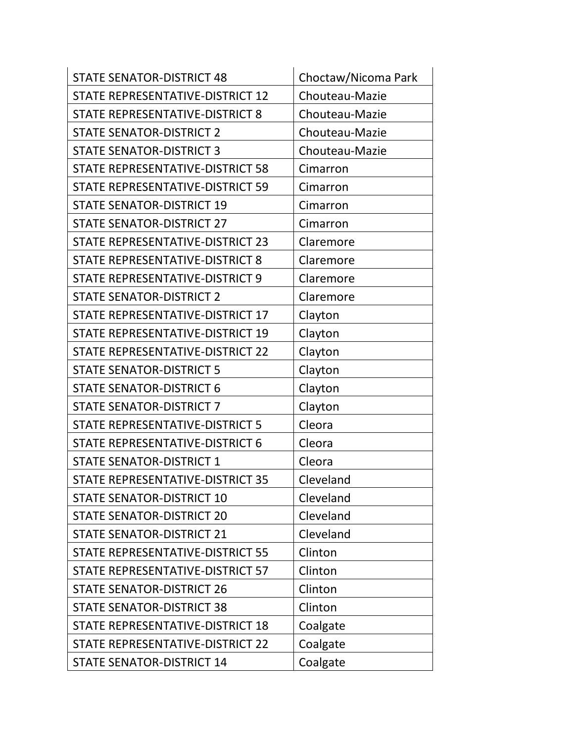| <b>STATE SENATOR-DISTRICT 48</b>        | Choctaw/Nicoma Park |
|-----------------------------------------|---------------------|
| STATE REPRESENTATIVE-DISTRICT 12        | Chouteau-Mazie      |
| STATE REPRESENTATIVE-DISTRICT 8         | Chouteau-Mazie      |
| <b>STATE SENATOR-DISTRICT 2</b>         | Chouteau-Mazie      |
| <b>STATE SENATOR-DISTRICT 3</b>         | Chouteau-Mazie      |
| STATE REPRESENTATIVE-DISTRICT 58        | Cimarron            |
| STATE REPRESENTATIVE-DISTRICT 59        | Cimarron            |
| <b>STATE SENATOR-DISTRICT 19</b>        | Cimarron            |
| <b>STATE SENATOR-DISTRICT 27</b>        | Cimarron            |
| STATE REPRESENTATIVE-DISTRICT 23        | Claremore           |
| STATE REPRESENTATIVE-DISTRICT 8         | Claremore           |
| STATE REPRESENTATIVE-DISTRICT 9         | Claremore           |
| <b>STATE SENATOR-DISTRICT 2</b>         | Claremore           |
| STATE REPRESENTATIVE-DISTRICT 17        | Clayton             |
| STATE REPRESENTATIVE-DISTRICT 19        | Clayton             |
| STATE REPRESENTATIVE-DISTRICT 22        | Clayton             |
| <b>STATE SENATOR-DISTRICT 5</b>         | Clayton             |
| <b>STATE SENATOR-DISTRICT 6</b>         | Clayton             |
| <b>STATE SENATOR-DISTRICT 7</b>         | Clayton             |
| STATE REPRESENTATIVE-DISTRICT 5         | Cleora              |
| STATE REPRESENTATIVE-DISTRICT 6         | Cleora              |
| <b>STATE SENATOR-DISTRICT 1</b>         | Cleora              |
| STATE REPRESENTATIVE-DISTRICT 35        | Cleveland           |
| <b>STATE SENATOR-DISTRICT 10</b>        | Cleveland           |
| <b>STATE SENATOR-DISTRICT 20</b>        | Cleveland           |
| <b>STATE SENATOR-DISTRICT 21</b>        | Cleveland           |
| <b>STATE REPRESENTATIVE-DISTRICT 55</b> | Clinton             |
| STATE REPRESENTATIVE-DISTRICT 57        | Clinton             |
| <b>STATE SENATOR-DISTRICT 26</b>        | Clinton             |
| <b>STATE SENATOR-DISTRICT 38</b>        | Clinton             |
| STATE REPRESENTATIVE-DISTRICT 18        | Coalgate            |
| STATE REPRESENTATIVE-DISTRICT 22        | Coalgate            |
| <b>STATE SENATOR-DISTRICT 14</b>        | Coalgate            |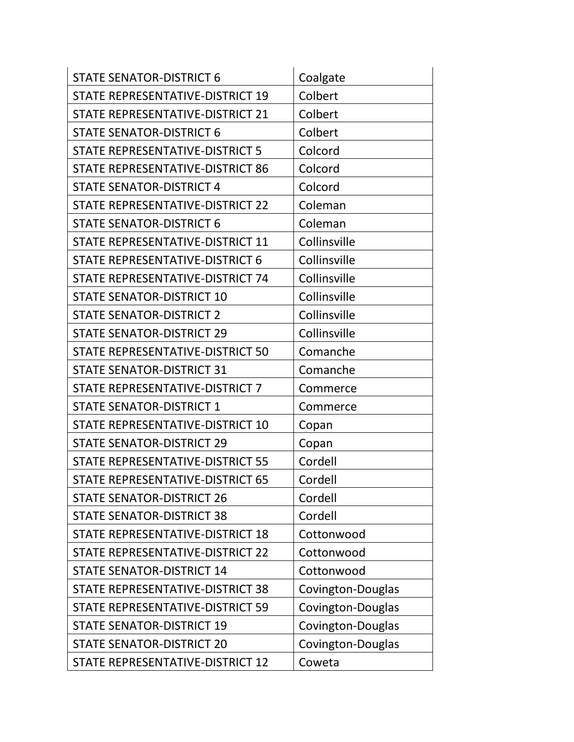| <b>STATE SENATOR-DISTRICT 6</b>        | Coalgate          |
|----------------------------------------|-------------------|
| STATE REPRESENTATIVE-DISTRICT 19       | Colbert           |
| STATE REPRESENTATIVE-DISTRICT 21       | Colbert           |
| <b>STATE SENATOR-DISTRICT 6</b>        | Colbert           |
| STATE REPRESENTATIVE-DISTRICT 5        | Colcord           |
| STATE REPRESENTATIVE-DISTRICT 86       | Colcord           |
| <b>STATE SENATOR-DISTRICT 4</b>        | Colcord           |
| STATE REPRESENTATIVE-DISTRICT 22       | Coleman           |
| <b>STATE SENATOR-DISTRICT 6</b>        | Coleman           |
| STATE REPRESENTATIVE-DISTRICT 11       | Collinsville      |
| <b>STATE REPRESENTATIVE-DISTRICT 6</b> | Collinsville      |
| STATE REPRESENTATIVE-DISTRICT 74       | Collinsville      |
| <b>STATE SENATOR-DISTRICT 10</b>       | Collinsville      |
| <b>STATE SENATOR-DISTRICT 2</b>        | Collinsville      |
| <b>STATE SENATOR-DISTRICT 29</b>       | Collinsville      |
| STATE REPRESENTATIVE-DISTRICT 50       | Comanche          |
| <b>STATE SENATOR-DISTRICT 31</b>       | Comanche          |
| STATE REPRESENTATIVE-DISTRICT 7        | Commerce          |
| <b>STATE SENATOR-DISTRICT 1</b>        | Commerce          |
| STATE REPRESENTATIVE-DISTRICT 10       | Copan             |
| <b>STATE SENATOR-DISTRICT 29</b>       | Copan             |
| STATE REPRESENTATIVE-DISTRICT 55       | Cordell           |
| STATE REPRESENTATIVE-DISTRICT 65       | Cordell           |
| <b>STATE SENATOR-DISTRICT 26</b>       | Cordell           |
| <b>STATE SENATOR-DISTRICT 38</b>       | Cordell           |
| STATE REPRESENTATIVE-DISTRICT 18       | Cottonwood        |
| STATE REPRESENTATIVE-DISTRICT 22       | Cottonwood        |
| <b>STATE SENATOR-DISTRICT 14</b>       | Cottonwood        |
| STATE REPRESENTATIVE-DISTRICT 38       | Covington-Douglas |
| STATE REPRESENTATIVE-DISTRICT 59       | Covington-Douglas |
| <b>STATE SENATOR-DISTRICT 19</b>       | Covington-Douglas |
| <b>STATE SENATOR-DISTRICT 20</b>       | Covington-Douglas |
| STATE REPRESENTATIVE-DISTRICT 12       | Coweta            |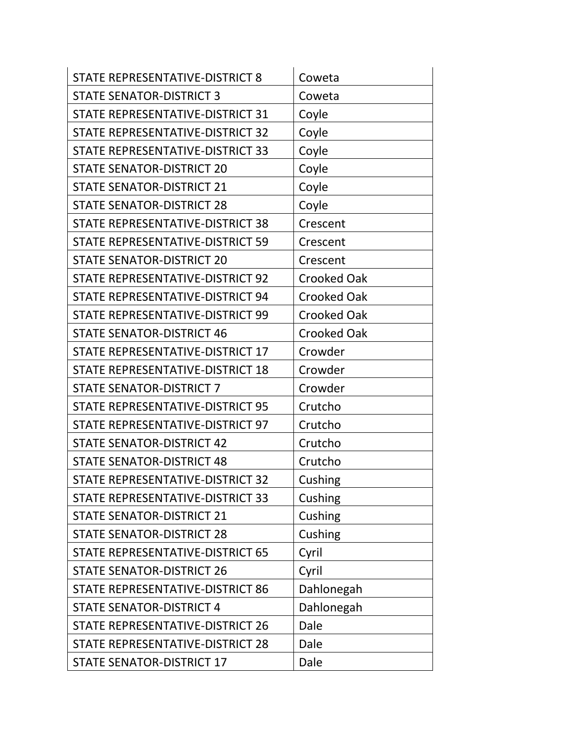| STATE REPRESENTATIVE-DISTRICT 8         | Coweta             |
|-----------------------------------------|--------------------|
| <b>STATE SENATOR-DISTRICT 3</b>         | Coweta             |
| STATE REPRESENTATIVE-DISTRICT 31        | Coyle              |
| STATE REPRESENTATIVE-DISTRICT 32        | Coyle              |
| STATE REPRESENTATIVE-DISTRICT 33        | Coyle              |
| <b>STATE SENATOR-DISTRICT 20</b>        | Coyle              |
| <b>STATE SENATOR-DISTRICT 21</b>        | Coyle              |
| <b>STATE SENATOR-DISTRICT 28</b>        | Coyle              |
| STATE REPRESENTATIVE-DISTRICT 38        | Crescent           |
| STATE REPRESENTATIVE-DISTRICT 59        | Crescent           |
| <b>STATE SENATOR-DISTRICT 20</b>        | Crescent           |
| STATE REPRESENTATIVE-DISTRICT 92        | <b>Crooked Oak</b> |
| STATE REPRESENTATIVE-DISTRICT 94        | <b>Crooked Oak</b> |
| STATE REPRESENTATIVE-DISTRICT 99        | <b>Crooked Oak</b> |
| <b>STATE SENATOR-DISTRICT 46</b>        | <b>Crooked Oak</b> |
| STATE REPRESENTATIVE-DISTRICT 17        | Crowder            |
| STATE REPRESENTATIVE-DISTRICT 18        | Crowder            |
| <b>STATE SENATOR-DISTRICT 7</b>         | Crowder            |
| STATE REPRESENTATIVE-DISTRICT 95        | Crutcho            |
| STATE REPRESENTATIVE-DISTRICT 97        | Crutcho            |
| <b>STATE SENATOR-DISTRICT 42</b>        | Crutcho            |
| <b>STATE SENATOR-DISTRICT 48</b>        | Crutcho            |
| STATE REPRESENTATIVE-DISTRICT 32        | Cushing            |
| STATE REPRESENTATIVE-DISTRICT 33        | Cushing            |
| <b>STATE SENATOR-DISTRICT 21</b>        | Cushing            |
| <b>STATE SENATOR-DISTRICT 28</b>        | Cushing            |
| STATE REPRESENTATIVE-DISTRICT 65        | Cyril              |
| <b>STATE SENATOR-DISTRICT 26</b>        | Cyril              |
| <b>STATE REPRESENTATIVE-DISTRICT 86</b> | Dahlonegah         |
| <b>STATE SENATOR-DISTRICT 4</b>         | Dahlonegah         |
| STATE REPRESENTATIVE-DISTRICT 26        | Dale               |
| STATE REPRESENTATIVE-DISTRICT 28        | Dale               |
| <b>STATE SENATOR-DISTRICT 17</b>        | Dale               |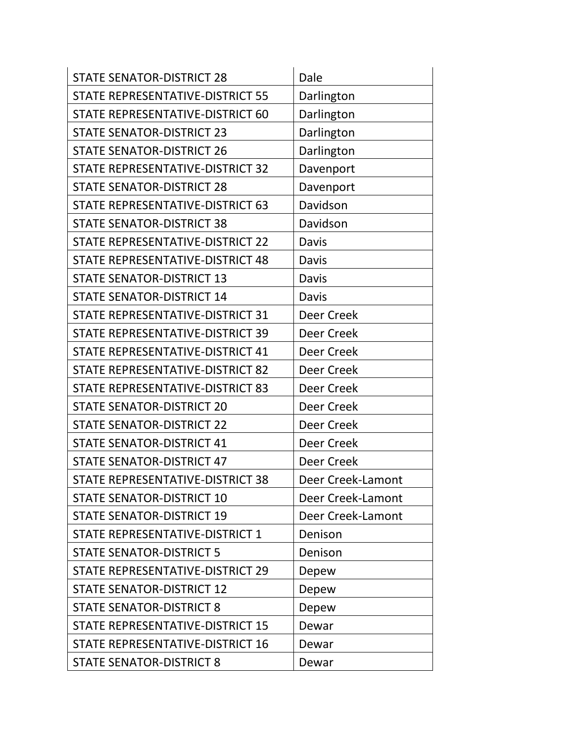| <b>STATE SENATOR-DISTRICT 28</b> | Dale              |
|----------------------------------|-------------------|
| STATE REPRESENTATIVE-DISTRICT 55 | Darlington        |
| STATE REPRESENTATIVE-DISTRICT 60 | Darlington        |
| <b>STATE SENATOR-DISTRICT 23</b> | Darlington        |
| <b>STATE SENATOR-DISTRICT 26</b> | Darlington        |
| STATE REPRESENTATIVE-DISTRICT 32 | Davenport         |
| <b>STATE SENATOR-DISTRICT 28</b> | Davenport         |
| STATE REPRESENTATIVE-DISTRICT 63 | Davidson          |
| <b>STATE SENATOR-DISTRICT 38</b> | Davidson          |
| STATE REPRESENTATIVE-DISTRICT 22 | <b>Davis</b>      |
| STATE REPRESENTATIVE-DISTRICT 48 | <b>Davis</b>      |
| <b>STATE SENATOR-DISTRICT 13</b> | <b>Davis</b>      |
| <b>STATE SENATOR-DISTRICT 14</b> | <b>Davis</b>      |
| STATE REPRESENTATIVE-DISTRICT 31 | Deer Creek        |
| STATE REPRESENTATIVE-DISTRICT 39 | Deer Creek        |
| STATE REPRESENTATIVE-DISTRICT 41 | Deer Creek        |
| STATE REPRESENTATIVE-DISTRICT 82 | Deer Creek        |
| STATE REPRESENTATIVE-DISTRICT 83 | Deer Creek        |
| <b>STATE SENATOR-DISTRICT 20</b> | Deer Creek        |
| <b>STATE SENATOR-DISTRICT 22</b> | Deer Creek        |
| <b>STATE SENATOR-DISTRICT 41</b> | Deer Creek        |
| <b>STATE SENATOR-DISTRICT 47</b> | Deer Creek        |
| STATE REPRESENTATIVE-DISTRICT 38 | Deer Creek-Lamont |
| <b>STATE SENATOR-DISTRICT 10</b> | Deer Creek-Lamont |
| <b>STATE SENATOR-DISTRICT 19</b> | Deer Creek-Lamont |
| STATE REPRESENTATIVE-DISTRICT 1  | Denison           |
| <b>STATE SENATOR-DISTRICT 5</b>  | Denison           |
| STATE REPRESENTATIVE-DISTRICT 29 | Depew             |
| <b>STATE SENATOR-DISTRICT 12</b> | Depew             |
| <b>STATE SENATOR-DISTRICT 8</b>  | Depew             |
| STATE REPRESENTATIVE-DISTRICT 15 | Dewar             |
| STATE REPRESENTATIVE-DISTRICT 16 | Dewar             |
| <b>STATE SENATOR-DISTRICT 8</b>  | Dewar             |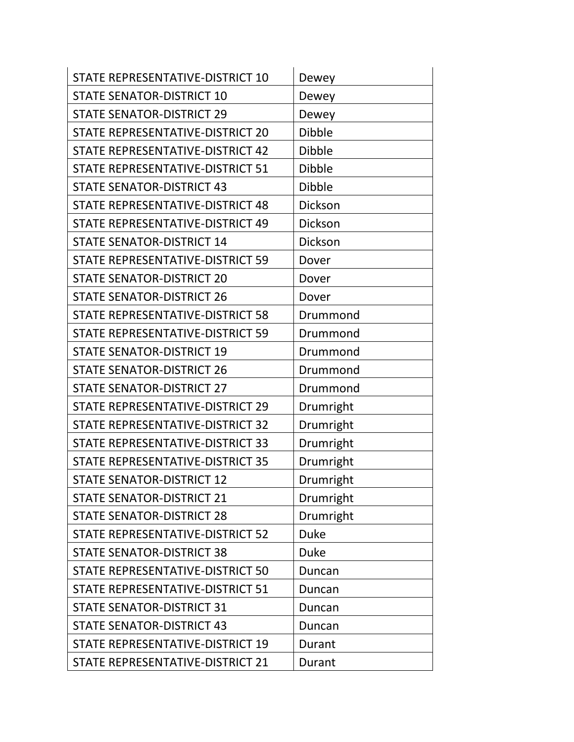| STATE REPRESENTATIVE-DISTRICT 10        | Dewey         |
|-----------------------------------------|---------------|
| <b>STATE SENATOR-DISTRICT 10</b>        | Dewey         |
| <b>STATE SENATOR-DISTRICT 29</b>        | Dewey         |
| STATE REPRESENTATIVE-DISTRICT 20        | <b>Dibble</b> |
| STATE REPRESENTATIVE-DISTRICT 42        | <b>Dibble</b> |
| <b>STATE REPRESENTATIVE-DISTRICT 51</b> | <b>Dibble</b> |
| <b>STATE SENATOR-DISTRICT 43</b>        | <b>Dibble</b> |
| STATE REPRESENTATIVE-DISTRICT 48        | Dickson       |
| STATE REPRESENTATIVE-DISTRICT 49        | Dickson       |
| <b>STATE SENATOR-DISTRICT 14</b>        | Dickson       |
| STATE REPRESENTATIVE-DISTRICT 59        | Dover         |
| <b>STATE SENATOR-DISTRICT 20</b>        | Dover         |
| <b>STATE SENATOR-DISTRICT 26</b>        | Dover         |
| STATE REPRESENTATIVE-DISTRICT 58        | Drummond      |
| STATE REPRESENTATIVE-DISTRICT 59        | Drummond      |
| <b>STATE SENATOR-DISTRICT 19</b>        | Drummond      |
| <b>STATE SENATOR-DISTRICT 26</b>        | Drummond      |
| <b>STATE SENATOR-DISTRICT 27</b>        | Drummond      |
| STATE REPRESENTATIVE-DISTRICT 29        | Drumright     |
| STATE REPRESENTATIVE-DISTRICT 32        | Drumright     |
| STATE REPRESENTATIVE-DISTRICT 33        | Drumright     |
| STATE REPRESENTATIVE-DISTRICT 35        | Drumright     |
| <b>STATE SENATOR-DISTRICT 12</b>        | Drumright     |
| <b>STATE SENATOR-DISTRICT 21</b>        | Drumright     |
| <b>STATE SENATOR-DISTRICT 28</b>        | Drumright     |
| STATE REPRESENTATIVE-DISTRICT 52        | <b>Duke</b>   |
| <b>STATE SENATOR-DISTRICT 38</b>        | <b>Duke</b>   |
| <b>STATE REPRESENTATIVE-DISTRICT 50</b> | Duncan        |
| STATE REPRESENTATIVE-DISTRICT 51        | Duncan        |
| <b>STATE SENATOR-DISTRICT 31</b>        | Duncan        |
| <b>STATE SENATOR-DISTRICT 43</b>        | Duncan        |
| STATE REPRESENTATIVE-DISTRICT 19        | Durant        |
| STATE REPRESENTATIVE-DISTRICT 21        | Durant        |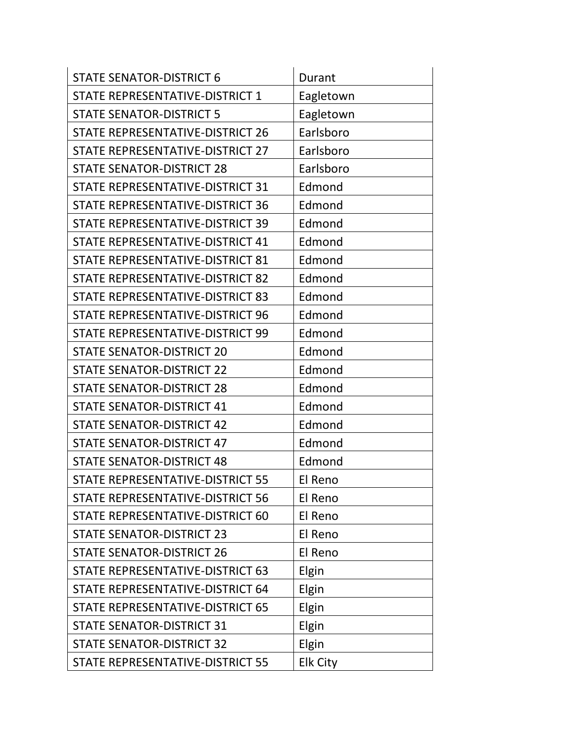| <b>STATE SENATOR-DISTRICT 6</b>         | Durant          |
|-----------------------------------------|-----------------|
| STATE REPRESENTATIVE-DISTRICT 1         | Eagletown       |
| <b>STATE SENATOR-DISTRICT 5</b>         | Eagletown       |
| STATE REPRESENTATIVE-DISTRICT 26        | Earlsboro       |
| STATE REPRESENTATIVE-DISTRICT 27        | Earlsboro       |
| <b>STATE SENATOR-DISTRICT 28</b>        | Earlsboro       |
| STATE REPRESENTATIVE-DISTRICT 31        | Edmond          |
| <b>STATE REPRESENTATIVE-DISTRICT 36</b> | Edmond          |
| STATE REPRESENTATIVE-DISTRICT 39        | Edmond          |
| STATE REPRESENTATIVE-DISTRICT 41        | Edmond          |
| STATE REPRESENTATIVE-DISTRICT 81        | Edmond          |
| STATE REPRESENTATIVE-DISTRICT 82        | Edmond          |
| STATE REPRESENTATIVE-DISTRICT 83        | Edmond          |
| STATE REPRESENTATIVE-DISTRICT 96        | Edmond          |
| STATE REPRESENTATIVE-DISTRICT 99        | Edmond          |
| <b>STATE SENATOR-DISTRICT 20</b>        | Edmond          |
| <b>STATE SENATOR-DISTRICT 22</b>        | Edmond          |
| <b>STATE SENATOR-DISTRICT 28</b>        | Edmond          |
| <b>STATE SENATOR-DISTRICT 41</b>        | Edmond          |
| <b>STATE SENATOR-DISTRICT 42</b>        | Edmond          |
| <b>STATE SENATOR-DISTRICT 47</b>        | Edmond          |
| <b>STATE SENATOR-DISTRICT 48</b>        | Edmond          |
| <b>STATE REPRESENTATIVE-DISTRICT 55</b> | El Reno         |
| STATE REPRESENTATIVE-DISTRICT 56        | El Reno         |
| STATE REPRESENTATIVE-DISTRICT 60        | El Reno         |
| <b>STATE SENATOR-DISTRICT 23</b>        | El Reno         |
| <b>STATE SENATOR-DISTRICT 26</b>        | El Reno         |
| STATE REPRESENTATIVE-DISTRICT 63        | Elgin           |
| STATE REPRESENTATIVE-DISTRICT 64        | Elgin           |
| STATE REPRESENTATIVE-DISTRICT 65        | Elgin           |
| <b>STATE SENATOR-DISTRICT 31</b>        | Elgin           |
| <b>STATE SENATOR-DISTRICT 32</b>        | Elgin           |
| STATE REPRESENTATIVE-DISTRICT 55        | <b>Elk City</b> |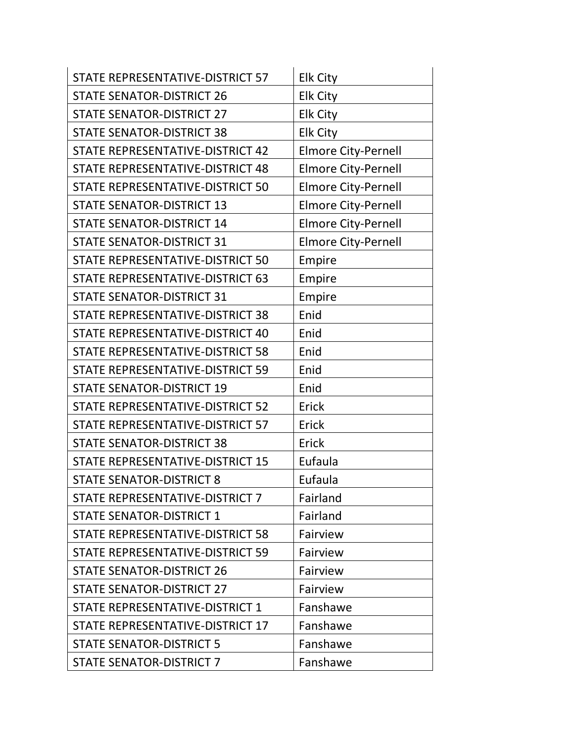| STATE REPRESENTATIVE-DISTRICT 57 | <b>Elk City</b>            |
|----------------------------------|----------------------------|
| <b>STATE SENATOR-DISTRICT 26</b> | <b>Elk City</b>            |
| <b>STATE SENATOR-DISTRICT 27</b> | <b>Elk City</b>            |
| <b>STATE SENATOR-DISTRICT 38</b> | <b>Elk City</b>            |
| STATE REPRESENTATIVE-DISTRICT 42 | <b>Elmore City-Pernell</b> |
| STATE REPRESENTATIVE-DISTRICT 48 | <b>Elmore City-Pernell</b> |
| STATE REPRESENTATIVE-DISTRICT 50 | <b>Elmore City-Pernell</b> |
| <b>STATE SENATOR-DISTRICT 13</b> | <b>Elmore City-Pernell</b> |
| <b>STATE SENATOR-DISTRICT 14</b> | <b>Elmore City-Pernell</b> |
| <b>STATE SENATOR-DISTRICT 31</b> | <b>Elmore City-Pernell</b> |
| STATE REPRESENTATIVE-DISTRICT 50 | Empire                     |
| STATE REPRESENTATIVE-DISTRICT 63 | Empire                     |
| <b>STATE SENATOR-DISTRICT 31</b> | Empire                     |
| STATE REPRESENTATIVE-DISTRICT 38 | Enid                       |
| STATE REPRESENTATIVE-DISTRICT 40 | Enid                       |
| STATE REPRESENTATIVE-DISTRICT 58 | Enid                       |
| STATE REPRESENTATIVE-DISTRICT 59 | Enid                       |
| <b>STATE SENATOR-DISTRICT 19</b> | Enid                       |
| STATE REPRESENTATIVE-DISTRICT 52 | Erick                      |
| STATE REPRESENTATIVE-DISTRICT 57 | Erick                      |
| <b>STATE SENATOR-DISTRICT 38</b> | Erick                      |
| STATE REPRESENTATIVE-DISTRICT 15 | Eufaula                    |
| <b>STATE SENATOR-DISTRICT 8</b>  | Eufaula                    |
| STATE REPRESENTATIVE-DISTRICT 7  | Fairland                   |
| <b>STATE SENATOR-DISTRICT 1</b>  | Fairland                   |
| STATE REPRESENTATIVE-DISTRICT 58 | Fairview                   |
| STATE REPRESENTATIVE-DISTRICT 59 | Fairview                   |
| <b>STATE SENATOR-DISTRICT 26</b> | Fairview                   |
| <b>STATE SENATOR-DISTRICT 27</b> | Fairview                   |
| STATE REPRESENTATIVE-DISTRICT 1  | Fanshawe                   |
| STATE REPRESENTATIVE-DISTRICT 17 | Fanshawe                   |
| <b>STATE SENATOR-DISTRICT 5</b>  | Fanshawe                   |
| <b>STATE SENATOR-DISTRICT 7</b>  | Fanshawe                   |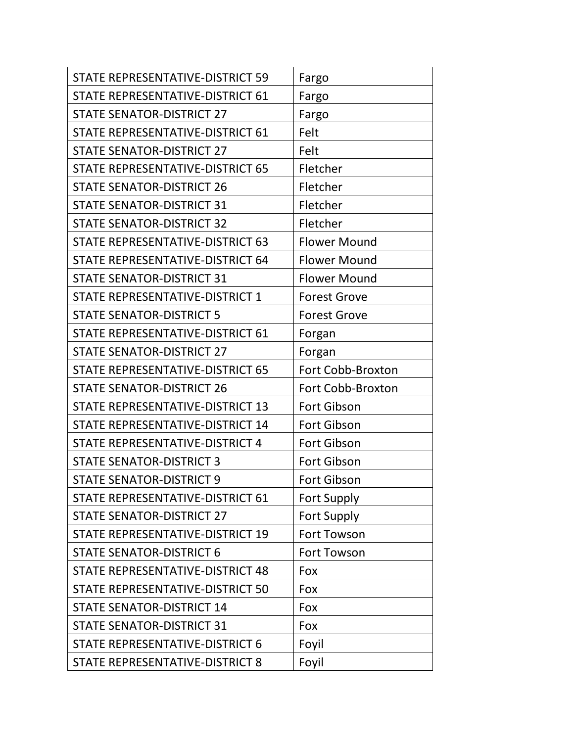| STATE REPRESENTATIVE-DISTRICT 59 | Fargo               |
|----------------------------------|---------------------|
| STATE REPRESENTATIVE-DISTRICT 61 | Fargo               |
| <b>STATE SENATOR-DISTRICT 27</b> | Fargo               |
| STATE REPRESENTATIVE-DISTRICT 61 | Felt                |
| <b>STATE SENATOR-DISTRICT 27</b> | Felt                |
| STATE REPRESENTATIVE-DISTRICT 65 | Fletcher            |
| <b>STATE SENATOR-DISTRICT 26</b> | Fletcher            |
| <b>STATE SENATOR-DISTRICT 31</b> | Fletcher            |
| <b>STATE SENATOR-DISTRICT 32</b> | Fletcher            |
| STATE REPRESENTATIVE-DISTRICT 63 | <b>Flower Mound</b> |
| STATE REPRESENTATIVE-DISTRICT 64 | <b>Flower Mound</b> |
| <b>STATE SENATOR-DISTRICT 31</b> | <b>Flower Mound</b> |
| STATE REPRESENTATIVE-DISTRICT 1  | <b>Forest Grove</b> |
| <b>STATE SENATOR-DISTRICT 5</b>  | <b>Forest Grove</b> |
| STATE REPRESENTATIVE-DISTRICT 61 | Forgan              |
| <b>STATE SENATOR-DISTRICT 27</b> | Forgan              |
| STATE REPRESENTATIVE-DISTRICT 65 | Fort Cobb-Broxton   |
| <b>STATE SENATOR-DISTRICT 26</b> | Fort Cobb-Broxton   |
| STATE REPRESENTATIVE-DISTRICT 13 | Fort Gibson         |
| STATE REPRESENTATIVE-DISTRICT 14 | <b>Fort Gibson</b>  |
| STATE REPRESENTATIVE-DISTRICT 4  | Fort Gibson         |
| <b>STATE SENATOR-DISTRICT 3</b>  | <b>Fort Gibson</b>  |
| <b>STATE SENATOR-DISTRICT 9</b>  | <b>Fort Gibson</b>  |
| STATE REPRESENTATIVE-DISTRICT 61 | <b>Fort Supply</b>  |
| <b>STATE SENATOR-DISTRICT 27</b> | <b>Fort Supply</b>  |
| STATE REPRESENTATIVE-DISTRICT 19 | <b>Fort Towson</b>  |
| <b>STATE SENATOR-DISTRICT 6</b>  | Fort Towson         |
| STATE REPRESENTATIVE-DISTRICT 48 | Fox                 |
| STATE REPRESENTATIVE-DISTRICT 50 | Fox                 |
| <b>STATE SENATOR-DISTRICT 14</b> | Fox                 |
| <b>STATE SENATOR-DISTRICT 31</b> | Fox                 |
| STATE REPRESENTATIVE-DISTRICT 6  | Foyil               |
| STATE REPRESENTATIVE-DISTRICT 8  | Foyil               |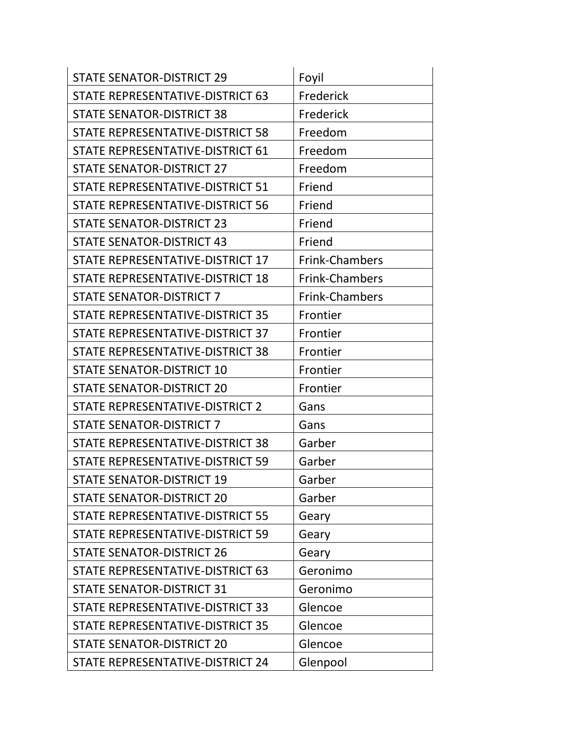| <b>STATE SENATOR-DISTRICT 29</b> | Foyil          |
|----------------------------------|----------------|
| STATE REPRESENTATIVE-DISTRICT 63 | Frederick      |
| <b>STATE SENATOR-DISTRICT 38</b> | Frederick      |
| STATE REPRESENTATIVE-DISTRICT 58 | Freedom        |
| STATE REPRESENTATIVE-DISTRICT 61 | Freedom        |
| <b>STATE SENATOR-DISTRICT 27</b> | Freedom        |
| STATE REPRESENTATIVE-DISTRICT 51 | Friend         |
| STATE REPRESENTATIVE-DISTRICT 56 | Friend         |
| <b>STATE SENATOR-DISTRICT 23</b> | Friend         |
| <b>STATE SENATOR-DISTRICT 43</b> | Friend         |
| STATE REPRESENTATIVE-DISTRICT 17 | Frink-Chambers |
| STATE REPRESENTATIVE-DISTRICT 18 | Frink-Chambers |
| <b>STATE SENATOR-DISTRICT 7</b>  | Frink-Chambers |
| STATE REPRESENTATIVE-DISTRICT 35 | Frontier       |
| STATE REPRESENTATIVE-DISTRICT 37 | Frontier       |
| STATE REPRESENTATIVE-DISTRICT 38 | Frontier       |
| <b>STATE SENATOR-DISTRICT 10</b> | Frontier       |
| <b>STATE SENATOR-DISTRICT 20</b> | Frontier       |
| STATE REPRESENTATIVE-DISTRICT 2  | Gans           |
| <b>STATE SENATOR-DISTRICT 7</b>  | Gans           |
| STATE REPRESENTATIVE-DISTRICT 38 | Garber         |
| STATE REPRESENTATIVE-DISTRICT 59 | Garber         |
| <b>STATE SENATOR-DISTRICT 19</b> | Garber         |
| <b>STATE SENATOR-DISTRICT 20</b> | Garber         |
| STATE REPRESENTATIVE-DISTRICT 55 | Geary          |
| STATE REPRESENTATIVE-DISTRICT 59 | Geary          |
| <b>STATE SENATOR-DISTRICT 26</b> | Geary          |
| STATE REPRESENTATIVE-DISTRICT 63 | Geronimo       |
| <b>STATE SENATOR-DISTRICT 31</b> | Geronimo       |
| STATE REPRESENTATIVE-DISTRICT 33 | Glencoe        |
| STATE REPRESENTATIVE-DISTRICT 35 | Glencoe        |
| <b>STATE SENATOR-DISTRICT 20</b> | Glencoe        |
| STATE REPRESENTATIVE-DISTRICT 24 | Glenpool       |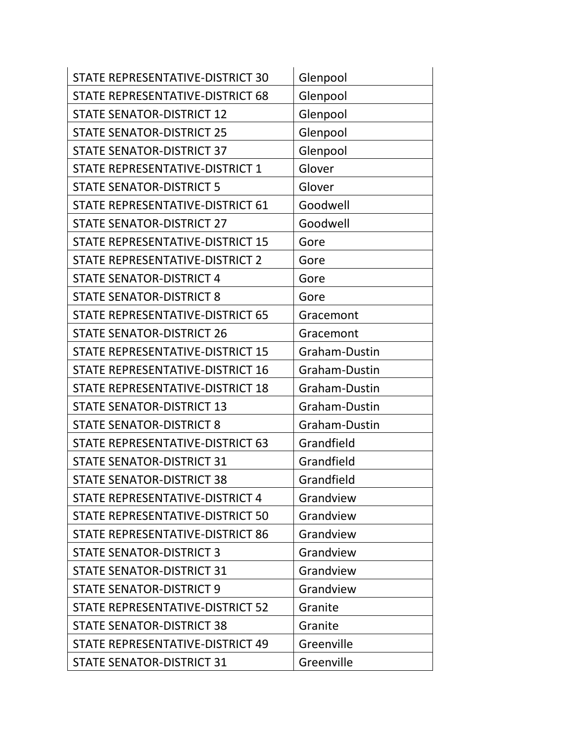| STATE REPRESENTATIVE-DISTRICT 30 | Glenpool      |
|----------------------------------|---------------|
| STATE REPRESENTATIVE-DISTRICT 68 | Glenpool      |
| <b>STATE SENATOR-DISTRICT 12</b> | Glenpool      |
| <b>STATE SENATOR-DISTRICT 25</b> | Glenpool      |
| <b>STATE SENATOR-DISTRICT 37</b> | Glenpool      |
| STATE REPRESENTATIVE-DISTRICT 1  | Glover        |
| <b>STATE SENATOR-DISTRICT 5</b>  | Glover        |
| STATE REPRESENTATIVE-DISTRICT 61 | Goodwell      |
| <b>STATE SENATOR-DISTRICT 27</b> | Goodwell      |
| STATE REPRESENTATIVE-DISTRICT 15 | Gore          |
| STATE REPRESENTATIVE-DISTRICT 2  | Gore          |
| <b>STATE SENATOR-DISTRICT 4</b>  | Gore          |
| <b>STATE SENATOR-DISTRICT 8</b>  | Gore          |
| STATE REPRESENTATIVE-DISTRICT 65 | Gracemont     |
| <b>STATE SENATOR-DISTRICT 26</b> | Gracemont     |
| STATE REPRESENTATIVE-DISTRICT 15 | Graham-Dustin |
| STATE REPRESENTATIVE-DISTRICT 16 | Graham-Dustin |
| STATE REPRESENTATIVE-DISTRICT 18 | Graham-Dustin |
| <b>STATE SENATOR-DISTRICT 13</b> | Graham-Dustin |
| <b>STATE SENATOR-DISTRICT 8</b>  | Graham-Dustin |
| STATE REPRESENTATIVE-DISTRICT 63 | Grandfield    |
| <b>STATE SENATOR-DISTRICT 31</b> | Grandfield    |
| <b>STATE SENATOR-DISTRICT 38</b> | Grandfield    |
| STATE REPRESENTATIVE-DISTRICT 4  | Grandview     |
| STATE REPRESENTATIVE-DISTRICT 50 | Grandview     |
| STATE REPRESENTATIVE-DISTRICT 86 | Grandview     |
| <b>STATE SENATOR-DISTRICT 3</b>  | Grandview     |
| <b>STATE SENATOR-DISTRICT 31</b> | Grandview     |
| <b>STATE SENATOR-DISTRICT 9</b>  | Grandview     |
| STATE REPRESENTATIVE-DISTRICT 52 | Granite       |
| <b>STATE SENATOR-DISTRICT 38</b> | Granite       |
| STATE REPRESENTATIVE-DISTRICT 49 | Greenville    |
| <b>STATE SENATOR-DISTRICT 31</b> | Greenville    |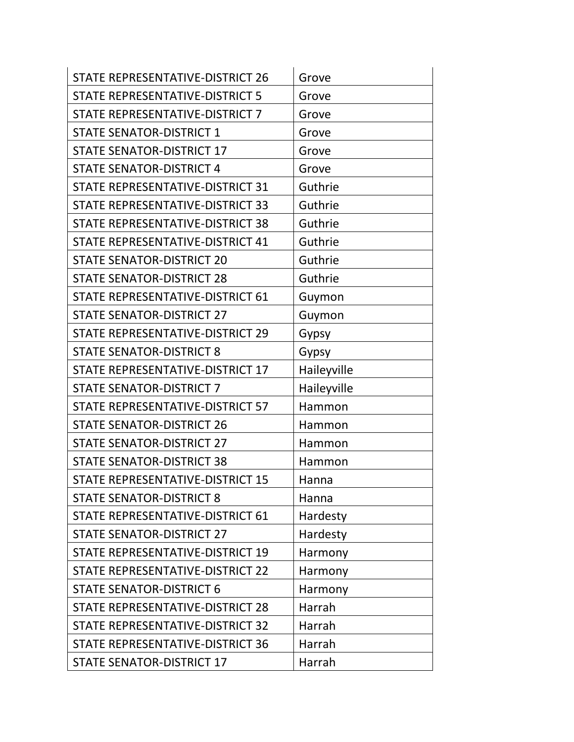| STATE REPRESENTATIVE-DISTRICT 26 | Grove       |
|----------------------------------|-------------|
| STATE REPRESENTATIVE-DISTRICT 5  | Grove       |
| STATE REPRESENTATIVE-DISTRICT 7  | Grove       |
| <b>STATE SENATOR-DISTRICT 1</b>  | Grove       |
| <b>STATE SENATOR-DISTRICT 17</b> | Grove       |
| <b>STATE SENATOR-DISTRICT 4</b>  | Grove       |
| STATE REPRESENTATIVE-DISTRICT 31 | Guthrie     |
| STATE REPRESENTATIVE-DISTRICT 33 | Guthrie     |
| STATE REPRESENTATIVE-DISTRICT 38 | Guthrie     |
| STATE REPRESENTATIVE-DISTRICT 41 | Guthrie     |
| <b>STATE SENATOR-DISTRICT 20</b> | Guthrie     |
| <b>STATE SENATOR-DISTRICT 28</b> | Guthrie     |
| STATE REPRESENTATIVE-DISTRICT 61 | Guymon      |
| <b>STATE SENATOR-DISTRICT 27</b> | Guymon      |
| STATE REPRESENTATIVE-DISTRICT 29 | Gypsy       |
| <b>STATE SENATOR-DISTRICT 8</b>  | Gypsy       |
| STATE REPRESENTATIVE-DISTRICT 17 | Haileyville |
| <b>STATE SENATOR-DISTRICT 7</b>  | Haileyville |
| STATE REPRESENTATIVE-DISTRICT 57 | Hammon      |
| <b>STATE SENATOR-DISTRICT 26</b> | Hammon      |
| <b>STATE SENATOR-DISTRICT 27</b> | Hammon      |
| <b>STATE SENATOR-DISTRICT 38</b> | Hammon      |
| STATE REPRESENTATIVE-DISTRICT 15 | Hanna       |
| <b>STATE SENATOR-DISTRICT 8</b>  | Hanna       |
| STATE REPRESENTATIVE-DISTRICT 61 | Hardesty    |
| <b>STATE SENATOR-DISTRICT 27</b> | Hardesty    |
| STATE REPRESENTATIVE-DISTRICT 19 | Harmony     |
| STATE REPRESENTATIVE-DISTRICT 22 | Harmony     |
| <b>STATE SENATOR-DISTRICT 6</b>  | Harmony     |
| STATE REPRESENTATIVE-DISTRICT 28 | Harrah      |
| STATE REPRESENTATIVE-DISTRICT 32 | Harrah      |
| STATE REPRESENTATIVE-DISTRICT 36 | Harrah      |
| <b>STATE SENATOR-DISTRICT 17</b> | Harrah      |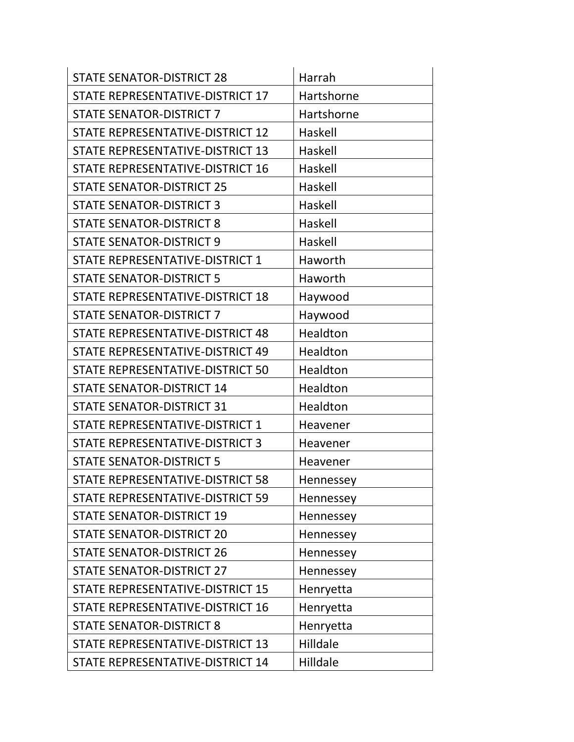| <b>STATE SENATOR-DISTRICT 28</b> | Harrah     |
|----------------------------------|------------|
| STATE REPRESENTATIVE-DISTRICT 17 | Hartshorne |
| <b>STATE SENATOR-DISTRICT 7</b>  | Hartshorne |
| STATE REPRESENTATIVE-DISTRICT 12 | Haskell    |
| STATE REPRESENTATIVE-DISTRICT 13 | Haskell    |
| STATE REPRESENTATIVE-DISTRICT 16 | Haskell    |
| <b>STATE SENATOR-DISTRICT 25</b> | Haskell    |
| <b>STATE SENATOR-DISTRICT 3</b>  | Haskell    |
| <b>STATE SENATOR-DISTRICT 8</b>  | Haskell    |
| <b>STATE SENATOR-DISTRICT 9</b>  | Haskell    |
| STATE REPRESENTATIVE-DISTRICT 1  | Haworth    |
| <b>STATE SENATOR-DISTRICT 5</b>  | Haworth    |
| STATE REPRESENTATIVE-DISTRICT 18 | Haywood    |
| <b>STATE SENATOR-DISTRICT 7</b>  | Haywood    |
| STATE REPRESENTATIVE-DISTRICT 48 | Healdton   |
| STATE REPRESENTATIVE-DISTRICT 49 | Healdton   |
| STATE REPRESENTATIVE-DISTRICT 50 | Healdton   |
| <b>STATE SENATOR-DISTRICT 14</b> | Healdton   |
| <b>STATE SENATOR-DISTRICT 31</b> | Healdton   |
| STATE REPRESENTATIVE-DISTRICT 1  | Heavener   |
| STATE REPRESENTATIVE-DISTRICT 3  | Heavener   |
| <b>STATE SENATOR-DISTRICT 5</b>  | Heavener   |
| STATE REPRESENTATIVE-DISTRICT 58 | Hennessey  |
| STATE REPRESENTATIVE-DISTRICT 59 | Hennessey  |
| <b>STATE SENATOR-DISTRICT 19</b> | Hennessey  |
| <b>STATE SENATOR-DISTRICT 20</b> | Hennessey  |
| <b>STATE SENATOR-DISTRICT 26</b> | Hennessey  |
| <b>STATE SENATOR-DISTRICT 27</b> | Hennessey  |
| STATE REPRESENTATIVE-DISTRICT 15 | Henryetta  |
| STATE REPRESENTATIVE-DISTRICT 16 | Henryetta  |
| <b>STATE SENATOR-DISTRICT 8</b>  | Henryetta  |
| STATE REPRESENTATIVE-DISTRICT 13 | Hilldale   |
| STATE REPRESENTATIVE-DISTRICT 14 | Hilldale   |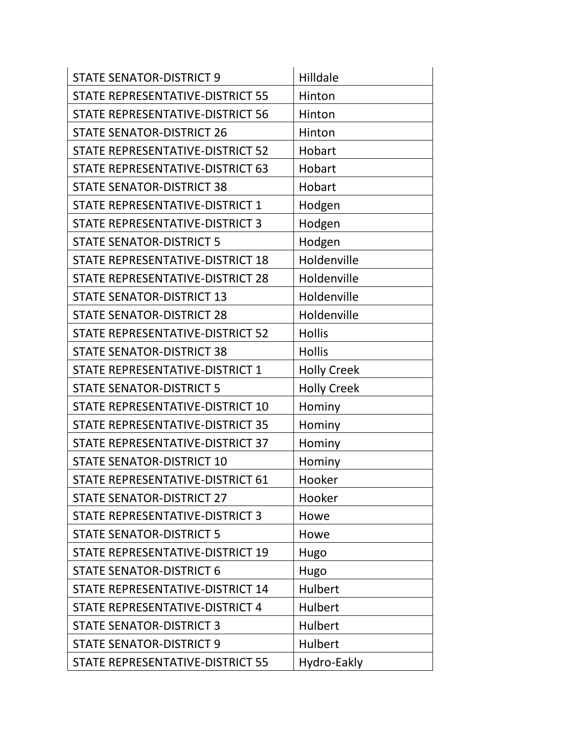| <b>STATE SENATOR-DISTRICT 9</b>  | Hilldale           |
|----------------------------------|--------------------|
| STATE REPRESENTATIVE-DISTRICT 55 | Hinton             |
| STATE REPRESENTATIVE-DISTRICT 56 | Hinton             |
| <b>STATE SENATOR-DISTRICT 26</b> | Hinton             |
| STATE REPRESENTATIVE-DISTRICT 52 | Hobart             |
| STATE REPRESENTATIVE-DISTRICT 63 | Hobart             |
| <b>STATE SENATOR-DISTRICT 38</b> | Hobart             |
| STATE REPRESENTATIVE-DISTRICT 1  | Hodgen             |
| STATE REPRESENTATIVE-DISTRICT 3  | Hodgen             |
| <b>STATE SENATOR-DISTRICT 5</b>  | Hodgen             |
| STATE REPRESENTATIVE-DISTRICT 18 | Holdenville        |
| STATE REPRESENTATIVE-DISTRICT 28 | Holdenville        |
| <b>STATE SENATOR-DISTRICT 13</b> | Holdenville        |
| <b>STATE SENATOR-DISTRICT 28</b> | Holdenville        |
| STATE REPRESENTATIVE-DISTRICT 52 | <b>Hollis</b>      |
| <b>STATE SENATOR-DISTRICT 38</b> | <b>Hollis</b>      |
| STATE REPRESENTATIVE-DISTRICT 1  | <b>Holly Creek</b> |
| <b>STATE SENATOR-DISTRICT 5</b>  | <b>Holly Creek</b> |
| STATE REPRESENTATIVE-DISTRICT 10 | Hominy             |
| STATE REPRESENTATIVE-DISTRICT 35 | Hominy             |
| STATE REPRESENTATIVE-DISTRICT 37 | Hominy             |
| <b>STATE SENATOR-DISTRICT 10</b> | Hominy             |
| STATE REPRESENTATIVE-DISTRICT 61 | Hooker             |
| <b>STATE SENATOR-DISTRICT 27</b> | Hooker             |
| STATE REPRESENTATIVE-DISTRICT 3  | Howe               |
| <b>STATE SENATOR-DISTRICT 5</b>  | Howe               |
| STATE REPRESENTATIVE-DISTRICT 19 | Hugo               |
| <b>STATE SENATOR-DISTRICT 6</b>  | Hugo               |
| STATE REPRESENTATIVE-DISTRICT 14 | Hulbert            |
| STATE REPRESENTATIVE-DISTRICT 4  | Hulbert            |
| <b>STATE SENATOR-DISTRICT 3</b>  | Hulbert            |
| <b>STATE SENATOR-DISTRICT 9</b>  | Hulbert            |
| STATE REPRESENTATIVE-DISTRICT 55 | Hydro-Eakly        |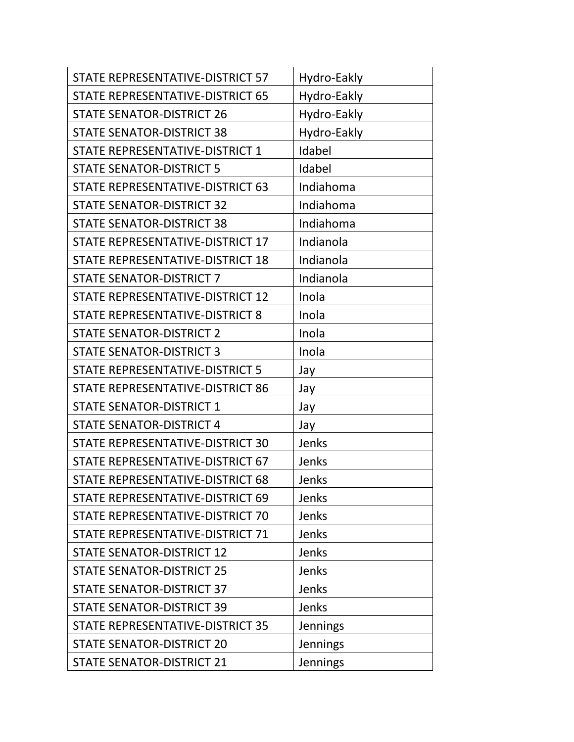| STATE REPRESENTATIVE-DISTRICT 57        | Hydro-Eakly     |
|-----------------------------------------|-----------------|
| STATE REPRESENTATIVE-DISTRICT 65        | Hydro-Eakly     |
| <b>STATE SENATOR-DISTRICT 26</b>        | Hydro-Eakly     |
| <b>STATE SENATOR-DISTRICT 38</b>        | Hydro-Eakly     |
| STATE REPRESENTATIVE-DISTRICT 1         | Idabel          |
| <b>STATE SENATOR-DISTRICT 5</b>         | Idabel          |
| <b>STATE REPRESENTATIVE-DISTRICT 63</b> | Indiahoma       |
| <b>STATE SENATOR-DISTRICT 32</b>        | Indiahoma       |
| <b>STATE SENATOR-DISTRICT 38</b>        | Indiahoma       |
| STATE REPRESENTATIVE-DISTRICT 17        | Indianola       |
| STATE REPRESENTATIVE-DISTRICT 18        | Indianola       |
| <b>STATE SENATOR-DISTRICT 7</b>         | Indianola       |
| STATE REPRESENTATIVE-DISTRICT 12        | Inola           |
| STATE REPRESENTATIVE-DISTRICT 8         | Inola           |
| <b>STATE SENATOR-DISTRICT 2</b>         | Inola           |
| <b>STATE SENATOR-DISTRICT 3</b>         | Inola           |
| STATE REPRESENTATIVE-DISTRICT 5         | Jay             |
| STATE REPRESENTATIVE-DISTRICT 86        | Jay             |
| <b>STATE SENATOR-DISTRICT 1</b>         | Jay             |
| <b>STATE SENATOR-DISTRICT 4</b>         | Jay             |
| STATE REPRESENTATIVE-DISTRICT 30        | Jenks           |
| STATE REPRESENTATIVE-DISTRICT 67        | Jenks           |
| STATE REPRESENTATIVE-DISTRICT 68        | Jenks           |
| STATE REPRESENTATIVE-DISTRICT 69        | Jenks           |
| STATE REPRESENTATIVE-DISTRICT 70        | Jenks           |
| STATE REPRESENTATIVE-DISTRICT 71        | Jenks           |
| <b>STATE SENATOR-DISTRICT 12</b>        | Jenks           |
| <b>STATE SENATOR-DISTRICT 25</b>        | Jenks           |
| <b>STATE SENATOR-DISTRICT 37</b>        | Jenks           |
| <b>STATE SENATOR-DISTRICT 39</b>        | Jenks           |
| STATE REPRESENTATIVE-DISTRICT 35        | Jennings        |
| <b>STATE SENATOR-DISTRICT 20</b>        | <b>Jennings</b> |
| <b>STATE SENATOR-DISTRICT 21</b>        | Jennings        |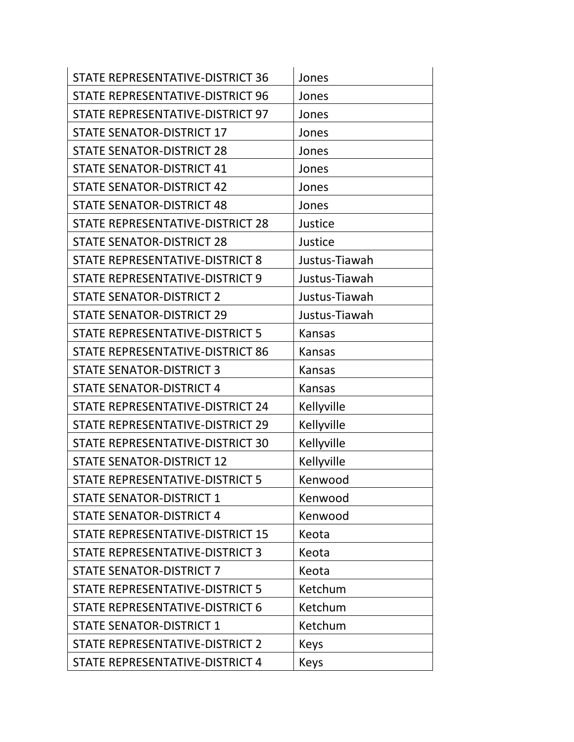| <b>STATE REPRESENTATIVE-DISTRICT 36</b> | Jones         |
|-----------------------------------------|---------------|
| STATE REPRESENTATIVE-DISTRICT 96        | Jones         |
| STATE REPRESENTATIVE-DISTRICT 97        | Jones         |
| <b>STATE SENATOR-DISTRICT 17</b>        | Jones         |
| <b>STATE SENATOR-DISTRICT 28</b>        | Jones         |
| <b>STATE SENATOR-DISTRICT 41</b>        | Jones         |
| <b>STATE SENATOR-DISTRICT 42</b>        | Jones         |
| <b>STATE SENATOR-DISTRICT 48</b>        | Jones         |
| STATE REPRESENTATIVE-DISTRICT 28        | Justice       |
| <b>STATE SENATOR-DISTRICT 28</b>        | Justice       |
| STATE REPRESENTATIVE-DISTRICT 8         | Justus-Tiawah |
| STATE REPRESENTATIVE-DISTRICT 9         | Justus-Tiawah |
| <b>STATE SENATOR-DISTRICT 2</b>         | Justus-Tiawah |
| <b>STATE SENATOR-DISTRICT 29</b>        | Justus-Tiawah |
| STATE REPRESENTATIVE-DISTRICT 5         | Kansas        |
| STATE REPRESENTATIVE-DISTRICT 86        | <b>Kansas</b> |
| <b>STATE SENATOR-DISTRICT 3</b>         | <b>Kansas</b> |
| <b>STATE SENATOR-DISTRICT 4</b>         | <b>Kansas</b> |
| STATE REPRESENTATIVE-DISTRICT 24        | Kellyville    |
| STATE REPRESENTATIVE-DISTRICT 29        | Kellyville    |
| STATE REPRESENTATIVE-DISTRICT 30        | Kellyville    |
| <b>STATE SENATOR-DISTRICT 12</b>        | Kellyville    |
| STATE REPRESENTATIVE-DISTRICT 5         | Kenwood       |
| <b>STATE SENATOR-DISTRICT 1</b>         | Kenwood       |
| <b>STATE SENATOR-DISTRICT 4</b>         | Kenwood       |
| STATE REPRESENTATIVE-DISTRICT 15        | Keota         |
| STATE REPRESENTATIVE-DISTRICT 3         | Keota         |
| <b>STATE SENATOR-DISTRICT 7</b>         | Keota         |
| STATE REPRESENTATIVE-DISTRICT 5         | Ketchum       |
| STATE REPRESENTATIVE-DISTRICT 6         | Ketchum       |
| <b>STATE SENATOR-DISTRICT 1</b>         | Ketchum       |
| STATE REPRESENTATIVE-DISTRICT 2         | Keys          |
| STATE REPRESENTATIVE-DISTRICT 4         | Keys          |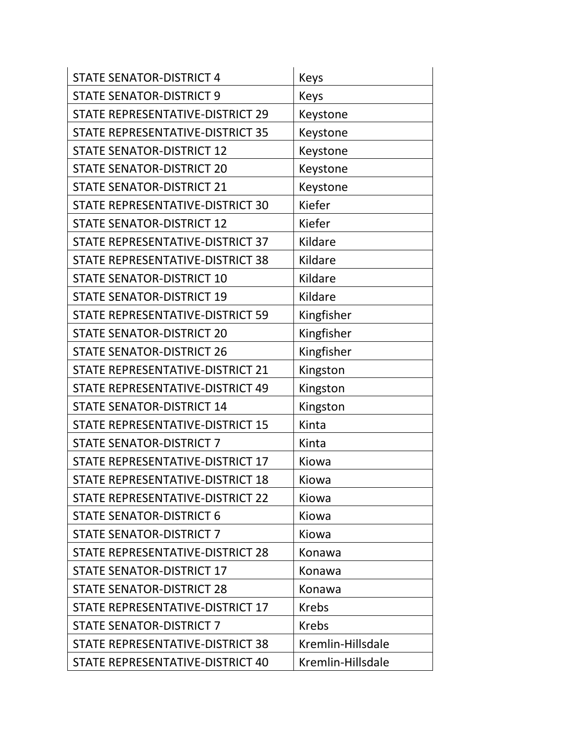| <b>STATE SENATOR-DISTRICT 4</b>         | <b>Keys</b>       |
|-----------------------------------------|-------------------|
| <b>STATE SENATOR-DISTRICT 9</b>         | Keys              |
| STATE REPRESENTATIVE-DISTRICT 29        | Keystone          |
| STATE REPRESENTATIVE-DISTRICT 35        | Keystone          |
| <b>STATE SENATOR-DISTRICT 12</b>        | Keystone          |
| <b>STATE SENATOR-DISTRICT 20</b>        | Keystone          |
| <b>STATE SENATOR-DISTRICT 21</b>        | Keystone          |
| STATE REPRESENTATIVE-DISTRICT 30        | Kiefer            |
| <b>STATE SENATOR-DISTRICT 12</b>        | Kiefer            |
| STATE REPRESENTATIVE-DISTRICT 37        | Kildare           |
| STATE REPRESENTATIVE-DISTRICT 38        | Kildare           |
| <b>STATE SENATOR-DISTRICT 10</b>        | Kildare           |
| <b>STATE SENATOR-DISTRICT 19</b>        | Kildare           |
| <b>STATE REPRESENTATIVE-DISTRICT 59</b> | Kingfisher        |
| <b>STATE SENATOR-DISTRICT 20</b>        | Kingfisher        |
| <b>STATE SENATOR-DISTRICT 26</b>        | Kingfisher        |
| STATE REPRESENTATIVE-DISTRICT 21        | Kingston          |
| STATE REPRESENTATIVE-DISTRICT 49        | Kingston          |
| <b>STATE SENATOR-DISTRICT 14</b>        | Kingston          |
| STATE REPRESENTATIVE-DISTRICT 15        | Kinta             |
| <b>STATE SENATOR-DISTRICT 7</b>         | Kinta             |
| STATE REPRESENTATIVE-DISTRICT 17        | Kiowa             |
| STATE REPRESENTATIVE-DISTRICT 18        | Kiowa             |
| STATE REPRESENTATIVE-DISTRICT 22        | Kiowa             |
| <b>STATE SENATOR-DISTRICT 6</b>         | Kiowa             |
| <b>STATE SENATOR-DISTRICT 7</b>         | Kiowa             |
| STATE REPRESENTATIVE-DISTRICT 28        | Konawa            |
| <b>STATE SENATOR-DISTRICT 17</b>        | Konawa            |
| <b>STATE SENATOR-DISTRICT 28</b>        | Konawa            |
| STATE REPRESENTATIVE-DISTRICT 17        | <b>Krebs</b>      |
| <b>STATE SENATOR-DISTRICT 7</b>         | <b>Krebs</b>      |
| STATE REPRESENTATIVE-DISTRICT 38        | Kremlin-Hillsdale |
| STATE REPRESENTATIVE-DISTRICT 40        | Kremlin-Hillsdale |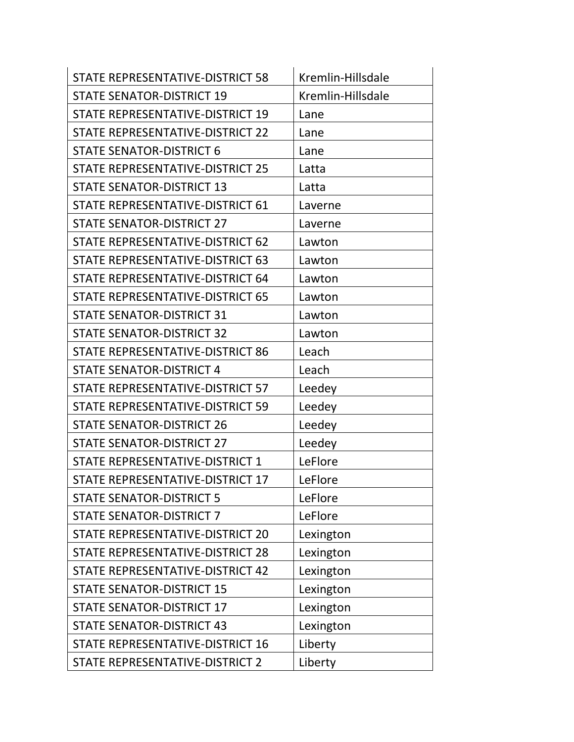| STATE REPRESENTATIVE-DISTRICT 58 | Kremlin-Hillsdale |
|----------------------------------|-------------------|
| <b>STATE SENATOR-DISTRICT 19</b> | Kremlin-Hillsdale |
| STATE REPRESENTATIVE-DISTRICT 19 | Lane              |
| STATE REPRESENTATIVE-DISTRICT 22 | Lane              |
| <b>STATE SENATOR-DISTRICT 6</b>  | Lane              |
| STATE REPRESENTATIVE-DISTRICT 25 | Latta             |
| <b>STATE SENATOR-DISTRICT 13</b> | Latta             |
| STATE REPRESENTATIVE-DISTRICT 61 | Laverne           |
| <b>STATE SENATOR-DISTRICT 27</b> | Laverne           |
| STATE REPRESENTATIVE-DISTRICT 62 | Lawton            |
| STATE REPRESENTATIVE-DISTRICT 63 | Lawton            |
| STATE REPRESENTATIVE-DISTRICT 64 | Lawton            |
| STATE REPRESENTATIVE-DISTRICT 65 | Lawton            |
| <b>STATE SENATOR-DISTRICT 31</b> | Lawton            |
| <b>STATE SENATOR-DISTRICT 32</b> | Lawton            |
| STATE REPRESENTATIVE-DISTRICT 86 | Leach             |
| <b>STATE SENATOR-DISTRICT 4</b>  | Leach             |
| STATE REPRESENTATIVE-DISTRICT 57 | Leedey            |
| STATE REPRESENTATIVE-DISTRICT 59 | Leedey            |
| <b>STATE SENATOR-DISTRICT 26</b> | Leedey            |
| <b>STATE SENATOR-DISTRICT 27</b> | Leedey            |
| STATE REPRESENTATIVE-DISTRICT 1  | LeFlore           |
| STATE REPRESENTATIVE-DISTRICT 17 | LeFlore           |
| <b>STATE SENATOR-DISTRICT 5</b>  | LeFlore           |
| <b>STATE SENATOR-DISTRICT 7</b>  | LeFlore           |
| STATE REPRESENTATIVE-DISTRICT 20 | Lexington         |
| STATE REPRESENTATIVE-DISTRICT 28 | Lexington         |
| STATE REPRESENTATIVE-DISTRICT 42 | Lexington         |
| <b>STATE SENATOR-DISTRICT 15</b> | Lexington         |
| <b>STATE SENATOR-DISTRICT 17</b> | Lexington         |
| <b>STATE SENATOR-DISTRICT 43</b> | Lexington         |
| STATE REPRESENTATIVE-DISTRICT 16 | Liberty           |
| STATE REPRESENTATIVE-DISTRICT 2  | Liberty           |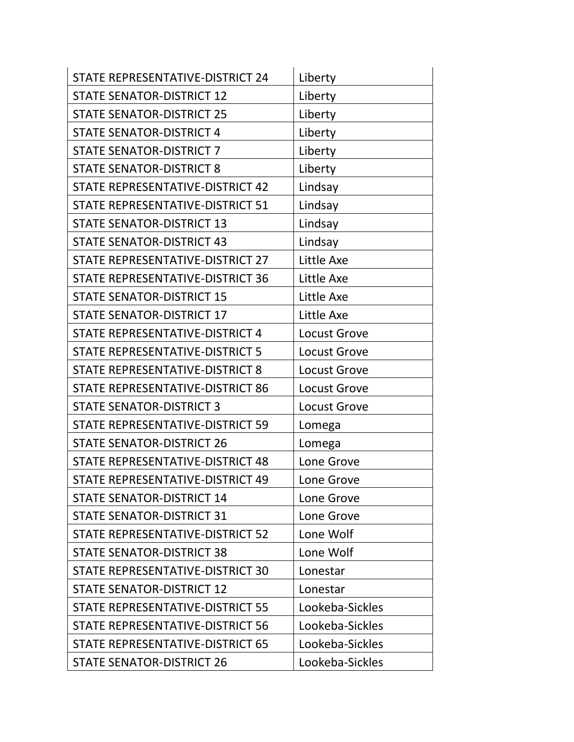| STATE REPRESENTATIVE-DISTRICT 24        | Liberty             |
|-----------------------------------------|---------------------|
| <b>STATE SENATOR-DISTRICT 12</b>        | Liberty             |
| <b>STATE SENATOR-DISTRICT 25</b>        | Liberty             |
| <b>STATE SENATOR-DISTRICT 4</b>         | Liberty             |
| <b>STATE SENATOR-DISTRICT 7</b>         | Liberty             |
| <b>STATE SENATOR-DISTRICT 8</b>         | Liberty             |
| STATE REPRESENTATIVE-DISTRICT 42        | Lindsay             |
| STATE REPRESENTATIVE-DISTRICT 51        | Lindsay             |
| <b>STATE SENATOR-DISTRICT 13</b>        | Lindsay             |
| <b>STATE SENATOR-DISTRICT 43</b>        | Lindsay             |
| STATE REPRESENTATIVE-DISTRICT 27        | Little Axe          |
| STATE REPRESENTATIVE-DISTRICT 36        | Little Axe          |
| <b>STATE SENATOR-DISTRICT 15</b>        | Little Axe          |
| <b>STATE SENATOR-DISTRICT 17</b>        | Little Axe          |
| STATE REPRESENTATIVE-DISTRICT 4         | <b>Locust Grove</b> |
| STATE REPRESENTATIVE-DISTRICT 5         | Locust Grove        |
| STATE REPRESENTATIVE-DISTRICT 8         | <b>Locust Grove</b> |
| STATE REPRESENTATIVE-DISTRICT 86        | <b>Locust Grove</b> |
| <b>STATE SENATOR-DISTRICT 3</b>         | <b>Locust Grove</b> |
| STATE REPRESENTATIVE-DISTRICT 59        | Lomega              |
| <b>STATE SENATOR-DISTRICT 26</b>        | Lomega              |
| STATE REPRESENTATIVE-DISTRICT 48        | Lone Grove          |
| STATE REPRESENTATIVE-DISTRICT 49        | Lone Grove          |
| <b>STATE SENATOR-DISTRICT 14</b>        | Lone Grove          |
| <b>STATE SENATOR-DISTRICT 31</b>        | Lone Grove          |
| <b>STATE REPRESENTATIVE-DISTRICT 52</b> | Lone Wolf           |
| <b>STATE SENATOR-DISTRICT 38</b>        | Lone Wolf           |
| STATE REPRESENTATIVE-DISTRICT 30        | Lonestar            |
| <b>STATE SENATOR-DISTRICT 12</b>        | Lonestar            |
| STATE REPRESENTATIVE-DISTRICT 55        | Lookeba-Sickles     |
| STATE REPRESENTATIVE-DISTRICT 56        | Lookeba-Sickles     |
| STATE REPRESENTATIVE-DISTRICT 65        | Lookeba-Sickles     |
| <b>STATE SENATOR-DISTRICT 26</b>        | Lookeba-Sickles     |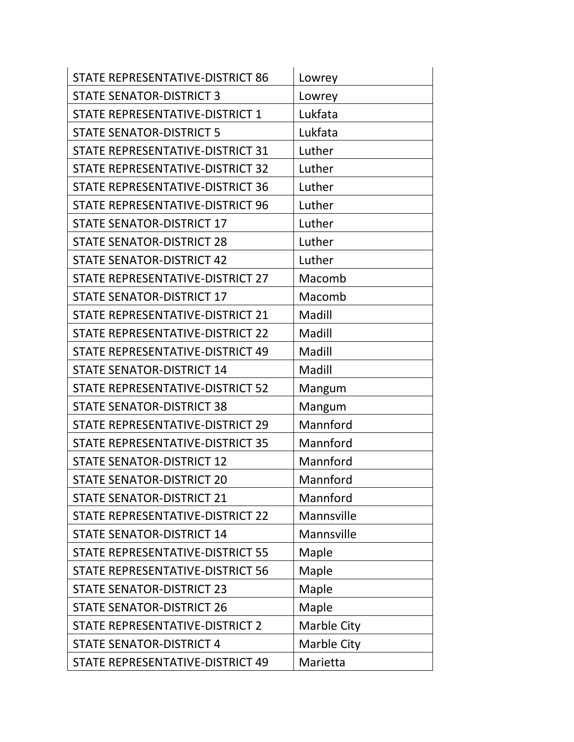| STATE REPRESENTATIVE-DISTRICT 86        | Lowrey      |
|-----------------------------------------|-------------|
| <b>STATE SENATOR-DISTRICT 3</b>         | Lowrey      |
| STATE REPRESENTATIVE-DISTRICT 1         | Lukfata     |
| <b>STATE SENATOR-DISTRICT 5</b>         | Lukfata     |
| STATE REPRESENTATIVE-DISTRICT 31        | Luther      |
| STATE REPRESENTATIVE-DISTRICT 32        | Luther      |
| STATE REPRESENTATIVE-DISTRICT 36        | Luther      |
| STATE REPRESENTATIVE-DISTRICT 96        | Luther      |
| <b>STATE SENATOR-DISTRICT 17</b>        | Luther      |
| <b>STATE SENATOR-DISTRICT 28</b>        | Luther      |
| <b>STATE SENATOR-DISTRICT 42</b>        | Luther      |
| STATE REPRESENTATIVE-DISTRICT 27        | Macomb      |
| <b>STATE SENATOR-DISTRICT 17</b>        | Macomb      |
| STATE REPRESENTATIVE-DISTRICT 21        | Madill      |
| STATE REPRESENTATIVE-DISTRICT 22        | Madill      |
| STATE REPRESENTATIVE-DISTRICT 49        | Madill      |
| <b>STATE SENATOR-DISTRICT 14</b>        | Madill      |
| STATE REPRESENTATIVE-DISTRICT 52        | Mangum      |
| <b>STATE SENATOR-DISTRICT 38</b>        | Mangum      |
| STATE REPRESENTATIVE-DISTRICT 29        | Mannford    |
| <b>STATE REPRESENTATIVE-DISTRICT 35</b> | Mannford    |
| <b>STATE SENATOR-DISTRICT 12</b>        | Mannford    |
| <b>STATE SENATOR-DISTRICT 20</b>        | Mannford    |
| <b>STATE SENATOR-DISTRICT 21</b>        | Mannford    |
| STATE REPRESENTATIVE-DISTRICT 22        | Mannsville  |
| <b>STATE SENATOR-DISTRICT 14</b>        | Mannsville  |
| STATE REPRESENTATIVE-DISTRICT 55        | Maple       |
| STATE REPRESENTATIVE-DISTRICT 56        | Maple       |
| <b>STATE SENATOR-DISTRICT 23</b>        | Maple       |
| <b>STATE SENATOR-DISTRICT 26</b>        | Maple       |
| STATE REPRESENTATIVE-DISTRICT 2         | Marble City |
| <b>STATE SENATOR-DISTRICT 4</b>         | Marble City |
| STATE REPRESENTATIVE-DISTRICT 49        | Marietta    |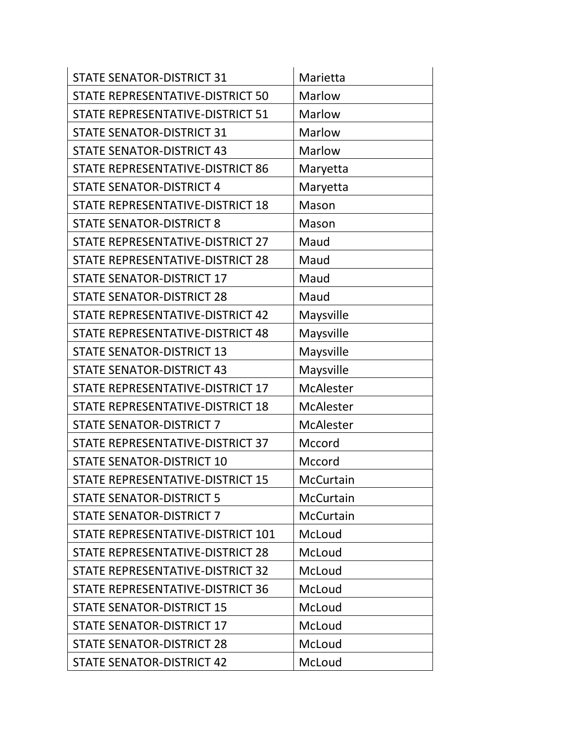| <b>STATE SENATOR-DISTRICT 31</b>  | Marietta         |
|-----------------------------------|------------------|
| STATE REPRESENTATIVE-DISTRICT 50  | Marlow           |
| STATE REPRESENTATIVE-DISTRICT 51  | Marlow           |
| <b>STATE SENATOR-DISTRICT 31</b>  | Marlow           |
| <b>STATE SENATOR-DISTRICT 43</b>  | Marlow           |
| STATE REPRESENTATIVE-DISTRICT 86  | Maryetta         |
| <b>STATE SENATOR-DISTRICT 4</b>   | Maryetta         |
| STATE REPRESENTATIVE-DISTRICT 18  | Mason            |
| <b>STATE SENATOR-DISTRICT 8</b>   | Mason            |
| STATE REPRESENTATIVE-DISTRICT 27  | Maud             |
| STATE REPRESENTATIVE-DISTRICT 28  | Maud             |
| <b>STATE SENATOR-DISTRICT 17</b>  | Maud             |
| <b>STATE SENATOR-DISTRICT 28</b>  | Maud             |
| STATE REPRESENTATIVE-DISTRICT 42  | Maysville        |
| STATE REPRESENTATIVE-DISTRICT 48  | Maysville        |
| <b>STATE SENATOR-DISTRICT 13</b>  | Maysville        |
| <b>STATE SENATOR-DISTRICT 43</b>  | Maysville        |
| STATE REPRESENTATIVE-DISTRICT 17  | <b>McAlester</b> |
| STATE REPRESENTATIVE-DISTRICT 18  | <b>McAlester</b> |
| <b>STATE SENATOR-DISTRICT 7</b>   | <b>McAlester</b> |
| STATE REPRESENTATIVE-DISTRICT 37  | Mccord           |
| <b>STATE SENATOR-DISTRICT 10</b>  | Mccord           |
| STATE REPRESENTATIVE-DISTRICT 15  | McCurtain        |
| <b>STATE SENATOR-DISTRICT 5</b>   | McCurtain        |
| <b>STATE SENATOR-DISTRICT 7</b>   | <b>McCurtain</b> |
| STATE REPRESENTATIVE-DISTRICT 101 | McLoud           |
| STATE REPRESENTATIVE-DISTRICT 28  | McLoud           |
| STATE REPRESENTATIVE-DISTRICT 32  | McLoud           |
| STATE REPRESENTATIVE-DISTRICT 36  | McLoud           |
| <b>STATE SENATOR-DISTRICT 15</b>  | McLoud           |
| <b>STATE SENATOR-DISTRICT 17</b>  | McLoud           |
| <b>STATE SENATOR-DISTRICT 28</b>  | McLoud           |
| <b>STATE SENATOR-DISTRICT 42</b>  | McLoud           |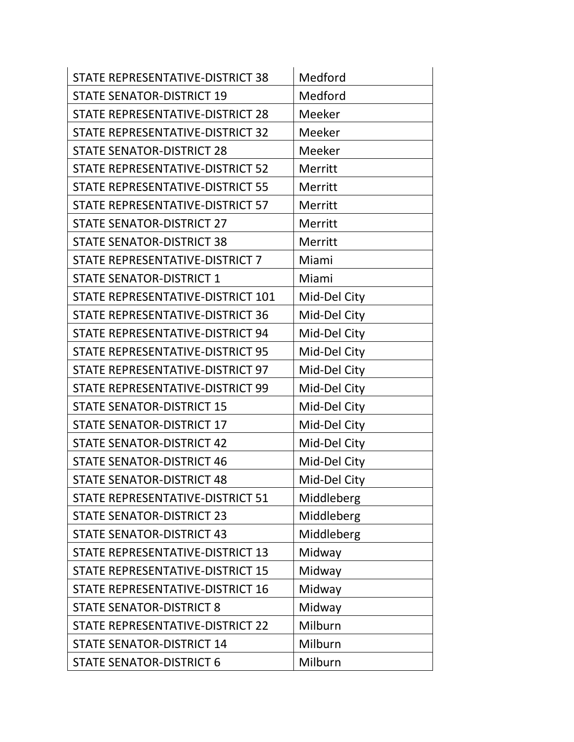| STATE REPRESENTATIVE-DISTRICT 38        | Medford      |
|-----------------------------------------|--------------|
| <b>STATE SENATOR-DISTRICT 19</b>        | Medford      |
| STATE REPRESENTATIVE-DISTRICT 28        | Meeker       |
| STATE REPRESENTATIVE-DISTRICT 32        | Meeker       |
| <b>STATE SENATOR-DISTRICT 28</b>        | Meeker       |
| <b>STATE REPRESENTATIVE-DISTRICT 52</b> | Merritt      |
| STATE REPRESENTATIVE-DISTRICT 55        | Merritt      |
| STATE REPRESENTATIVE-DISTRICT 57        | Merritt      |
| <b>STATE SENATOR-DISTRICT 27</b>        | Merritt      |
| <b>STATE SENATOR-DISTRICT 38</b>        | Merritt      |
| STATE REPRESENTATIVE-DISTRICT 7         | Miami        |
| <b>STATE SENATOR-DISTRICT 1</b>         | Miami        |
| STATE REPRESENTATIVE-DISTRICT 101       | Mid-Del City |
| STATE REPRESENTATIVE-DISTRICT 36        | Mid-Del City |
| STATE REPRESENTATIVE-DISTRICT 94        | Mid-Del City |
| STATE REPRESENTATIVE-DISTRICT 95        | Mid-Del City |
| STATE REPRESENTATIVE-DISTRICT 97        | Mid-Del City |
| STATE REPRESENTATIVE-DISTRICT 99        | Mid-Del City |
| <b>STATE SENATOR-DISTRICT 15</b>        | Mid-Del City |
| <b>STATE SENATOR-DISTRICT 17</b>        | Mid-Del City |
| <b>STATE SENATOR-DISTRICT 42</b>        | Mid-Del City |
| <b>STATE SENATOR-DISTRICT 46</b>        | Mid-Del City |
| <b>STATE SENATOR-DISTRICT 48</b>        | Mid-Del City |
| STATE REPRESENTATIVE-DISTRICT 51        | Middleberg   |
| <b>STATE SENATOR-DISTRICT 23</b>        | Middleberg   |
| <b>STATE SENATOR-DISTRICT 43</b>        | Middleberg   |
| STATE REPRESENTATIVE-DISTRICT 13        | Midway       |
| STATE REPRESENTATIVE-DISTRICT 15        | Midway       |
| STATE REPRESENTATIVE-DISTRICT 16        | Midway       |
| <b>STATE SENATOR-DISTRICT 8</b>         | Midway       |
| STATE REPRESENTATIVE-DISTRICT 22        | Milburn      |
| <b>STATE SENATOR-DISTRICT 14</b>        | Milburn      |
| <b>STATE SENATOR-DISTRICT 6</b>         | Milburn      |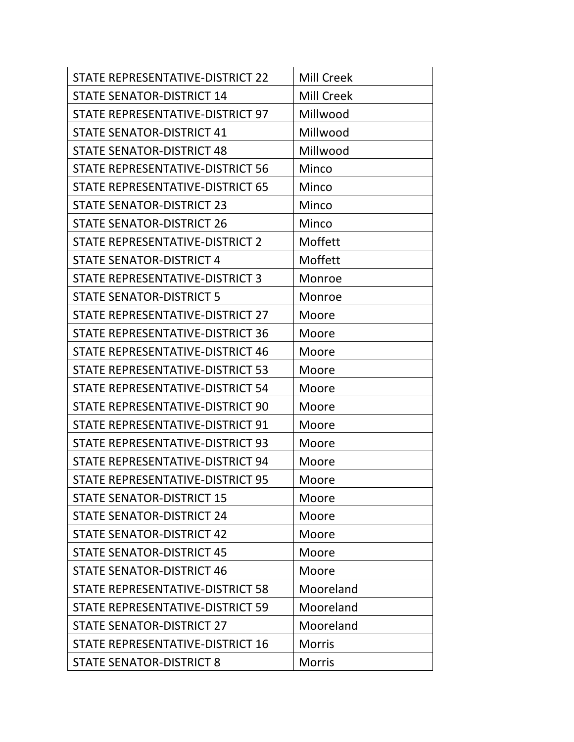| STATE REPRESENTATIVE-DISTRICT 22 | <b>Mill Creek</b> |
|----------------------------------|-------------------|
| <b>STATE SENATOR-DISTRICT 14</b> | <b>Mill Creek</b> |
| STATE REPRESENTATIVE-DISTRICT 97 | Millwood          |
| <b>STATE SENATOR-DISTRICT 41</b> | Millwood          |
| <b>STATE SENATOR-DISTRICT 48</b> | Millwood          |
| STATE REPRESENTATIVE-DISTRICT 56 | Minco             |
| STATE REPRESENTATIVE-DISTRICT 65 | Minco             |
| <b>STATE SENATOR-DISTRICT 23</b> | Minco             |
| <b>STATE SENATOR-DISTRICT 26</b> | Minco             |
| STATE REPRESENTATIVE-DISTRICT 2  | Moffett           |
| <b>STATE SENATOR-DISTRICT 4</b>  | Moffett           |
| STATE REPRESENTATIVE-DISTRICT 3  | Monroe            |
| <b>STATE SENATOR-DISTRICT 5</b>  | Monroe            |
| STATE REPRESENTATIVE-DISTRICT 27 | Moore             |
| STATE REPRESENTATIVE-DISTRICT 36 | Moore             |
| STATE REPRESENTATIVE-DISTRICT 46 | Moore             |
| STATE REPRESENTATIVE-DISTRICT 53 | Moore             |
| STATE REPRESENTATIVE-DISTRICT 54 | Moore             |
| STATE REPRESENTATIVE-DISTRICT 90 | Moore             |
| STATE REPRESENTATIVE-DISTRICT 91 | Moore             |
| STATE REPRESENTATIVE-DISTRICT 93 | Moore             |
| STATE REPRESENTATIVE-DISTRICT 94 | Moore             |
| STATE REPRESENTATIVE-DISTRICT 95 | Moore             |
| <b>STATE SENATOR-DISTRICT 15</b> | Moore             |
| <b>STATE SENATOR-DISTRICT 24</b> | Moore             |
| <b>STATE SENATOR-DISTRICT 42</b> | Moore             |
| <b>STATE SENATOR-DISTRICT 45</b> | Moore             |
| <b>STATE SENATOR-DISTRICT 46</b> | Moore             |
| STATE REPRESENTATIVE-DISTRICT 58 | Mooreland         |
| STATE REPRESENTATIVE-DISTRICT 59 | Mooreland         |
| <b>STATE SENATOR-DISTRICT 27</b> | Mooreland         |
| STATE REPRESENTATIVE-DISTRICT 16 | <b>Morris</b>     |
| <b>STATE SENATOR-DISTRICT 8</b>  | <b>Morris</b>     |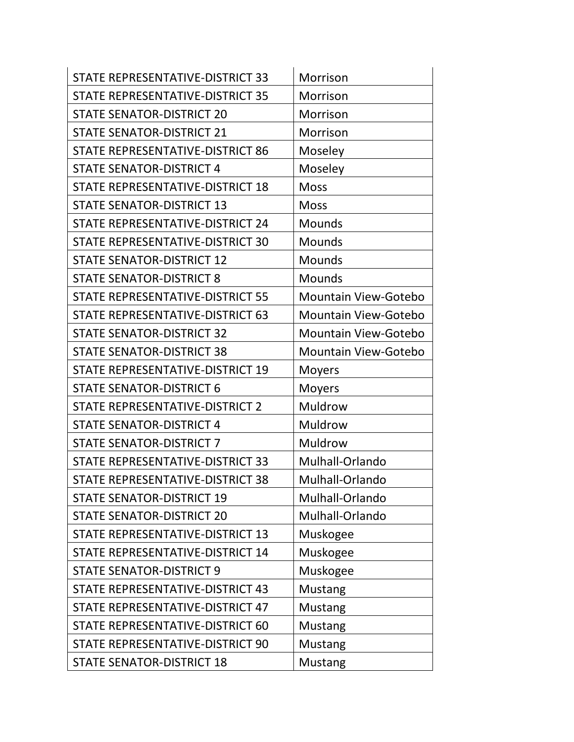| STATE REPRESENTATIVE-DISTRICT 33 | Morrison                    |
|----------------------------------|-----------------------------|
| STATE REPRESENTATIVE-DISTRICT 35 | Morrison                    |
| <b>STATE SENATOR-DISTRICT 20</b> | Morrison                    |
| <b>STATE SENATOR-DISTRICT 21</b> | Morrison                    |
| STATE REPRESENTATIVE-DISTRICT 86 | Moseley                     |
| <b>STATE SENATOR-DISTRICT 4</b>  | Moseley                     |
| STATE REPRESENTATIVE-DISTRICT 18 | <b>Moss</b>                 |
| <b>STATE SENATOR-DISTRICT 13</b> | <b>Moss</b>                 |
| STATE REPRESENTATIVE-DISTRICT 24 | <b>Mounds</b>               |
| STATE REPRESENTATIVE-DISTRICT 30 | <b>Mounds</b>               |
| <b>STATE SENATOR-DISTRICT 12</b> | Mounds                      |
| <b>STATE SENATOR-DISTRICT 8</b>  | <b>Mounds</b>               |
| STATE REPRESENTATIVE-DISTRICT 55 | <b>Mountain View-Gotebo</b> |
| STATE REPRESENTATIVE-DISTRICT 63 | <b>Mountain View-Gotebo</b> |
| <b>STATE SENATOR-DISTRICT 32</b> | <b>Mountain View-Gotebo</b> |
| <b>STATE SENATOR-DISTRICT 38</b> | <b>Mountain View-Gotebo</b> |
| STATE REPRESENTATIVE-DISTRICT 19 | <b>Moyers</b>               |
| <b>STATE SENATOR-DISTRICT 6</b>  | <b>Moyers</b>               |
| STATE REPRESENTATIVE-DISTRICT 2  | Muldrow                     |
| <b>STATE SENATOR-DISTRICT 4</b>  | Muldrow                     |
| <b>STATE SENATOR-DISTRICT 7</b>  | <b>Muldrow</b>              |
| STATE REPRESENTATIVE-DISTRICT 33 | Mulhall-Orlando             |
| STATE REPRESENTATIVE-DISTRICT 38 | Mulhall-Orlando             |
| <b>STATE SENATOR-DISTRICT 19</b> | Mulhall-Orlando             |
| <b>STATE SENATOR-DISTRICT 20</b> | Mulhall-Orlando             |
| STATE REPRESENTATIVE-DISTRICT 13 | Muskogee                    |
| STATE REPRESENTATIVE-DISTRICT 14 | Muskogee                    |
| <b>STATE SENATOR-DISTRICT 9</b>  | Muskogee                    |
| STATE REPRESENTATIVE-DISTRICT 43 | <b>Mustang</b>              |
| STATE REPRESENTATIVE-DISTRICT 47 | Mustang                     |
| STATE REPRESENTATIVE-DISTRICT 60 | <b>Mustang</b>              |
| STATE REPRESENTATIVE-DISTRICT 90 | Mustang                     |
| <b>STATE SENATOR-DISTRICT 18</b> | <b>Mustang</b>              |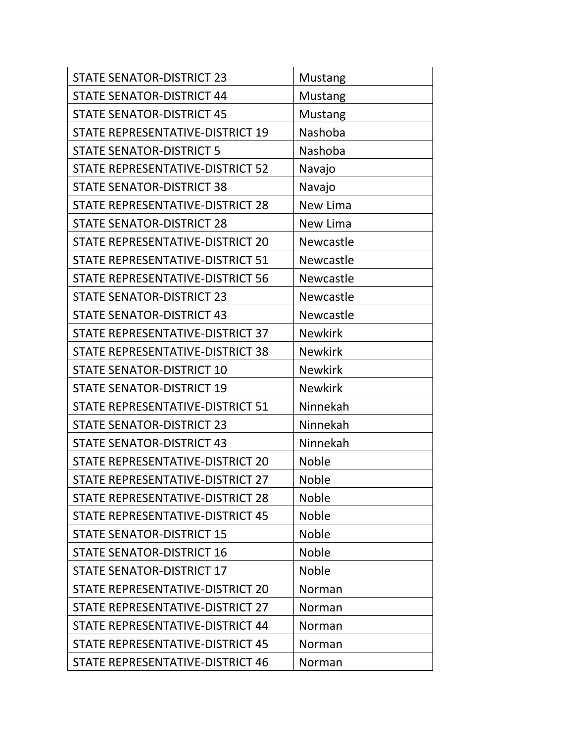| <b>STATE SENATOR-DISTRICT 23</b>        | <b>Mustang</b>   |
|-----------------------------------------|------------------|
| <b>STATE SENATOR-DISTRICT 44</b>        | <b>Mustang</b>   |
| <b>STATE SENATOR-DISTRICT 45</b>        | <b>Mustang</b>   |
| STATE REPRESENTATIVE-DISTRICT 19        | Nashoba          |
| <b>STATE SENATOR-DISTRICT 5</b>         | Nashoba          |
| STATE REPRESENTATIVE-DISTRICT 52        | Navajo           |
| <b>STATE SENATOR-DISTRICT 38</b>        | Navajo           |
| STATE REPRESENTATIVE-DISTRICT 28        | New Lima         |
| <b>STATE SENATOR-DISTRICT 28</b>        | New Lima         |
| STATE REPRESENTATIVE-DISTRICT 20        | <b>Newcastle</b> |
| <b>STATE REPRESENTATIVE-DISTRICT 51</b> | Newcastle        |
| STATE REPRESENTATIVE-DISTRICT 56        | Newcastle        |
| <b>STATE SENATOR-DISTRICT 23</b>        | Newcastle        |
| <b>STATE SENATOR-DISTRICT 43</b>        | Newcastle        |
| STATE REPRESENTATIVE-DISTRICT 37        | <b>Newkirk</b>   |
| STATE REPRESENTATIVE-DISTRICT 38        | <b>Newkirk</b>   |
| <b>STATE SENATOR-DISTRICT 10</b>        | <b>Newkirk</b>   |
| <b>STATE SENATOR-DISTRICT 19</b>        | <b>Newkirk</b>   |
| STATE REPRESENTATIVE-DISTRICT 51        | Ninnekah         |
| <b>STATE SENATOR-DISTRICT 23</b>        | Ninnekah         |
| <b>STATE SENATOR-DISTRICT 43</b>        | Ninnekah         |
| STATE REPRESENTATIVE-DISTRICT 20        | <b>Noble</b>     |
| STATE REPRESENTATIVE-DISTRICT 27        | <b>Noble</b>     |
| STATE REPRESENTATIVE-DISTRICT 28        | <b>Noble</b>     |
| STATE REPRESENTATIVE-DISTRICT 45        | <b>Noble</b>     |
| <b>STATE SENATOR-DISTRICT 15</b>        | <b>Noble</b>     |
| <b>STATE SENATOR-DISTRICT 16</b>        | <b>Noble</b>     |
| <b>STATE SENATOR-DISTRICT 17</b>        | <b>Noble</b>     |
| STATE REPRESENTATIVE-DISTRICT 20        | Norman           |
| STATE REPRESENTATIVE-DISTRICT 27        | Norman           |
| STATE REPRESENTATIVE-DISTRICT 44        | Norman           |
| STATE REPRESENTATIVE-DISTRICT 45        | Norman           |
| STATE REPRESENTATIVE-DISTRICT 46        | Norman           |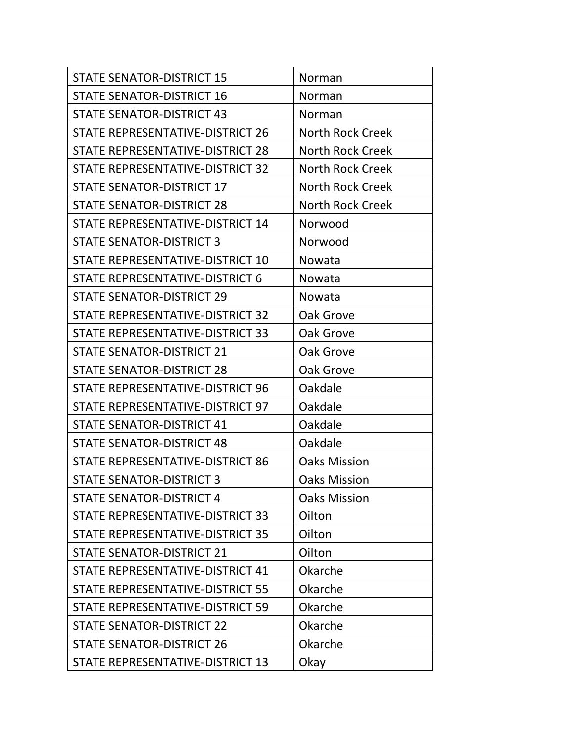| <b>STATE SENATOR-DISTRICT 15</b> | Norman                  |
|----------------------------------|-------------------------|
| <b>STATE SENATOR-DISTRICT 16</b> | Norman                  |
| <b>STATE SENATOR-DISTRICT 43</b> | Norman                  |
| STATE REPRESENTATIVE-DISTRICT 26 | <b>North Rock Creek</b> |
| STATE REPRESENTATIVE-DISTRICT 28 | <b>North Rock Creek</b> |
| STATE REPRESENTATIVE-DISTRICT 32 | <b>North Rock Creek</b> |
| <b>STATE SENATOR-DISTRICT 17</b> | North Rock Creek        |
| <b>STATE SENATOR-DISTRICT 28</b> | <b>North Rock Creek</b> |
| STATE REPRESENTATIVE-DISTRICT 14 | Norwood                 |
| <b>STATE SENATOR-DISTRICT 3</b>  | Norwood                 |
| STATE REPRESENTATIVE-DISTRICT 10 | Nowata                  |
| STATE REPRESENTATIVE-DISTRICT 6  | Nowata                  |
| <b>STATE SENATOR-DISTRICT 29</b> | Nowata                  |
| STATE REPRESENTATIVE-DISTRICT 32 | Oak Grove               |
| STATE REPRESENTATIVE-DISTRICT 33 | Oak Grove               |
| <b>STATE SENATOR-DISTRICT 21</b> | Oak Grove               |
| <b>STATE SENATOR-DISTRICT 28</b> | Oak Grove               |
| STATE REPRESENTATIVE-DISTRICT 96 | Oakdale                 |
| STATE REPRESENTATIVE-DISTRICT 97 | Oakdale                 |
| <b>STATE SENATOR-DISTRICT 41</b> | Oakdale                 |
| <b>STATE SENATOR-DISTRICT 48</b> | Oakdale                 |
| STATE REPRESENTATIVE-DISTRICT 86 | <b>Oaks Mission</b>     |
| <b>STATE SENATOR-DISTRICT 3</b>  | <b>Oaks Mission</b>     |
| <b>STATE SENATOR-DISTRICT 4</b>  | <b>Oaks Mission</b>     |
| STATE REPRESENTATIVE-DISTRICT 33 | Oilton                  |
| STATE REPRESENTATIVE-DISTRICT 35 | Oilton                  |
| <b>STATE SENATOR-DISTRICT 21</b> | Oilton                  |
| STATE REPRESENTATIVE-DISTRICT 41 | Okarche                 |
| STATE REPRESENTATIVE-DISTRICT 55 | Okarche                 |
| STATE REPRESENTATIVE-DISTRICT 59 | Okarche                 |
| <b>STATE SENATOR-DISTRICT 22</b> | Okarche                 |
| <b>STATE SENATOR-DISTRICT 26</b> | Okarche                 |
| STATE REPRESENTATIVE-DISTRICT 13 | Okay                    |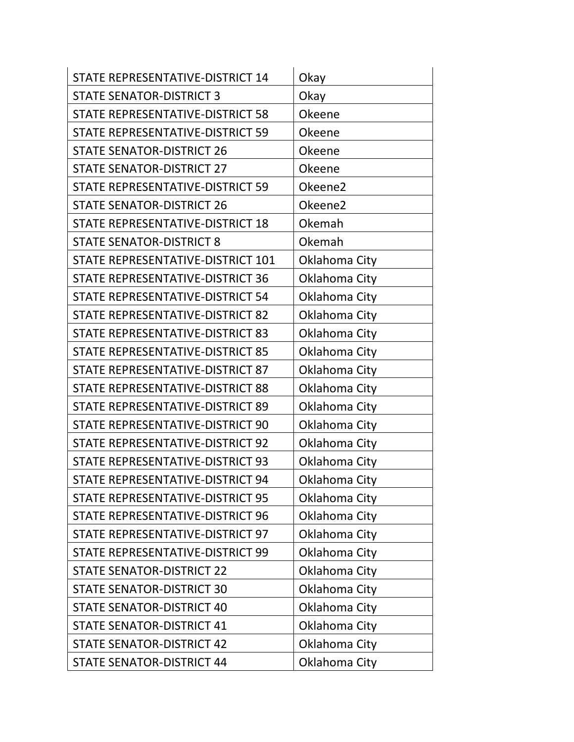| STATE REPRESENTATIVE-DISTRICT 14        | Okay          |
|-----------------------------------------|---------------|
| <b>STATE SENATOR-DISTRICT 3</b>         | Okay          |
| STATE REPRESENTATIVE-DISTRICT 58        | <b>Okeene</b> |
| STATE REPRESENTATIVE-DISTRICT 59        | <b>Okeene</b> |
| <b>STATE SENATOR-DISTRICT 26</b>        | <b>Okeene</b> |
| <b>STATE SENATOR-DISTRICT 27</b>        | Okeene        |
| STATE REPRESENTATIVE-DISTRICT 59        | Okeene2       |
| <b>STATE SENATOR-DISTRICT 26</b>        | Okeene2       |
| STATE REPRESENTATIVE-DISTRICT 18        | Okemah        |
| <b>STATE SENATOR-DISTRICT 8</b>         | Okemah        |
| STATE REPRESENTATIVE-DISTRICT 101       | Oklahoma City |
| <b>STATE REPRESENTATIVE-DISTRICT 36</b> | Oklahoma City |
| STATE REPRESENTATIVE-DISTRICT 54        | Oklahoma City |
| STATE REPRESENTATIVE-DISTRICT 82        | Oklahoma City |
| STATE REPRESENTATIVE-DISTRICT 83        | Oklahoma City |
| STATE REPRESENTATIVE-DISTRICT 85        | Oklahoma City |
| STATE REPRESENTATIVE-DISTRICT 87        | Oklahoma City |
| STATE REPRESENTATIVE-DISTRICT 88        | Oklahoma City |
| STATE REPRESENTATIVE-DISTRICT 89        | Oklahoma City |
| STATE REPRESENTATIVE-DISTRICT 90        | Oklahoma City |
| STATE REPRESENTATIVE-DISTRICT 92        | Oklahoma City |
| STATE REPRESENTATIVE-DISTRICT 93        | Oklahoma City |
| STATE REPRESENTATIVE-DISTRICT 94        | Oklahoma City |
| STATE REPRESENTATIVE-DISTRICT 95        | Oklahoma City |
| STATE REPRESENTATIVE-DISTRICT 96        | Oklahoma City |
| STATE REPRESENTATIVE-DISTRICT 97        | Oklahoma City |
| STATE REPRESENTATIVE-DISTRICT 99        | Oklahoma City |
| <b>STATE SENATOR-DISTRICT 22</b>        | Oklahoma City |
| <b>STATE SENATOR-DISTRICT 30</b>        | Oklahoma City |
| <b>STATE SENATOR-DISTRICT 40</b>        | Oklahoma City |
| <b>STATE SENATOR-DISTRICT 41</b>        | Oklahoma City |
| <b>STATE SENATOR-DISTRICT 42</b>        | Oklahoma City |
| <b>STATE SENATOR-DISTRICT 44</b>        | Oklahoma City |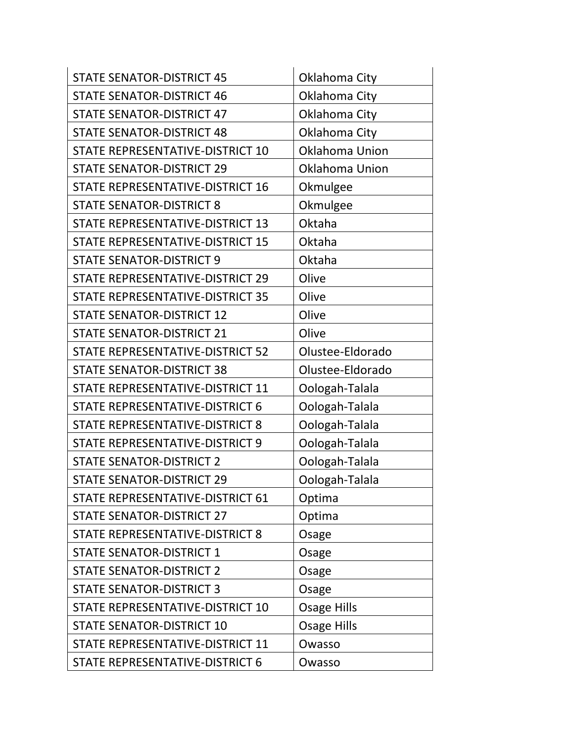| <b>STATE SENATOR-DISTRICT 45</b> | Oklahoma City         |
|----------------------------------|-----------------------|
| <b>STATE SENATOR-DISTRICT 46</b> | Oklahoma City         |
| <b>STATE SENATOR-DISTRICT 47</b> | Oklahoma City         |
| <b>STATE SENATOR-DISTRICT 48</b> | Oklahoma City         |
| STATE REPRESENTATIVE-DISTRICT 10 | <b>Oklahoma Union</b> |
| <b>STATE SENATOR-DISTRICT 29</b> | Oklahoma Union        |
| STATE REPRESENTATIVE-DISTRICT 16 | Okmulgee              |
| <b>STATE SENATOR-DISTRICT 8</b>  | Okmulgee              |
| STATE REPRESENTATIVE-DISTRICT 13 | Oktaha                |
| STATE REPRESENTATIVE-DISTRICT 15 | Oktaha                |
| <b>STATE SENATOR-DISTRICT 9</b>  | Oktaha                |
| STATE REPRESENTATIVE-DISTRICT 29 | Olive                 |
| STATE REPRESENTATIVE-DISTRICT 35 | Olive                 |
| <b>STATE SENATOR-DISTRICT 12</b> | Olive                 |
| <b>STATE SENATOR-DISTRICT 21</b> | Olive                 |
| STATE REPRESENTATIVE-DISTRICT 52 | Olustee-Eldorado      |
| <b>STATE SENATOR-DISTRICT 38</b> | Olustee-Eldorado      |
| STATE REPRESENTATIVE-DISTRICT 11 | Oologah-Talala        |
| STATE REPRESENTATIVE-DISTRICT 6  | Oologah-Talala        |
| STATE REPRESENTATIVE-DISTRICT 8  | Oologah-Talala        |
| STATE REPRESENTATIVE-DISTRICT 9  | Oologah-Talala        |
| <b>STATE SENATOR-DISTRICT 2</b>  | Oologah-Talala        |
| <b>STATE SENATOR-DISTRICT 29</b> | Oologah-Talala        |
| STATE REPRESENTATIVE-DISTRICT 61 | Optima                |
| <b>STATE SENATOR-DISTRICT 27</b> | Optima                |
| STATE REPRESENTATIVE-DISTRICT 8  | Osage                 |
| <b>STATE SENATOR-DISTRICT 1</b>  | Osage                 |
| <b>STATE SENATOR-DISTRICT 2</b>  | Osage                 |
| <b>STATE SENATOR-DISTRICT 3</b>  | Osage                 |
| STATE REPRESENTATIVE-DISTRICT 10 | <b>Osage Hills</b>    |
| <b>STATE SENATOR-DISTRICT 10</b> | <b>Osage Hills</b>    |
| STATE REPRESENTATIVE-DISTRICT 11 | Owasso                |
| STATE REPRESENTATIVE-DISTRICT 6  | Owasso                |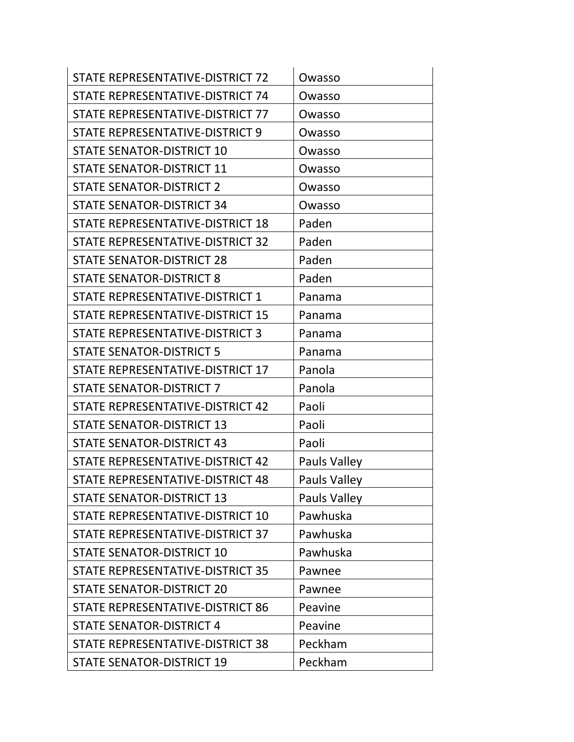| STATE REPRESENTATIVE-DISTRICT 72 | Owasso              |
|----------------------------------|---------------------|
| STATE REPRESENTATIVE-DISTRICT 74 | Owasso              |
| STATE REPRESENTATIVE-DISTRICT 77 | Owasso              |
| STATE REPRESENTATIVE-DISTRICT 9  | Owasso              |
| <b>STATE SENATOR-DISTRICT 10</b> | Owasso              |
| <b>STATE SENATOR-DISTRICT 11</b> | Owasso              |
| <b>STATE SENATOR-DISTRICT 2</b>  | Owasso              |
| <b>STATE SENATOR-DISTRICT 34</b> | Owasso              |
| STATE REPRESENTATIVE-DISTRICT 18 | Paden               |
| STATE REPRESENTATIVE-DISTRICT 32 | Paden               |
| <b>STATE SENATOR-DISTRICT 28</b> | Paden               |
| <b>STATE SENATOR-DISTRICT 8</b>  | Paden               |
| STATE REPRESENTATIVE-DISTRICT 1  | Panama              |
| STATE REPRESENTATIVE-DISTRICT 15 | Panama              |
| STATE REPRESENTATIVE-DISTRICT 3  | Panama              |
| <b>STATE SENATOR-DISTRICT 5</b>  | Panama              |
| STATE REPRESENTATIVE-DISTRICT 17 | Panola              |
| <b>STATE SENATOR-DISTRICT 7</b>  | Panola              |
| STATE REPRESENTATIVE-DISTRICT 42 | Paoli               |
| <b>STATE SENATOR-DISTRICT 13</b> | Paoli               |
| <b>STATE SENATOR-DISTRICT 43</b> | Paoli               |
| STATE REPRESENTATIVE-DISTRICT 42 | Pauls Valley        |
| STATE REPRESENTATIVE-DISTRICT 48 | <b>Pauls Valley</b> |
| <b>STATE SENATOR-DISTRICT 13</b> | Pauls Valley        |
| STATE REPRESENTATIVE-DISTRICT 10 | Pawhuska            |
| STATE REPRESENTATIVE-DISTRICT 37 | Pawhuska            |
| <b>STATE SENATOR-DISTRICT 10</b> | Pawhuska            |
| STATE REPRESENTATIVE-DISTRICT 35 | Pawnee              |
| <b>STATE SENATOR-DISTRICT 20</b> | Pawnee              |
| STATE REPRESENTATIVE-DISTRICT 86 | Peavine             |
| <b>STATE SENATOR-DISTRICT 4</b>  | Peavine             |
| STATE REPRESENTATIVE-DISTRICT 38 | Peckham             |
| <b>STATE SENATOR-DISTRICT 19</b> | Peckham             |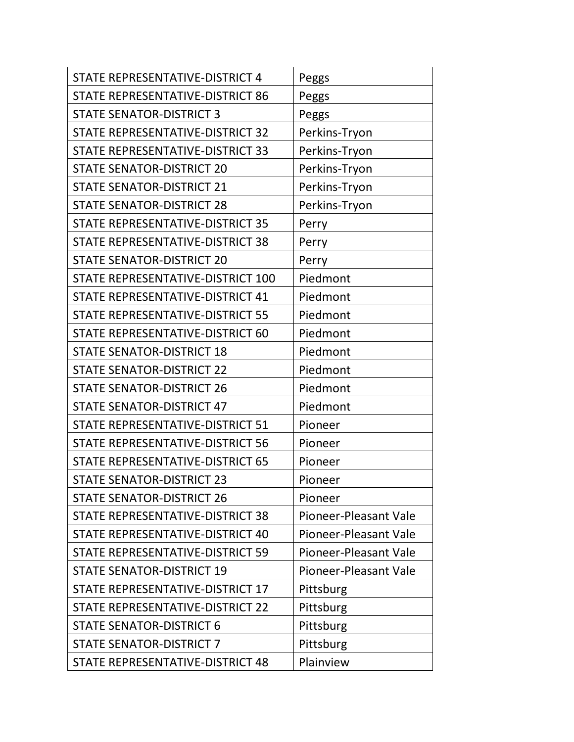| STATE REPRESENTATIVE-DISTRICT 4         | Peggs                 |
|-----------------------------------------|-----------------------|
| STATE REPRESENTATIVE-DISTRICT 86        | <b>Peggs</b>          |
| <b>STATE SENATOR-DISTRICT 3</b>         | Peggs                 |
| STATE REPRESENTATIVE-DISTRICT 32        | Perkins-Tryon         |
| STATE REPRESENTATIVE-DISTRICT 33        | Perkins-Tryon         |
| <b>STATE SENATOR-DISTRICT 20</b>        | Perkins-Tryon         |
| <b>STATE SENATOR-DISTRICT 21</b>        | Perkins-Tryon         |
| <b>STATE SENATOR-DISTRICT 28</b>        | Perkins-Tryon         |
| STATE REPRESENTATIVE-DISTRICT 35        | Perry                 |
| STATE REPRESENTATIVE-DISTRICT 38        | Perry                 |
| <b>STATE SENATOR-DISTRICT 20</b>        | Perry                 |
| STATE REPRESENTATIVE-DISTRICT 100       | Piedmont              |
| STATE REPRESENTATIVE-DISTRICT 41        | Piedmont              |
| STATE REPRESENTATIVE-DISTRICT 55        | Piedmont              |
| STATE REPRESENTATIVE-DISTRICT 60        | Piedmont              |
| <b>STATE SENATOR-DISTRICT 18</b>        | Piedmont              |
| <b>STATE SENATOR-DISTRICT 22</b>        | Piedmont              |
| <b>STATE SENATOR-DISTRICT 26</b>        | Piedmont              |
| <b>STATE SENATOR-DISTRICT 47</b>        | Piedmont              |
| STATE REPRESENTATIVE-DISTRICT 51        | Pioneer               |
| <b>STATE REPRESENTATIVE-DISTRICT 56</b> | Pioneer               |
| STATE REPRESENTATIVE-DISTRICT 65        | Pioneer               |
| <b>STATE SENATOR-DISTRICT 23</b>        | Pioneer               |
| <b>STATE SENATOR-DISTRICT 26</b>        | Pioneer               |
| STATE REPRESENTATIVE-DISTRICT 38        | Pioneer-Pleasant Vale |
| STATE REPRESENTATIVE-DISTRICT 40        | Pioneer-Pleasant Vale |
| STATE REPRESENTATIVE-DISTRICT 59        | Pioneer-Pleasant Vale |
| <b>STATE SENATOR-DISTRICT 19</b>        | Pioneer-Pleasant Vale |
| STATE REPRESENTATIVE-DISTRICT 17        | Pittsburg             |
| STATE REPRESENTATIVE-DISTRICT 22        | Pittsburg             |
| <b>STATE SENATOR-DISTRICT 6</b>         | Pittsburg             |
| <b>STATE SENATOR-DISTRICT 7</b>         | Pittsburg             |
| STATE REPRESENTATIVE-DISTRICT 48        | Plainview             |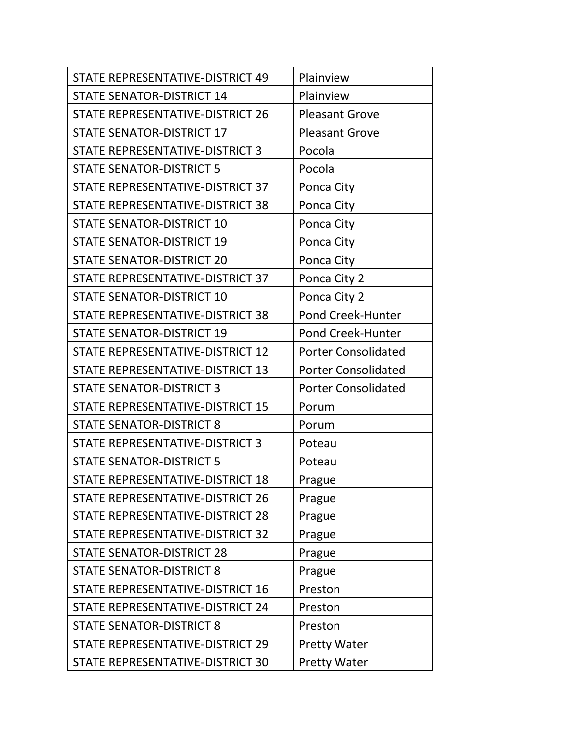| STATE REPRESENTATIVE-DISTRICT 49 | Plainview                  |
|----------------------------------|----------------------------|
| <b>STATE SENATOR-DISTRICT 14</b> | Plainview                  |
| STATE REPRESENTATIVE-DISTRICT 26 | <b>Pleasant Grove</b>      |
| <b>STATE SENATOR-DISTRICT 17</b> | <b>Pleasant Grove</b>      |
| STATE REPRESENTATIVE-DISTRICT 3  | Pocola                     |
| <b>STATE SENATOR-DISTRICT 5</b>  | Pocola                     |
| STATE REPRESENTATIVE-DISTRICT 37 | Ponca City                 |
| STATE REPRESENTATIVE-DISTRICT 38 | Ponca City                 |
| <b>STATE SENATOR-DISTRICT 10</b> | Ponca City                 |
| <b>STATE SENATOR-DISTRICT 19</b> | Ponca City                 |
| <b>STATE SENATOR-DISTRICT 20</b> | Ponca City                 |
| STATE REPRESENTATIVE-DISTRICT 37 | Ponca City 2               |
| <b>STATE SENATOR-DISTRICT 10</b> | Ponca City 2               |
| STATE REPRESENTATIVE-DISTRICT 38 | Pond Creek-Hunter          |
| <b>STATE SENATOR-DISTRICT 19</b> | Pond Creek-Hunter          |
| STATE REPRESENTATIVE-DISTRICT 12 | <b>Porter Consolidated</b> |
| STATE REPRESENTATIVE-DISTRICT 13 | <b>Porter Consolidated</b> |
| <b>STATE SENATOR-DISTRICT 3</b>  | <b>Porter Consolidated</b> |
| STATE REPRESENTATIVE-DISTRICT 15 | Porum                      |
| <b>STATE SENATOR-DISTRICT 8</b>  | Porum                      |
| STATE REPRESENTATIVE-DISTRICT 3  | Poteau                     |
| <b>STATE SENATOR-DISTRICT 5</b>  | Poteau                     |
| STATE REPRESENTATIVE-DISTRICT 18 | Prague                     |
| STATE REPRESENTATIVE-DISTRICT 26 | Prague                     |
| STATE REPRESENTATIVE-DISTRICT 28 | Prague                     |
| STATE REPRESENTATIVE-DISTRICT 32 | Prague                     |
| <b>STATE SENATOR-DISTRICT 28</b> | Prague                     |
| <b>STATE SENATOR-DISTRICT 8</b>  | Prague                     |
| STATE REPRESENTATIVE-DISTRICT 16 | Preston                    |
| STATE REPRESENTATIVE-DISTRICT 24 | Preston                    |
| <b>STATE SENATOR-DISTRICT 8</b>  | Preston                    |
| STATE REPRESENTATIVE-DISTRICT 29 | <b>Pretty Water</b>        |
| STATE REPRESENTATIVE-DISTRICT 30 | <b>Pretty Water</b>        |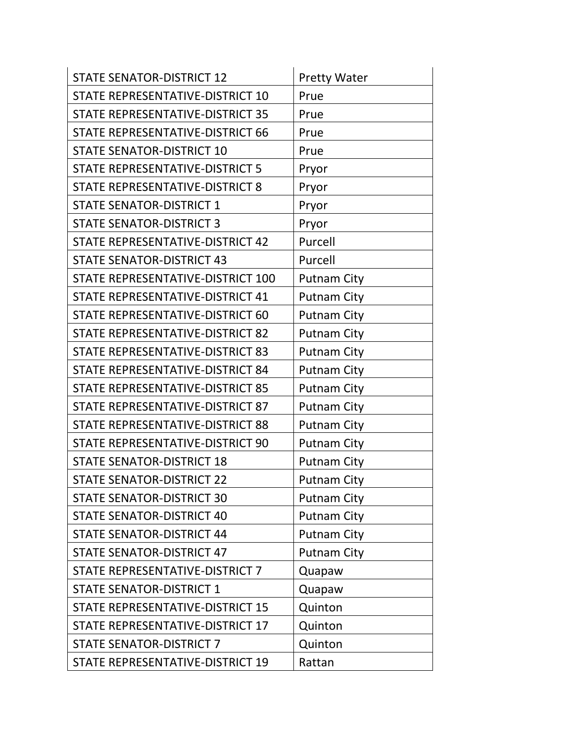| <b>STATE SENATOR-DISTRICT 12</b>       | <b>Pretty Water</b> |
|----------------------------------------|---------------------|
| STATE REPRESENTATIVE-DISTRICT 10       | Prue                |
| STATE REPRESENTATIVE-DISTRICT 35       | Prue                |
| STATE REPRESENTATIVE-DISTRICT 66       | Prue                |
| <b>STATE SENATOR-DISTRICT 10</b>       | Prue                |
| <b>STATE REPRESENTATIVE-DISTRICT 5</b> | Pryor               |
| STATE REPRESENTATIVE-DISTRICT 8        | Pryor               |
| <b>STATE SENATOR-DISTRICT 1</b>        | Pryor               |
| <b>STATE SENATOR-DISTRICT 3</b>        | Pryor               |
| STATE REPRESENTATIVE-DISTRICT 42       | Purcell             |
| <b>STATE SENATOR-DISTRICT 43</b>       | Purcell             |
| STATE REPRESENTATIVE-DISTRICT 100      | <b>Putnam City</b>  |
| STATE REPRESENTATIVE-DISTRICT 41       | <b>Putnam City</b>  |
| STATE REPRESENTATIVE-DISTRICT 60       | <b>Putnam City</b>  |
| STATE REPRESENTATIVE-DISTRICT 82       | <b>Putnam City</b>  |
| STATE REPRESENTATIVE-DISTRICT 83       | <b>Putnam City</b>  |
| STATE REPRESENTATIVE-DISTRICT 84       | <b>Putnam City</b>  |
| STATE REPRESENTATIVE-DISTRICT 85       | <b>Putnam City</b>  |
| STATE REPRESENTATIVE-DISTRICT 87       | <b>Putnam City</b>  |
| STATE REPRESENTATIVE-DISTRICT 88       | <b>Putnam City</b>  |
| STATE REPRESENTATIVE-DISTRICT 90       | <b>Putnam City</b>  |
| <b>STATE SENATOR-DISTRICT 18</b>       | <b>Putnam City</b>  |
| <b>STATE SENATOR-DISTRICT 22</b>       | <b>Putnam City</b>  |
| <b>STATE SENATOR-DISTRICT 30</b>       | <b>Putnam City</b>  |
| <b>STATE SENATOR-DISTRICT 40</b>       | <b>Putnam City</b>  |
| <b>STATE SENATOR-DISTRICT 44</b>       | <b>Putnam City</b>  |
| <b>STATE SENATOR-DISTRICT 47</b>       | <b>Putnam City</b>  |
| STATE REPRESENTATIVE-DISTRICT 7        | Quapaw              |
| <b>STATE SENATOR-DISTRICT 1</b>        | Quapaw              |
| STATE REPRESENTATIVE-DISTRICT 15       | Quinton             |
| STATE REPRESENTATIVE-DISTRICT 17       | Quinton             |
| <b>STATE SENATOR-DISTRICT 7</b>        | Quinton             |
| STATE REPRESENTATIVE-DISTRICT 19       | Rattan              |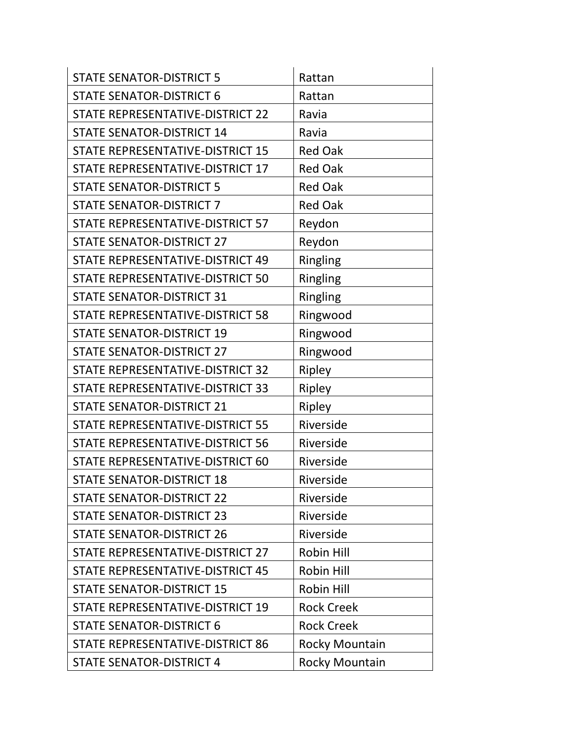| <b>STATE SENATOR-DISTRICT 5</b>         | Rattan                |
|-----------------------------------------|-----------------------|
| <b>STATE SENATOR-DISTRICT 6</b>         | Rattan                |
| STATE REPRESENTATIVE-DISTRICT 22        | Ravia                 |
| <b>STATE SENATOR-DISTRICT 14</b>        | Ravia                 |
| STATE REPRESENTATIVE-DISTRICT 15        | <b>Red Oak</b>        |
| STATE REPRESENTATIVE-DISTRICT 17        | <b>Red Oak</b>        |
| <b>STATE SENATOR-DISTRICT 5</b>         | <b>Red Oak</b>        |
| <b>STATE SENATOR-DISTRICT 7</b>         | <b>Red Oak</b>        |
| STATE REPRESENTATIVE-DISTRICT 57        | Reydon                |
| <b>STATE SENATOR-DISTRICT 27</b>        | Reydon                |
| STATE REPRESENTATIVE-DISTRICT 49        | Ringling              |
| STATE REPRESENTATIVE-DISTRICT 50        | Ringling              |
| <b>STATE SENATOR-DISTRICT 31</b>        | Ringling              |
| STATE REPRESENTATIVE-DISTRICT 58        | Ringwood              |
| <b>STATE SENATOR-DISTRICT 19</b>        | Ringwood              |
| <b>STATE SENATOR-DISTRICT 27</b>        | Ringwood              |
| STATE REPRESENTATIVE-DISTRICT 32        | Ripley                |
| STATE REPRESENTATIVE-DISTRICT 33        | Ripley                |
| <b>STATE SENATOR-DISTRICT 21</b>        | Ripley                |
| STATE REPRESENTATIVE-DISTRICT 55        | Riverside             |
| <b>STATE REPRESENTATIVE-DISTRICT 56</b> | Riverside             |
| STATE REPRESENTATIVE-DISTRICT 60        | Riverside             |
| <b>STATE SENATOR-DISTRICT 18</b>        | Riverside             |
| <b>STATE SENATOR-DISTRICT 22</b>        | Riverside             |
| <b>STATE SENATOR-DISTRICT 23</b>        | Riverside             |
| <b>STATE SENATOR-DISTRICT 26</b>        | Riverside             |
| STATE REPRESENTATIVE-DISTRICT 27        | Robin Hill            |
| STATE REPRESENTATIVE-DISTRICT 45        | Robin Hill            |
| <b>STATE SENATOR-DISTRICT 15</b>        | Robin Hill            |
| STATE REPRESENTATIVE-DISTRICT 19        | <b>Rock Creek</b>     |
| <b>STATE SENATOR-DISTRICT 6</b>         | <b>Rock Creek</b>     |
| STATE REPRESENTATIVE-DISTRICT 86        | <b>Rocky Mountain</b> |
| <b>STATE SENATOR-DISTRICT 4</b>         | <b>Rocky Mountain</b> |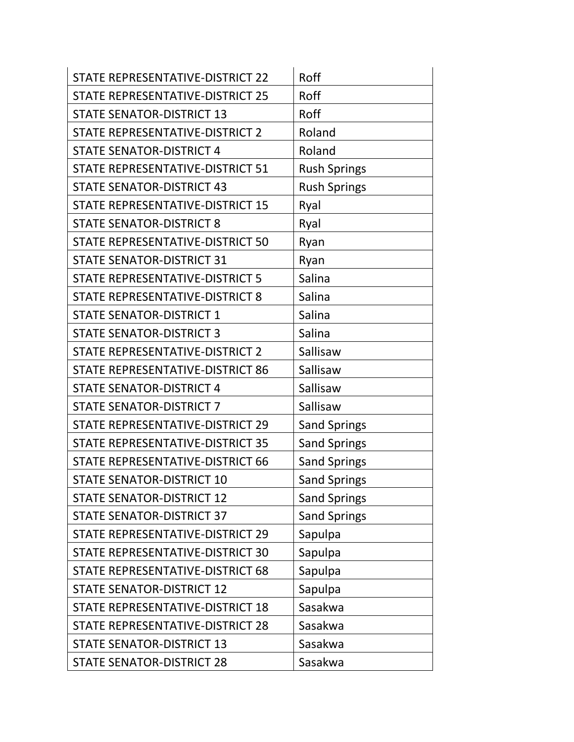| STATE REPRESENTATIVE-DISTRICT 22        | Roff                |
|-----------------------------------------|---------------------|
| STATE REPRESENTATIVE-DISTRICT 25        | Roff                |
| <b>STATE SENATOR-DISTRICT 13</b>        | Roff                |
| STATE REPRESENTATIVE-DISTRICT 2         | Roland              |
| <b>STATE SENATOR-DISTRICT 4</b>         | Roland              |
| <b>STATE REPRESENTATIVE-DISTRICT 51</b> | <b>Rush Springs</b> |
| <b>STATE SENATOR-DISTRICT 43</b>        | <b>Rush Springs</b> |
| STATE REPRESENTATIVE-DISTRICT 15        | Ryal                |
| <b>STATE SENATOR-DISTRICT 8</b>         | Ryal                |
| STATE REPRESENTATIVE-DISTRICT 50        | Ryan                |
| <b>STATE SENATOR-DISTRICT 31</b>        | Ryan                |
| <b>STATE REPRESENTATIVE-DISTRICT 5</b>  | Salina              |
| STATE REPRESENTATIVE-DISTRICT 8         | Salina              |
| <b>STATE SENATOR-DISTRICT 1</b>         | Salina              |
| <b>STATE SENATOR-DISTRICT 3</b>         | Salina              |
| STATE REPRESENTATIVE-DISTRICT 2         | Sallisaw            |
| STATE REPRESENTATIVE-DISTRICT 86        | Sallisaw            |
| <b>STATE SENATOR-DISTRICT 4</b>         | Sallisaw            |
| <b>STATE SENATOR-DISTRICT 7</b>         | Sallisaw            |
| STATE REPRESENTATIVE-DISTRICT 29        | <b>Sand Springs</b> |
| <b>STATE REPRESENTATIVE-DISTRICT 35</b> | <b>Sand Springs</b> |
| STATE REPRESENTATIVE-DISTRICT 66        | <b>Sand Springs</b> |
| <b>STATE SENATOR-DISTRICT 10</b>        | <b>Sand Springs</b> |
| <b>STATE SENATOR-DISTRICT 12</b>        | <b>Sand Springs</b> |
| <b>STATE SENATOR-DISTRICT 37</b>        | <b>Sand Springs</b> |
| STATE REPRESENTATIVE-DISTRICT 29        | Sapulpa             |
| STATE REPRESENTATIVE-DISTRICT 30        | Sapulpa             |
| STATE REPRESENTATIVE-DISTRICT 68        | Sapulpa             |
| <b>STATE SENATOR-DISTRICT 12</b>        | Sapulpa             |
| STATE REPRESENTATIVE-DISTRICT 18        | Sasakwa             |
| STATE REPRESENTATIVE-DISTRICT 28        | Sasakwa             |
| <b>STATE SENATOR-DISTRICT 13</b>        | Sasakwa             |
| <b>STATE SENATOR-DISTRICT 28</b>        | Sasakwa             |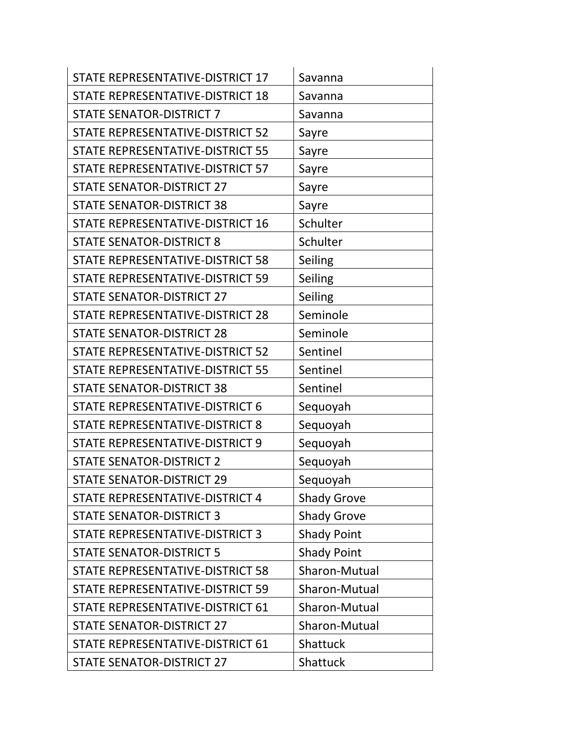| STATE REPRESENTATIVE-DISTRICT 17 | Savanna            |
|----------------------------------|--------------------|
| STATE REPRESENTATIVE-DISTRICT 18 | Savanna            |
| <b>STATE SENATOR-DISTRICT 7</b>  | Savanna            |
| STATE REPRESENTATIVE-DISTRICT 52 | Sayre              |
| STATE REPRESENTATIVE-DISTRICT 55 | Sayre              |
| STATE REPRESENTATIVE-DISTRICT 57 | Sayre              |
| <b>STATE SENATOR-DISTRICT 27</b> | Sayre              |
| <b>STATE SENATOR-DISTRICT 38</b> | Sayre              |
| STATE REPRESENTATIVE-DISTRICT 16 | Schulter           |
| <b>STATE SENATOR-DISTRICT 8</b>  | Schulter           |
| STATE REPRESENTATIVE-DISTRICT 58 | Seiling            |
| STATE REPRESENTATIVE-DISTRICT 59 | Seiling            |
| <b>STATE SENATOR-DISTRICT 27</b> | Seiling            |
| STATE REPRESENTATIVE-DISTRICT 28 | Seminole           |
| <b>STATE SENATOR-DISTRICT 28</b> | Seminole           |
| STATE REPRESENTATIVE-DISTRICT 52 | Sentinel           |
| STATE REPRESENTATIVE-DISTRICT 55 | Sentinel           |
| <b>STATE SENATOR-DISTRICT 38</b> | Sentinel           |
| STATE REPRESENTATIVE-DISTRICT 6  | Sequoyah           |
| STATE REPRESENTATIVE-DISTRICT 8  | Sequoyah           |
| STATE REPRESENTATIVE-DISTRICT 9  | Sequoyah           |
| <b>STATE SENATOR-DISTRICT 2</b>  | Sequoyah           |
| <b>STATE SENATOR-DISTRICT 29</b> | Sequoyah           |
| STATE REPRESENTATIVE-DISTRICT 4  | <b>Shady Grove</b> |
| <b>STATE SENATOR-DISTRICT 3</b>  | <b>Shady Grove</b> |
| STATE REPRESENTATIVE-DISTRICT 3  | <b>Shady Point</b> |
| <b>STATE SENATOR-DISTRICT 5</b>  | <b>Shady Point</b> |
| STATE REPRESENTATIVE-DISTRICT 58 | Sharon-Mutual      |
| STATE REPRESENTATIVE-DISTRICT 59 | Sharon-Mutual      |
| STATE REPRESENTATIVE-DISTRICT 61 | Sharon-Mutual      |
| <b>STATE SENATOR-DISTRICT 27</b> | Sharon-Mutual      |
| STATE REPRESENTATIVE-DISTRICT 61 | Shattuck           |
| <b>STATE SENATOR-DISTRICT 27</b> | Shattuck           |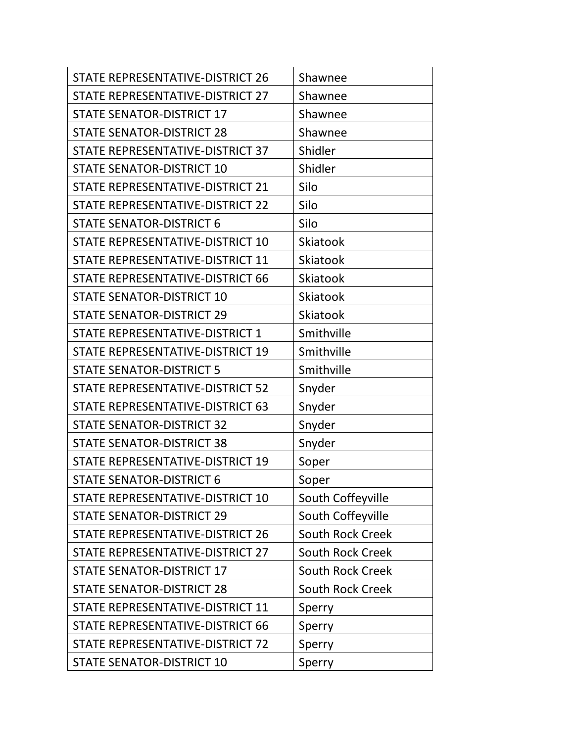| STATE REPRESENTATIVE-DISTRICT 26        | Shawnee                 |
|-----------------------------------------|-------------------------|
| STATE REPRESENTATIVE-DISTRICT 27        | Shawnee                 |
| <b>STATE SENATOR-DISTRICT 17</b>        | Shawnee                 |
| <b>STATE SENATOR-DISTRICT 28</b>        | Shawnee                 |
| STATE REPRESENTATIVE-DISTRICT 37        | Shidler                 |
| <b>STATE SENATOR-DISTRICT 10</b>        | Shidler                 |
| STATE REPRESENTATIVE-DISTRICT 21        | Silo                    |
| STATE REPRESENTATIVE-DISTRICT 22        | Silo                    |
| <b>STATE SENATOR-DISTRICT 6</b>         | Silo                    |
| STATE REPRESENTATIVE-DISTRICT 10        | <b>Skiatook</b>         |
| STATE REPRESENTATIVE-DISTRICT 11        | Skiatook                |
| STATE REPRESENTATIVE-DISTRICT 66        | <b>Skiatook</b>         |
| <b>STATE SENATOR-DISTRICT 10</b>        | <b>Skiatook</b>         |
| <b>STATE SENATOR-DISTRICT 29</b>        | <b>Skiatook</b>         |
| STATE REPRESENTATIVE-DISTRICT 1         | Smithville              |
| STATE REPRESENTATIVE-DISTRICT 19        | Smithville              |
| <b>STATE SENATOR-DISTRICT 5</b>         | Smithville              |
| STATE REPRESENTATIVE-DISTRICT 52        | Snyder                  |
| STATE REPRESENTATIVE-DISTRICT 63        | Snyder                  |
| <b>STATE SENATOR-DISTRICT 32</b>        | Snyder                  |
| <b>STATE SENATOR-DISTRICT 38</b>        | Snyder                  |
| STATE REPRESENTATIVE-DISTRICT 19        | Soper                   |
| <b>STATE SENATOR-DISTRICT 6</b>         | Soper                   |
| STATE REPRESENTATIVE-DISTRICT 10        | South Coffeyville       |
| <b>STATE SENATOR-DISTRICT 29</b>        | South Coffeyville       |
| <b>STATE REPRESENTATIVE-DISTRICT 26</b> | <b>South Rock Creek</b> |
| STATE REPRESENTATIVE-DISTRICT 27        | <b>South Rock Creek</b> |
| <b>STATE SENATOR-DISTRICT 17</b>        | <b>South Rock Creek</b> |
| <b>STATE SENATOR-DISTRICT 28</b>        | <b>South Rock Creek</b> |
| STATE REPRESENTATIVE-DISTRICT 11        | Sperry                  |
| STATE REPRESENTATIVE-DISTRICT 66        | Sperry                  |
| STATE REPRESENTATIVE-DISTRICT 72        | Sperry                  |
| <b>STATE SENATOR-DISTRICT 10</b>        | Sperry                  |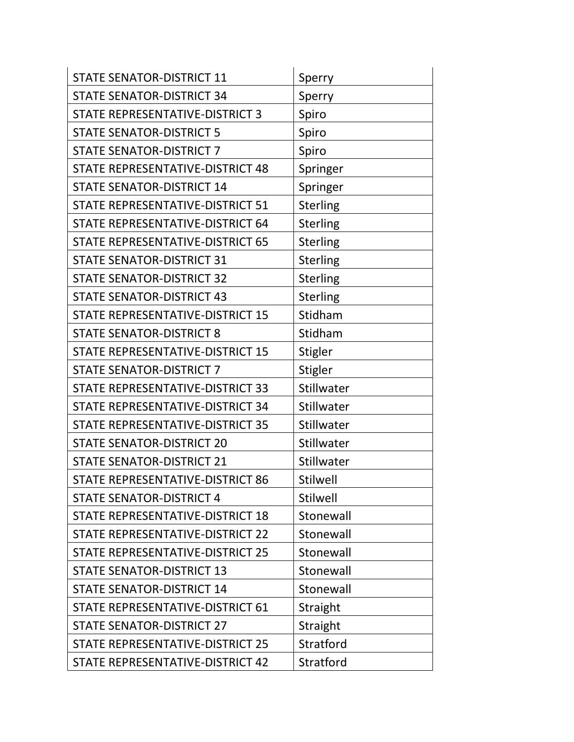| <b>STATE SENATOR-DISTRICT 11</b>        | Sperry          |
|-----------------------------------------|-----------------|
| <b>STATE SENATOR-DISTRICT 34</b>        | Sperry          |
| STATE REPRESENTATIVE-DISTRICT 3         | Spiro           |
| <b>STATE SENATOR-DISTRICT 5</b>         | Spiro           |
| <b>STATE SENATOR-DISTRICT 7</b>         | Spiro           |
| STATE REPRESENTATIVE-DISTRICT 48        | Springer        |
| <b>STATE SENATOR-DISTRICT 14</b>        | Springer        |
| STATE REPRESENTATIVE-DISTRICT 51        | Sterling        |
| STATE REPRESENTATIVE-DISTRICT 64        | <b>Sterling</b> |
| STATE REPRESENTATIVE-DISTRICT 65        | <b>Sterling</b> |
| <b>STATE SENATOR-DISTRICT 31</b>        | <b>Sterling</b> |
| <b>STATE SENATOR-DISTRICT 32</b>        | Sterling        |
| <b>STATE SENATOR-DISTRICT 43</b>        | <b>Sterling</b> |
| <b>STATE REPRESENTATIVE-DISTRICT 15</b> | Stidham         |
| <b>STATE SENATOR-DISTRICT 8</b>         | Stidham         |
| STATE REPRESENTATIVE-DISTRICT 15        | Stigler         |
| <b>STATE SENATOR-DISTRICT 7</b>         | <b>Stigler</b>  |
| STATE REPRESENTATIVE-DISTRICT 33        | Stillwater      |
| STATE REPRESENTATIVE-DISTRICT 34        | Stillwater      |
| STATE REPRESENTATIVE-DISTRICT 35        | Stillwater      |
| <b>STATE SENATOR-DISTRICT 20</b>        | Stillwater      |
| <b>STATE SENATOR-DISTRICT 21</b>        | Stillwater      |
| STATE REPRESENTATIVE-DISTRICT 86        | <b>Stilwell</b> |
| <b>STATE SENATOR-DISTRICT 4</b>         | <b>Stilwell</b> |
| <b>STATE REPRESENTATIVE-DISTRICT 18</b> | Stonewall       |
| STATE REPRESENTATIVE-DISTRICT 22        | Stonewall       |
| STATE REPRESENTATIVE-DISTRICT 25        | Stonewall       |
| <b>STATE SENATOR-DISTRICT 13</b>        | Stonewall       |
| <b>STATE SENATOR-DISTRICT 14</b>        | Stonewall       |
| STATE REPRESENTATIVE-DISTRICT 61        | Straight        |
| <b>STATE SENATOR-DISTRICT 27</b>        | Straight        |
| STATE REPRESENTATIVE-DISTRICT 25        | Stratford       |
| STATE REPRESENTATIVE-DISTRICT 42        | Stratford       |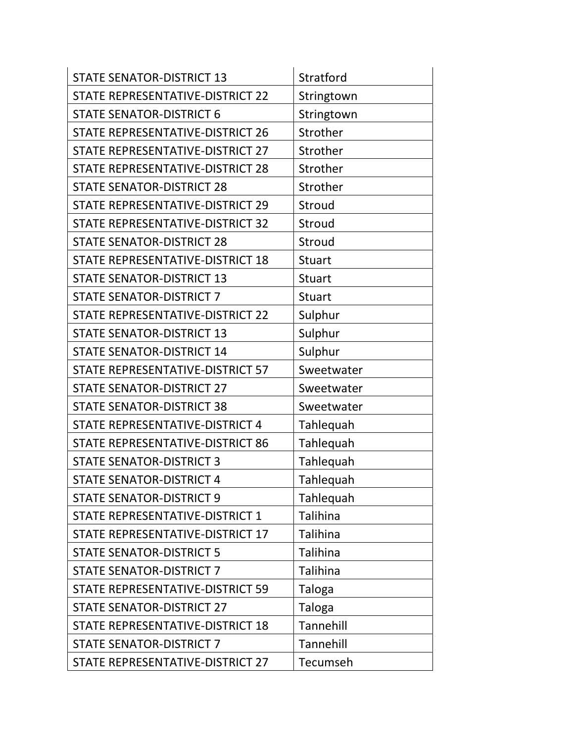| <b>STATE SENATOR-DISTRICT 13</b> | Stratford     |
|----------------------------------|---------------|
| STATE REPRESENTATIVE-DISTRICT 22 | Stringtown    |
| <b>STATE SENATOR-DISTRICT 6</b>  | Stringtown    |
| STATE REPRESENTATIVE-DISTRICT 26 | Strother      |
| STATE REPRESENTATIVE-DISTRICT 27 | Strother      |
| STATE REPRESENTATIVE-DISTRICT 28 | Strother      |
| <b>STATE SENATOR-DISTRICT 28</b> | Strother      |
| STATE REPRESENTATIVE-DISTRICT 29 | Stroud        |
| STATE REPRESENTATIVE-DISTRICT 32 | Stroud        |
| <b>STATE SENATOR-DISTRICT 28</b> | Stroud        |
| STATE REPRESENTATIVE-DISTRICT 18 | <b>Stuart</b> |
| <b>STATE SENATOR-DISTRICT 13</b> | <b>Stuart</b> |
| <b>STATE SENATOR-DISTRICT 7</b>  | <b>Stuart</b> |
| STATE REPRESENTATIVE-DISTRICT 22 | Sulphur       |
| <b>STATE SENATOR-DISTRICT 13</b> | Sulphur       |
| <b>STATE SENATOR-DISTRICT 14</b> | Sulphur       |
| STATE REPRESENTATIVE-DISTRICT 57 | Sweetwater    |
| <b>STATE SENATOR-DISTRICT 27</b> | Sweetwater    |
| <b>STATE SENATOR-DISTRICT 38</b> | Sweetwater    |
| STATE REPRESENTATIVE-DISTRICT 4  | Tahlequah     |
| STATE REPRESENTATIVE-DISTRICT 86 | Tahlequah     |
| <b>STATE SENATOR-DISTRICT 3</b>  | Tahlequah     |
| <b>STATE SENATOR-DISTRICT 4</b>  | Tahlequah     |
| <b>STATE SENATOR-DISTRICT 9</b>  | Tahlequah     |
| STATE REPRESENTATIVE-DISTRICT 1  | Talihina      |
| STATE REPRESENTATIVE-DISTRICT 17 | Talihina      |
| <b>STATE SENATOR-DISTRICT 5</b>  | Talihina      |
| <b>STATE SENATOR-DISTRICT 7</b>  | Talihina      |
| STATE REPRESENTATIVE-DISTRICT 59 | <b>Taloga</b> |
| <b>STATE SENATOR-DISTRICT 27</b> | Taloga        |
| STATE REPRESENTATIVE-DISTRICT 18 | Tannehill     |
| <b>STATE SENATOR-DISTRICT 7</b>  | Tannehill     |
| STATE REPRESENTATIVE-DISTRICT 27 | Tecumseh      |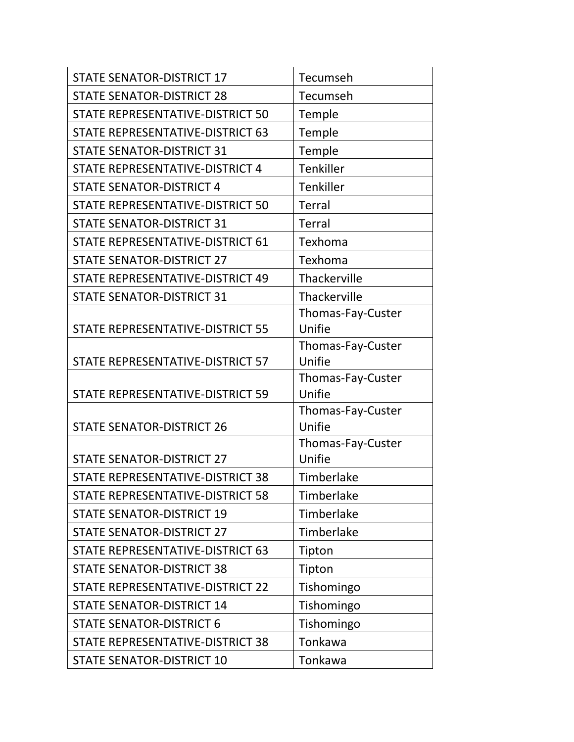| <b>STATE SENATOR-DISTRICT 17</b>        | Tecumseh                    |
|-----------------------------------------|-----------------------------|
| <b>STATE SENATOR-DISTRICT 28</b>        | Tecumseh                    |
| STATE REPRESENTATIVE-DISTRICT 50        | Temple                      |
| STATE REPRESENTATIVE-DISTRICT 63        | Temple                      |
| <b>STATE SENATOR-DISTRICT 31</b>        | Temple                      |
| STATE REPRESENTATIVE-DISTRICT 4         | <b>Tenkiller</b>            |
| <b>STATE SENATOR-DISTRICT 4</b>         | Tenkiller                   |
| STATE REPRESENTATIVE-DISTRICT 50        | <b>Terral</b>               |
| <b>STATE SENATOR-DISTRICT 31</b>        | <b>Terral</b>               |
| STATE REPRESENTATIVE-DISTRICT 61        | Texhoma                     |
| <b>STATE SENATOR-DISTRICT 27</b>        | Texhoma                     |
| STATE REPRESENTATIVE-DISTRICT 49        | Thackerville                |
| <b>STATE SENATOR-DISTRICT 31</b>        | Thackerville                |
|                                         | Thomas-Fay-Custer           |
| <b>STATE REPRESENTATIVE-DISTRICT 55</b> | Unifie                      |
|                                         | Thomas-Fay-Custer           |
| STATE REPRESENTATIVE-DISTRICT 57        | Unifie                      |
| STATE REPRESENTATIVE-DISTRICT 59        | Thomas-Fay-Custer<br>Unifie |
|                                         | Thomas-Fay-Custer           |
| <b>STATE SENATOR-DISTRICT 26</b>        | Unifie                      |
|                                         | Thomas-Fay-Custer           |
| <b>STATE SENATOR-DISTRICT 27</b>        | Unifie                      |
| STATE REPRESENTATIVE-DISTRICT 38        | Timberlake                  |
| STATE REPRESENTATIVE-DISTRICT 58        | Timberlake                  |
| <b>STATE SENATOR-DISTRICT 19</b>        | Timberlake                  |
| <b>STATE SENATOR-DISTRICT 27</b>        | Timberlake                  |
| STATE REPRESENTATIVE-DISTRICT 63        | Tipton                      |
| <b>STATE SENATOR-DISTRICT 38</b>        | Tipton                      |
| STATE REPRESENTATIVE-DISTRICT 22        | Tishomingo                  |
| <b>STATE SENATOR-DISTRICT 14</b>        | Tishomingo                  |
| <b>STATE SENATOR-DISTRICT 6</b>         | Tishomingo                  |
| STATE REPRESENTATIVE-DISTRICT 38        | Tonkawa                     |
| <b>STATE SENATOR-DISTRICT 10</b>        | Tonkawa                     |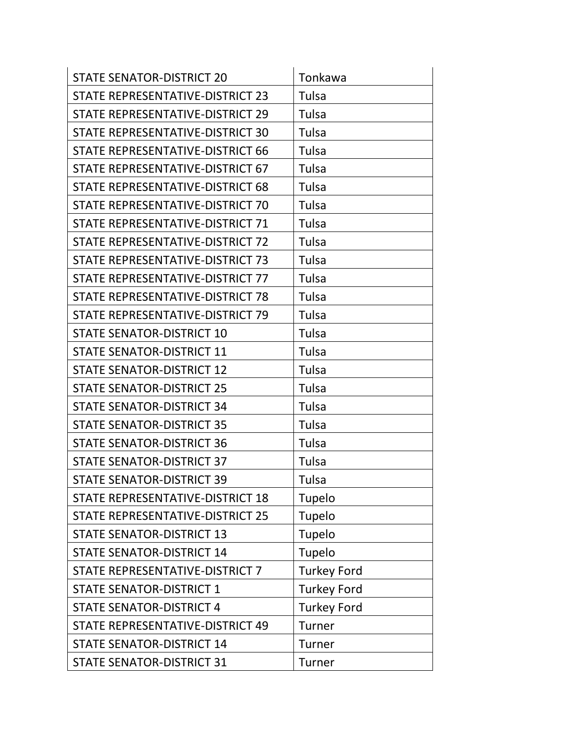| <b>STATE SENATOR-DISTRICT 20</b>        | Tonkawa            |
|-----------------------------------------|--------------------|
| STATE REPRESENTATIVE-DISTRICT 23        | Tulsa              |
| STATE REPRESENTATIVE-DISTRICT 29        | Tulsa              |
| STATE REPRESENTATIVE-DISTRICT 30        | Tulsa              |
| STATE REPRESENTATIVE-DISTRICT 66        | Tulsa              |
| STATE REPRESENTATIVE-DISTRICT 67        | Tulsa              |
| STATE REPRESENTATIVE-DISTRICT 68        | Tulsa              |
| STATE REPRESENTATIVE-DISTRICT 70        | Tulsa              |
| STATE REPRESENTATIVE-DISTRICT 71        | Tulsa              |
| STATE REPRESENTATIVE-DISTRICT 72        | Tulsa              |
| STATE REPRESENTATIVE-DISTRICT 73        | Tulsa              |
| STATE REPRESENTATIVE-DISTRICT 77        | Tulsa              |
| STATE REPRESENTATIVE-DISTRICT 78        | Tulsa              |
| STATE REPRESENTATIVE-DISTRICT 79        | Tulsa              |
| <b>STATE SENATOR-DISTRICT 10</b>        | Tulsa              |
| <b>STATE SENATOR-DISTRICT 11</b>        | Tulsa              |
| <b>STATE SENATOR-DISTRICT 12</b>        | Tulsa              |
| <b>STATE SENATOR-DISTRICT 25</b>        | Tulsa              |
| <b>STATE SENATOR-DISTRICT 34</b>        | Tulsa              |
| <b>STATE SENATOR-DISTRICT 35</b>        | Tulsa              |
| <b>STATE SENATOR-DISTRICT 36</b>        | Tulsa              |
| <b>STATE SENATOR-DISTRICT 37</b>        | Tulsa              |
| <b>STATE SENATOR-DISTRICT 39</b>        | Tulsa              |
| <b>STATE REPRESENTATIVE-DISTRICT 18</b> | Tupelo             |
| STATE REPRESENTATIVE-DISTRICT 25        | Tupelo             |
| <b>STATE SENATOR-DISTRICT 13</b>        | Tupelo             |
| <b>STATE SENATOR-DISTRICT 14</b>        | Tupelo             |
| STATE REPRESENTATIVE-DISTRICT 7         | <b>Turkey Ford</b> |
| <b>STATE SENATOR-DISTRICT 1</b>         | <b>Turkey Ford</b> |
| <b>STATE SENATOR-DISTRICT 4</b>         | <b>Turkey Ford</b> |
| STATE REPRESENTATIVE-DISTRICT 49        | Turner             |
| <b>STATE SENATOR-DISTRICT 14</b>        | Turner             |
| <b>STATE SENATOR-DISTRICT 31</b>        | Turner             |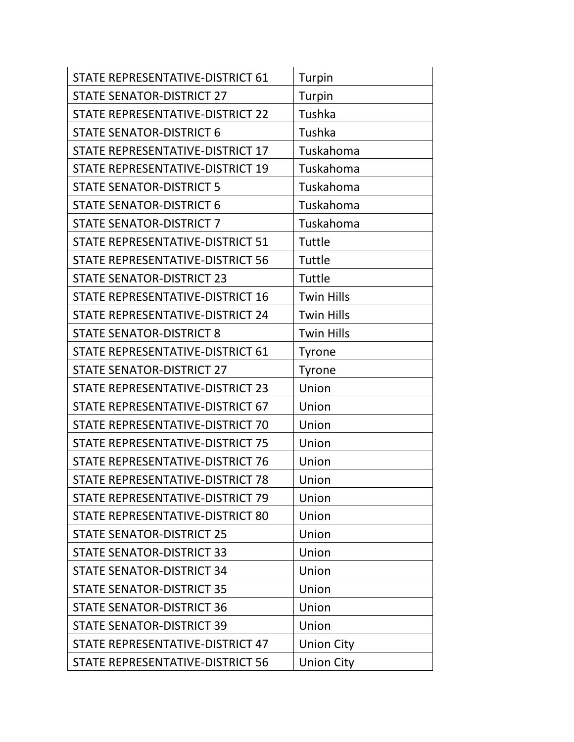| STATE REPRESENTATIVE-DISTRICT 61        | Turpin            |
|-----------------------------------------|-------------------|
| <b>STATE SENATOR-DISTRICT 27</b>        | Turpin            |
| <b>STATE REPRESENTATIVE-DISTRICT 22</b> | Tushka            |
| <b>STATE SENATOR-DISTRICT 6</b>         | Tushka            |
| STATE REPRESENTATIVE-DISTRICT 17        | Tuskahoma         |
| STATE REPRESENTATIVE-DISTRICT 19        | Tuskahoma         |
| <b>STATE SENATOR-DISTRICT 5</b>         | Tuskahoma         |
| <b>STATE SENATOR-DISTRICT 6</b>         | Tuskahoma         |
| <b>STATE SENATOR-DISTRICT 7</b>         | Tuskahoma         |
| STATE REPRESENTATIVE-DISTRICT 51        | Tuttle            |
| STATE REPRESENTATIVE-DISTRICT 56        | Tuttle            |
| <b>STATE SENATOR-DISTRICT 23</b>        | Tuttle            |
| STATE REPRESENTATIVE-DISTRICT 16        | <b>Twin Hills</b> |
| STATE REPRESENTATIVE-DISTRICT 24        | <b>Twin Hills</b> |
| <b>STATE SENATOR-DISTRICT 8</b>         | <b>Twin Hills</b> |
| STATE REPRESENTATIVE-DISTRICT 61        | <b>Tyrone</b>     |
| <b>STATE SENATOR-DISTRICT 27</b>        | <b>Tyrone</b>     |
| STATE REPRESENTATIVE-DISTRICT 23        | Union             |
| STATE REPRESENTATIVE-DISTRICT 67        | Union             |
| STATE REPRESENTATIVE-DISTRICT 70        | Union             |
| STATE REPRESENTATIVE-DISTRICT 75        | Union             |
| STATE REPRESENTATIVE-DISTRICT 76        | Union             |
| STATE REPRESENTATIVE-DISTRICT 78        | Union             |
| STATE REPRESENTATIVE-DISTRICT 79        | Union             |
| STATE REPRESENTATIVE-DISTRICT 80        | Union             |
| <b>STATE SENATOR-DISTRICT 25</b>        | Union             |
| <b>STATE SENATOR-DISTRICT 33</b>        | Union             |
| <b>STATE SENATOR-DISTRICT 34</b>        | Union             |
| <b>STATE SENATOR-DISTRICT 35</b>        | Union             |
| <b>STATE SENATOR-DISTRICT 36</b>        | Union             |
| <b>STATE SENATOR-DISTRICT 39</b>        | Union             |
| STATE REPRESENTATIVE-DISTRICT 47        | <b>Union City</b> |
| STATE REPRESENTATIVE-DISTRICT 56        | <b>Union City</b> |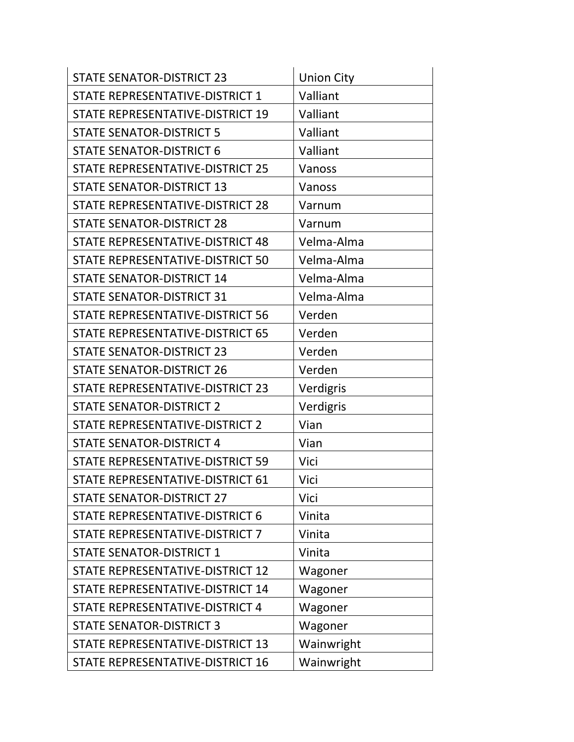| <b>STATE SENATOR-DISTRICT 23</b> | <b>Union City</b> |
|----------------------------------|-------------------|
| STATE REPRESENTATIVE-DISTRICT 1  | Valliant          |
| STATE REPRESENTATIVE-DISTRICT 19 | Valliant          |
| <b>STATE SENATOR-DISTRICT 5</b>  | Valliant          |
| <b>STATE SENATOR-DISTRICT 6</b>  | Valliant          |
| STATE REPRESENTATIVE-DISTRICT 25 | Vanoss            |
| <b>STATE SENATOR-DISTRICT 13</b> | Vanoss            |
| STATE REPRESENTATIVE-DISTRICT 28 | Varnum            |
| <b>STATE SENATOR-DISTRICT 28</b> | Varnum            |
| STATE REPRESENTATIVE-DISTRICT 48 | Velma-Alma        |
| STATE REPRESENTATIVE-DISTRICT 50 | Velma-Alma        |
| <b>STATE SENATOR-DISTRICT 14</b> | Velma-Alma        |
| <b>STATE SENATOR-DISTRICT 31</b> | Velma-Alma        |
| STATE REPRESENTATIVE-DISTRICT 56 | Verden            |
| STATE REPRESENTATIVE-DISTRICT 65 | Verden            |
| <b>STATE SENATOR-DISTRICT 23</b> | Verden            |
| <b>STATE SENATOR-DISTRICT 26</b> | Verden            |
| STATE REPRESENTATIVE-DISTRICT 23 | Verdigris         |
| <b>STATE SENATOR-DISTRICT 2</b>  | Verdigris         |
| STATE REPRESENTATIVE-DISTRICT 2  | Vian              |
| <b>STATE SENATOR-DISTRICT 4</b>  | Vian              |
| STATE REPRESENTATIVE-DISTRICT 59 | Vici              |
| STATE REPRESENTATIVE-DISTRICT 61 | Vici              |
| <b>STATE SENATOR-DISTRICT 27</b> | Vici              |
| STATE REPRESENTATIVE-DISTRICT 6  | Vinita            |
| STATE REPRESENTATIVE-DISTRICT 7  | Vinita            |
| <b>STATE SENATOR-DISTRICT 1</b>  | Vinita            |
| STATE REPRESENTATIVE-DISTRICT 12 | Wagoner           |
| STATE REPRESENTATIVE-DISTRICT 14 | Wagoner           |
| STATE REPRESENTATIVE-DISTRICT 4  | Wagoner           |
| <b>STATE SENATOR-DISTRICT 3</b>  | Wagoner           |
| STATE REPRESENTATIVE-DISTRICT 13 | Wainwright        |
| STATE REPRESENTATIVE-DISTRICT 16 | Wainwright        |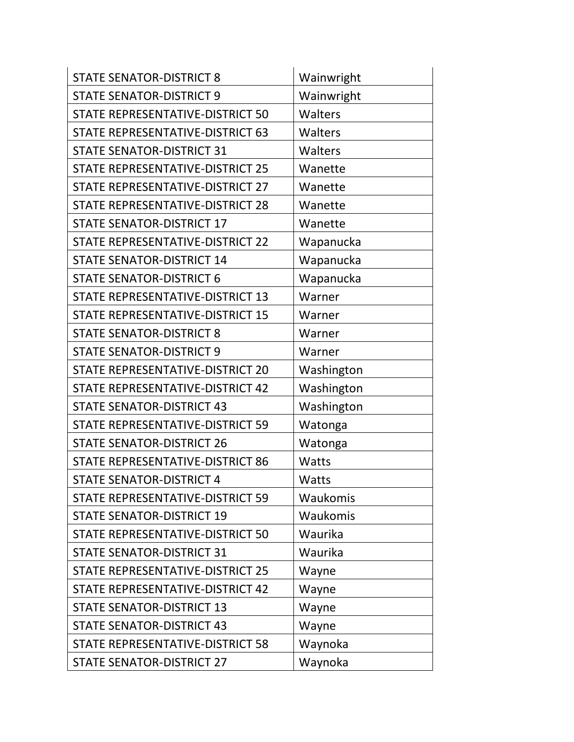| <b>STATE SENATOR-DISTRICT 8</b>         | Wainwright |
|-----------------------------------------|------------|
| <b>STATE SENATOR-DISTRICT 9</b>         | Wainwright |
| STATE REPRESENTATIVE-DISTRICT 50        | Walters    |
| STATE REPRESENTATIVE-DISTRICT 63        | Walters    |
| <b>STATE SENATOR-DISTRICT 31</b>        | Walters    |
| STATE REPRESENTATIVE-DISTRICT 25        | Wanette    |
| STATE REPRESENTATIVE-DISTRICT 27        | Wanette    |
| <b>STATE REPRESENTATIVE-DISTRICT 28</b> | Wanette    |
| <b>STATE SENATOR-DISTRICT 17</b>        | Wanette    |
| STATE REPRESENTATIVE-DISTRICT 22        | Wapanucka  |
| <b>STATE SENATOR-DISTRICT 14</b>        | Wapanucka  |
| <b>STATE SENATOR-DISTRICT 6</b>         | Wapanucka  |
| STATE REPRESENTATIVE-DISTRICT 13        | Warner     |
| STATE REPRESENTATIVE-DISTRICT 15        | Warner     |
| <b>STATE SENATOR-DISTRICT 8</b>         | Warner     |
| <b>STATE SENATOR-DISTRICT 9</b>         | Warner     |
| STATE REPRESENTATIVE-DISTRICT 20        | Washington |
| STATE REPRESENTATIVE-DISTRICT 42        | Washington |
| <b>STATE SENATOR-DISTRICT 43</b>        | Washington |
| STATE REPRESENTATIVE-DISTRICT 59        | Watonga    |
| <b>STATE SENATOR-DISTRICT 26</b>        | Watonga    |
| <b>STATE REPRESENTATIVE-DISTRICT 86</b> | Watts      |
| <b>STATE SENATOR-DISTRICT 4</b>         | Watts      |
| STATE REPRESENTATIVE-DISTRICT 59        | Waukomis   |
| <b>STATE SENATOR-DISTRICT 19</b>        | Waukomis   |
| STATE REPRESENTATIVE-DISTRICT 50        | Waurika    |
| <b>STATE SENATOR-DISTRICT 31</b>        | Waurika    |
| STATE REPRESENTATIVE-DISTRICT 25        | Wayne      |
| STATE REPRESENTATIVE-DISTRICT 42        | Wayne      |
| <b>STATE SENATOR-DISTRICT 13</b>        | Wayne      |
| <b>STATE SENATOR-DISTRICT 43</b>        | Wayne      |
| STATE REPRESENTATIVE-DISTRICT 58        | Waynoka    |
| <b>STATE SENATOR-DISTRICT 27</b>        | Waynoka    |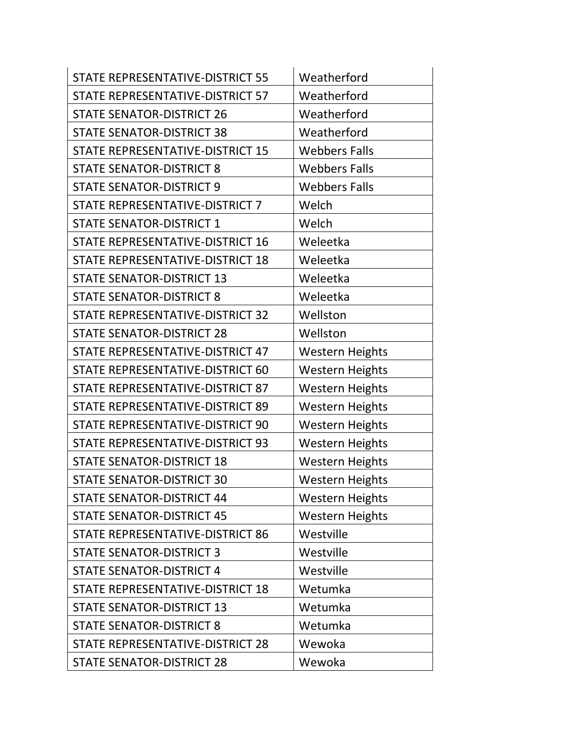| STATE REPRESENTATIVE-DISTRICT 55        | Weatherford            |
|-----------------------------------------|------------------------|
| STATE REPRESENTATIVE-DISTRICT 57        | Weatherford            |
| <b>STATE SENATOR-DISTRICT 26</b>        | Weatherford            |
| <b>STATE SENATOR-DISTRICT 38</b>        | Weatherford            |
| STATE REPRESENTATIVE-DISTRICT 15        | <b>Webbers Falls</b>   |
| <b>STATE SENATOR-DISTRICT 8</b>         | <b>Webbers Falls</b>   |
| <b>STATE SENATOR-DISTRICT 9</b>         | <b>Webbers Falls</b>   |
| STATE REPRESENTATIVE-DISTRICT 7         | Welch                  |
| <b>STATE SENATOR-DISTRICT 1</b>         | Welch                  |
| STATE REPRESENTATIVE-DISTRICT 16        | Weleetka               |
| STATE REPRESENTATIVE-DISTRICT 18        | Weleetka               |
| <b>STATE SENATOR-DISTRICT 13</b>        | Weleetka               |
| <b>STATE SENATOR-DISTRICT 8</b>         | Weleetka               |
| STATE REPRESENTATIVE-DISTRICT 32        | Wellston               |
| <b>STATE SENATOR-DISTRICT 28</b>        | Wellston               |
| STATE REPRESENTATIVE-DISTRICT 47        | <b>Western Heights</b> |
| STATE REPRESENTATIVE-DISTRICT 60        | <b>Western Heights</b> |
| STATE REPRESENTATIVE-DISTRICT 87        | <b>Western Heights</b> |
| STATE REPRESENTATIVE-DISTRICT 89        | <b>Western Heights</b> |
| STATE REPRESENTATIVE-DISTRICT 90        | <b>Western Heights</b> |
| STATE REPRESENTATIVE-DISTRICT 93        | <b>Western Heights</b> |
| <b>STATE SENATOR-DISTRICT 18</b>        | <b>Western Heights</b> |
| <b>STATE SENATOR-DISTRICT 30</b>        | <b>Western Heights</b> |
| <b>STATE SENATOR-DISTRICT 44</b>        | <b>Western Heights</b> |
| <b>STATE SENATOR-DISTRICT 45</b>        | <b>Western Heights</b> |
| <b>STATE REPRESENTATIVE-DISTRICT 86</b> | Westville              |
| <b>STATE SENATOR-DISTRICT 3</b>         | Westville              |
| <b>STATE SENATOR-DISTRICT 4</b>         | Westville              |
| STATE REPRESENTATIVE-DISTRICT 18        | Wetumka                |
| <b>STATE SENATOR-DISTRICT 13</b>        | Wetumka                |
| <b>STATE SENATOR-DISTRICT 8</b>         | Wetumka                |
| STATE REPRESENTATIVE-DISTRICT 28        | Wewoka                 |
| <b>STATE SENATOR-DISTRICT 28</b>        | Wewoka                 |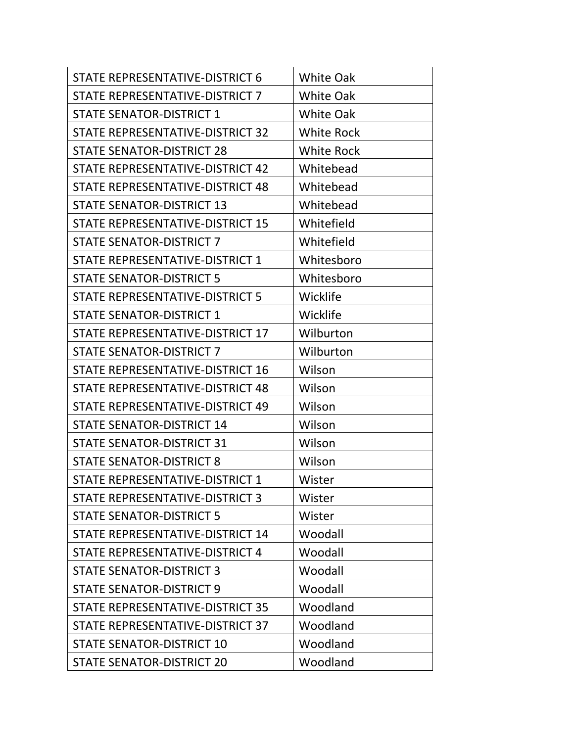| STATE REPRESENTATIVE-DISTRICT 6  | <b>White Oak</b>  |
|----------------------------------|-------------------|
| STATE REPRESENTATIVE-DISTRICT 7  | <b>White Oak</b>  |
| <b>STATE SENATOR-DISTRICT 1</b>  | <b>White Oak</b>  |
| STATE REPRESENTATIVE-DISTRICT 32 | <b>White Rock</b> |
| <b>STATE SENATOR-DISTRICT 28</b> | <b>White Rock</b> |
| STATE REPRESENTATIVE-DISTRICT 42 | Whitebead         |
| STATE REPRESENTATIVE-DISTRICT 48 | Whitebead         |
| <b>STATE SENATOR-DISTRICT 13</b> | Whitebead         |
| STATE REPRESENTATIVE-DISTRICT 15 | Whitefield        |
| <b>STATE SENATOR-DISTRICT 7</b>  | Whitefield        |
| STATE REPRESENTATIVE-DISTRICT 1  | Whitesboro        |
| <b>STATE SENATOR-DISTRICT 5</b>  | Whitesboro        |
| STATE REPRESENTATIVE-DISTRICT 5  | Wicklife          |
| <b>STATE SENATOR-DISTRICT 1</b>  | Wicklife          |
| STATE REPRESENTATIVE-DISTRICT 17 | Wilburton         |
| <b>STATE SENATOR-DISTRICT 7</b>  | Wilburton         |
| STATE REPRESENTATIVE-DISTRICT 16 | Wilson            |
| STATE REPRESENTATIVE-DISTRICT 48 | Wilson            |
| STATE REPRESENTATIVE-DISTRICT 49 | Wilson            |
| <b>STATE SENATOR-DISTRICT 14</b> | Wilson            |
| <b>STATE SENATOR-DISTRICT 31</b> | Wilson            |
| <b>STATE SENATOR-DISTRICT 8</b>  | Wilson            |
| STATE REPRESENTATIVE-DISTRICT 1  | Wister            |
| STATE REPRESENTATIVE-DISTRICT 3  | Wister            |
| <b>STATE SENATOR-DISTRICT 5</b>  | Wister            |
| STATE REPRESENTATIVE-DISTRICT 14 | Woodall           |
| STATE REPRESENTATIVE-DISTRICT 4  | Woodall           |
| <b>STATE SENATOR-DISTRICT 3</b>  | Woodall           |
| <b>STATE SENATOR-DISTRICT 9</b>  | Woodall           |
| STATE REPRESENTATIVE-DISTRICT 35 | Woodland          |
| STATE REPRESENTATIVE-DISTRICT 37 | Woodland          |
| <b>STATE SENATOR-DISTRICT 10</b> | Woodland          |
| <b>STATE SENATOR-DISTRICT 20</b> | Woodland          |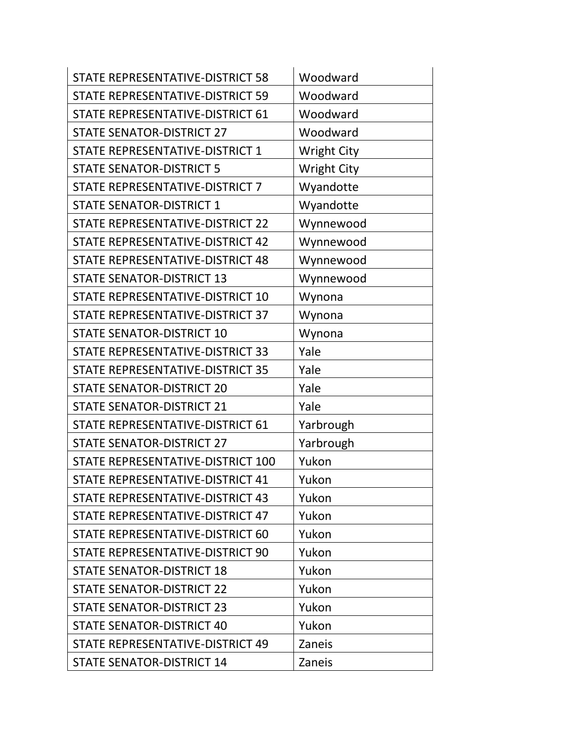| STATE REPRESENTATIVE-DISTRICT 58        | Woodward           |
|-----------------------------------------|--------------------|
| <b>STATE REPRESENTATIVE-DISTRICT 59</b> | Woodward           |
| STATE REPRESENTATIVE-DISTRICT 61        | Woodward           |
| <b>STATE SENATOR-DISTRICT 27</b>        | Woodward           |
| STATE REPRESENTATIVE-DISTRICT 1         | <b>Wright City</b> |
| <b>STATE SENATOR-DISTRICT 5</b>         | <b>Wright City</b> |
| STATE REPRESENTATIVE-DISTRICT 7         | Wyandotte          |
| <b>STATE SENATOR-DISTRICT 1</b>         | Wyandotte          |
| STATE REPRESENTATIVE-DISTRICT 22        | Wynnewood          |
| STATE REPRESENTATIVE-DISTRICT 42        | Wynnewood          |
| STATE REPRESENTATIVE-DISTRICT 48        | Wynnewood          |
| <b>STATE SENATOR-DISTRICT 13</b>        | Wynnewood          |
| STATE REPRESENTATIVE-DISTRICT 10        | Wynona             |
| STATE REPRESENTATIVE-DISTRICT 37        | Wynona             |
| <b>STATE SENATOR-DISTRICT 10</b>        | Wynona             |
| STATE REPRESENTATIVE-DISTRICT 33        | Yale               |
| STATE REPRESENTATIVE-DISTRICT 35        | Yale               |
| <b>STATE SENATOR-DISTRICT 20</b>        | Yale               |
| <b>STATE SENATOR-DISTRICT 21</b>        | Yale               |
| STATE REPRESENTATIVE-DISTRICT 61        | Yarbrough          |
| <b>STATE SENATOR-DISTRICT 27</b>        | Yarbrough          |
| STATE REPRESENTATIVE-DISTRICT 100       | Yukon              |
| STATE REPRESENTATIVE-DISTRICT 41        | Yukon              |
| STATE REPRESENTATIVE-DISTRICT 43        | Yukon              |
| STATE REPRESENTATIVE-DISTRICT 47        | Yukon              |
| STATE REPRESENTATIVE-DISTRICT 60        | Yukon              |
| STATE REPRESENTATIVE-DISTRICT 90        | Yukon              |
| <b>STATE SENATOR-DISTRICT 18</b>        | Yukon              |
| <b>STATE SENATOR-DISTRICT 22</b>        | Yukon              |
| <b>STATE SENATOR-DISTRICT 23</b>        | Yukon              |
| <b>STATE SENATOR-DISTRICT 40</b>        | Yukon              |
| STATE REPRESENTATIVE-DISTRICT 49        | Zaneis             |
| <b>STATE SENATOR-DISTRICT 14</b>        | Zaneis             |